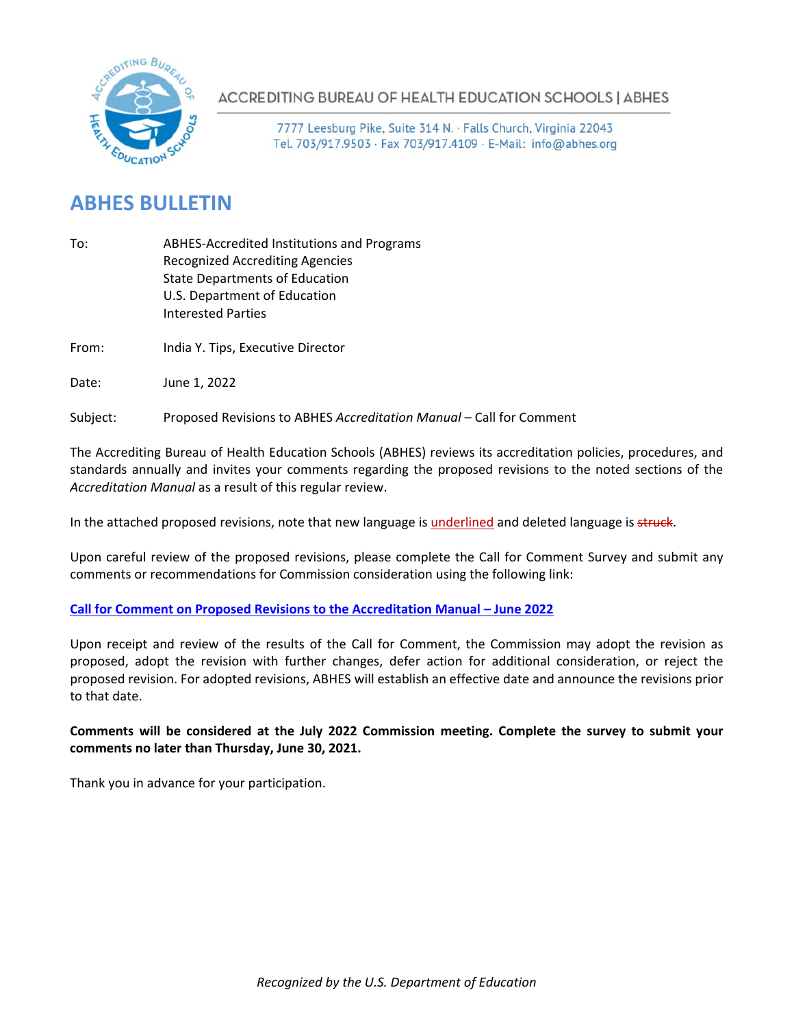

**ACCREDITING BUREAU OF HEALTH EDUCATION SCHOOLS | ABHES** 

7777 Leesburg Pike, Suite 314 N. · Falls Church, Virginia 22043 Tel. 703/917.9503 · Fax 703/917.4109 · E-Mail: info@abhes.org

# **ABHES BULLETIN**

- To: ABHES-Accredited Institutions and Programs Recognized Accrediting Agencies State Departments of Education U.S. Department of Education Interested Parties
- From: India Y. Tips, Executive Director
- Date: June 1, 2022

Subject: Proposed Revisions to ABHES *Accreditation Manual* – Call for Comment

The Accrediting Bureau of Health Education Schools (ABHES) reviews its accreditation policies, procedures, and standards annually and invites your comments regarding the proposed revisions to the noted sections of the *Accreditation Manual* as a result of this regular review.

In the attached proposed revisions, note that new language is underlined and deleted language is struck.

Upon careful review of the proposed revisions, please complete the Call for Comment Survey and submit any comments or recommendations for Commission consideration using the following link:

## **[Call for Comment on Proposed Revisions to the Accreditation Manual –](https://lp.constantcontactpages.com/sv/Xg2XO0q) June 2022**

Upon receipt and review of the results of the Call for Comment, the Commission may adopt the revision as proposed, adopt the revision with further changes, defer action for additional consideration, or reject the proposed revision. For adopted revisions, ABHES will establish an effective date and announce the revisions prior to that date.

## **Comments will be considered at the July 2022 Commission meeting. Complete the survey to submit your comments no later than Thursday, June 30, 2021.**

Thank you in advance for your participation.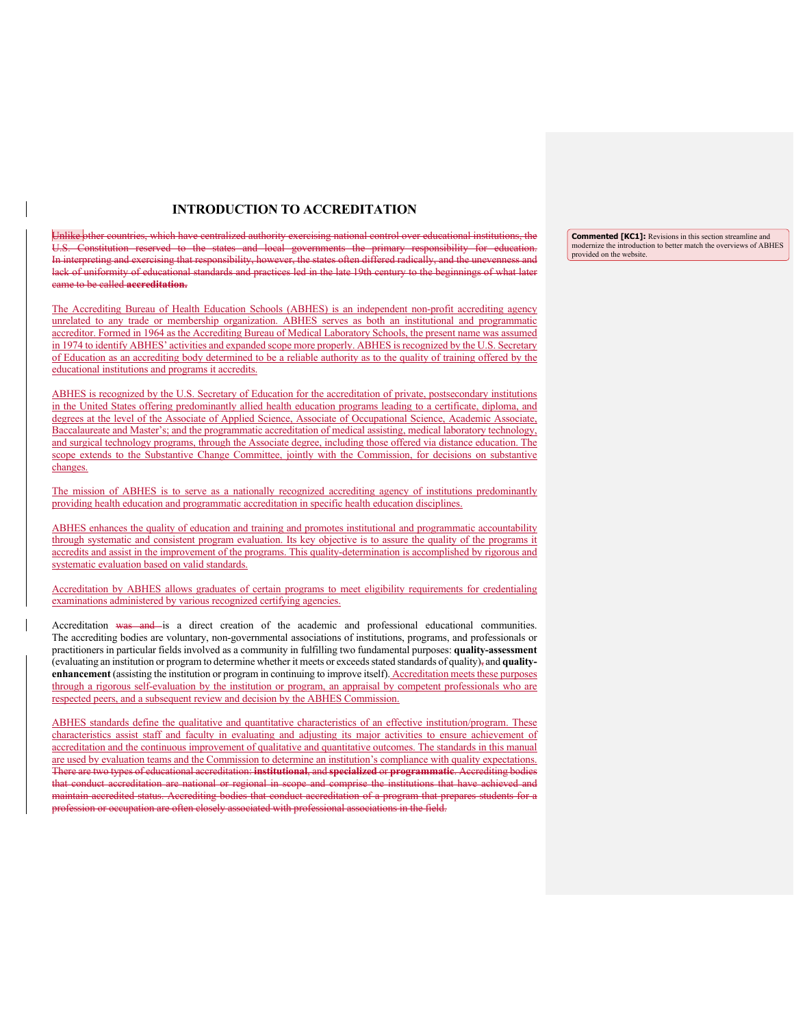### **INTRODUCTION TO ACCREDITATION**

Unlike other countries, which have centralized authority exercising national control over educational institutions, the Constitution reserved to the states and local governments the primary responsibility for education. In interpreting and exercising that responsibility, however, the states often differed radically, and the unevenness and lack of uniformity of educational standards and practices led in the late 19th century to the beginnings of what later came to be called **accreditation.**

The Accrediting Bureau of Health Education Schools (ABHES) is an independent non-profit accrediting agency unrelated to any trade or membership organization. ABHES serves as both an institutional and programmatic accreditor. Formed in 1964 as the Accrediting Bureau of Medical Laboratory Schools, the present name was assumed in 1974 to identify ABHES' activities and expanded scope more properly. ABHES is recognized by the U.S. Secretary of Education as an accrediting body determined to be a reliable authority as to the quality of training offered by the educational institutions and programs it accredits.

ABHES is recognized by the U.S. Secretary of Education for the accreditation of private, postsecondary institutions in the United States offering predominantly allied health education programs leading to a certificate, diploma, and degrees at the level of the Associate of Applied Science, Associate of Occupational Science, Academic Associate, Baccalaureate and Master's; and the programmatic accreditation of medical assisting, medical laboratory technology, and surgical technology programs, through the Associate degree, including those offered via distance education. The scope extends to the Substantive Change Committee, jointly with the Commission, for decisions on substantive changes.

The mission of ABHES is to serve as a nationally recognized accrediting agency of institutions predominantly providing health education and programmatic accreditation in specific health education disciplines.

ABHES enhances the quality of education and training and promotes institutional and programmatic accountability through systematic and consistent program evaluation. Its key objective is to assure the quality of the programs it accredits and assist in the improvement of the programs. This quality-determination is accomplished by rigorous and systematic evaluation based on valid standards.

Accreditation by ABHES allows graduates of certain programs to meet eligibility requirements for credentialing examinations administered by various recognized certifying agencies.

Accreditation was and is a direct creation of the academic and professional educational communities. The accrediting bodies are voluntary, non-governmental associations of institutions, programs, and professionals or practitioners in particular fields involved as a community in fulfilling two fundamental purposes: **quality-assessment** (evaluating an institution or program to determine whether it meets or exceeds stated standards of quality), and **qualityenhancement** (assisting the institution or program in continuing to improve itself). Accreditation meets these purposes through a rigorous self-evaluation by the institution or program, an appraisal by competent professionals who are respected peers, and a subsequent review and decision by the ABHES Commission.

ABHES standards define the qualitative and quantitative characteristics of an effective institution/program. These characteristics assist staff and faculty in evaluating and adjusting its major activities to ensure achievement of accreditation and the continuous improvement of qualitative and quantitative outcomes. The standards in this manual are used by evaluation teams and the Commission to determine an institution's compliance with quality expectations. There are two types of educational accreditation: **institutional**, and **specialized** or **programmatic**. Accrediting bodies that conduct accreditation are national or regional in scope and comprise the institutions that have achieved and maintain accredited status. Accrediting bodies that conduct accreditation of a program that prepares students for a profession or occupation are often closely associated with professional associations in the field.

**Commented [KC1]:** Revisions in this section streamline and modernize the introduction to better match the overviews of ABHES provided on the website.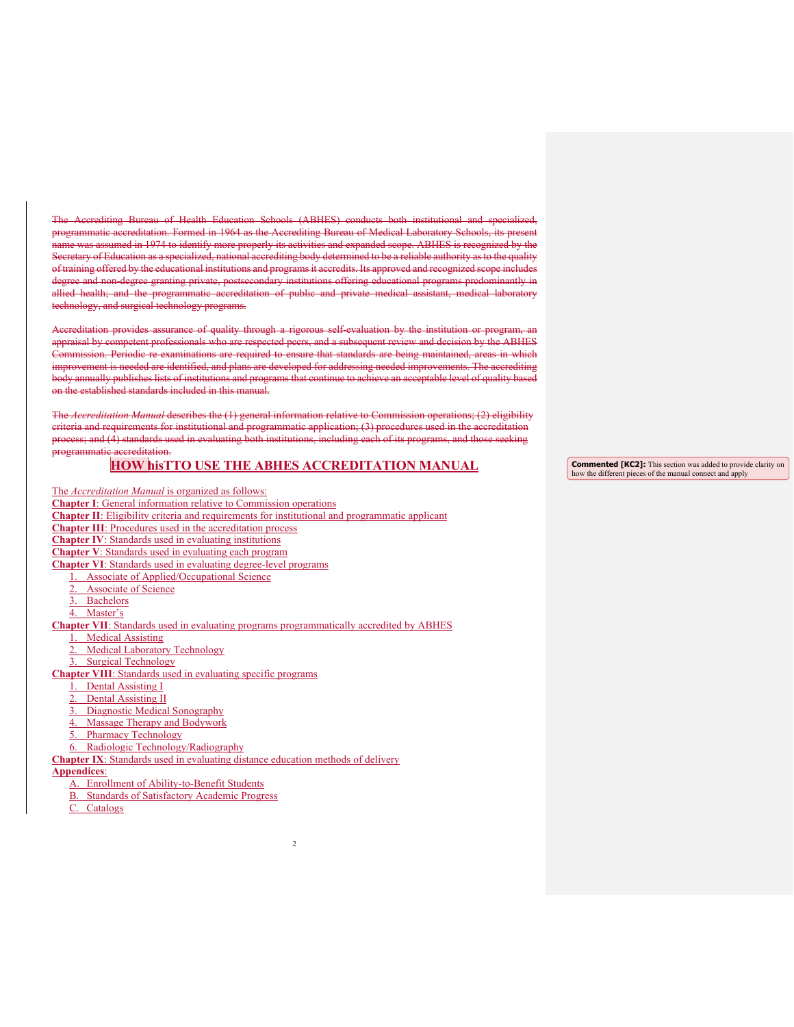The Accrediting Bureau of Health Education Schools (ABHES) conducts both institutional and specialized, programmatic accreditation. Formed in 1964 as the Accrediting Bureau of Medical Laboratory Schools, its present name was assumed in 1974 to identify more properly its activities and expanded scope. ABHES is recognized by the Secretary of Education as a specialized, national accrediting body determined to be a reliable authority as to the quality of training offered by the educational institutions and programs it accredits. Its approved and recognized scope i degree and non-degree granting private, postsecondary institutions offering educational programs predominantly in allied health; and the programmatic accreditation of public and private medical assistant, medical laboratory technology, and surgical technology programs.

Accreditation provides assurance of quality through a rigorous self-evaluation by the institution or program, an appraisal by competent professionals who are respected peers, and a subsequent review and decision by the ABHES Commission. Periodic re-examinations are required to ensure that standards are being maintained, areas in which improvement is needed are identified, and plans are developed for addressing needed improvements. The accrediting annually publishes lists of institutions and programs that continue to achieve an acceptable level of quality based on the established standards included in this manual.

The *Accreditation Manual* describes the (1) general information relative to Commission operations; (2) eligibility criteria and requirements for institutional and programmatic application; (3) procedures used in the accreditation process; and (4) standards used in evaluating both institutions, including each of its programs, and those seeking programmatic accreditation.

## **HOW hisTTO USE THE ABHES ACCREDITATION MANUAL**

2

The *Accreditation Manual* is organized as follows:

- **Chapter I**: General information relative to Commission operations
- **Chapter II**: Eligibility criteria and requirements for institutional and programmatic applicant
- **Chapter III**: Procedures used in the accreditation process
- **Chapter IV**: Standards used in evaluating institutions
- **Chapter V**: Standards used in evaluating each program

**Chapter VI**: Standards used in evaluating degree-level programs

- 1. Associate of Applied/Occupational Science
- Associate of Science
- 3. Bachelors
- 4. Master's

**Chapter VII**: Standards used in evaluating programs programmatically accredited by ABHES

- Medical Assisting
- **Medical Laboratory Technology**

3. Surgical Technology

**Chapter VIII**: Standards used in evaluating specific programs

- 1. Dental Assisting I
- **Dental Assisting II**
- 3. Diagnostic Medical Sonography
- 4. Massage Therapy and Bodywork
- 5. Pharmacy Technology
- 6. Radiologic Technology/Radiography

**Chapter IX**: Standards used in evaluating distance education methods of delivery

#### **Appendices**:

- A. Enrollment of Ability-to-Benefit Students
- B. Standards of Satisfactory Academic Progress
- C. Catalogs

**Commented [KC2]:** This section was added to provide clarity on how the different pieces of the manual connect and apply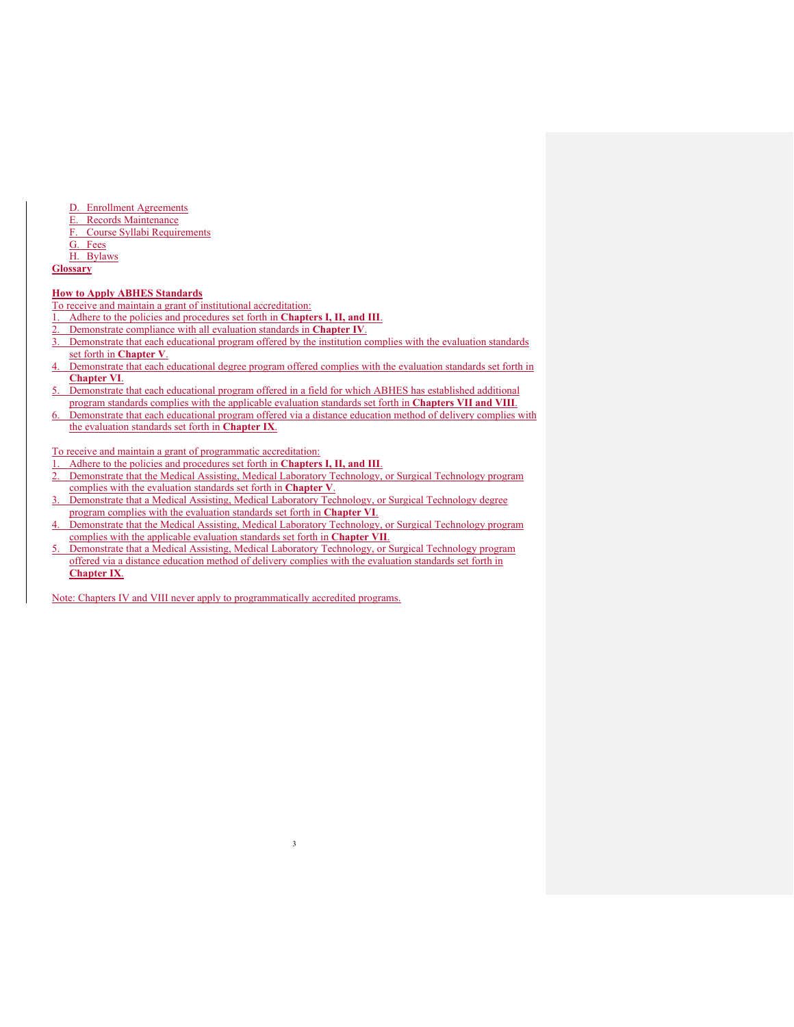- D. Enrollment Agreements<br>E. Records Maintenance
- Records Maintenance
- F. Course Syllabi Requirements
- G. Fees

H. Bylaws

## **Glossary**

#### **How to Apply ABHES Standards**

To receive and maintain a grant of institutional accreditation:

- 1. Adhere to the policies and procedures set forth in **Chapters I, II, and III**.
- 2. Demonstrate compliance with all evaluation standards in **Chapter IV**.
- 3. Demonstrate that each educational program offered by the institution complies with the evaluation standards set forth in **Chapter V**.
- Demonstrate that each educational degree program offered complies with the evaluation standards set forth in **Chapter VI**.
- 5. Demonstrate that each educational program offered in a field for which ABHES has established additional program standards complies with the applicable evaluation standards set forth in **Chapters VII and VIII**.
- 6. Demonstrate that each educational program offered via a distance education method of delivery complies with the evaluation standards set forth in **Chapter IX**.

To receive and maintain a grant of programmatic accreditation:

- 1. Adhere to the policies and procedures set forth in **Chapters I, II, and III**.
- 2. Demonstrate that the Medical Assisting, Medical Laboratory Technology, or Surgical Technology program complies with the evaluation standards set forth in **Chapter V**.
- 3. Demonstrate that a Medical Assisting, Medical Laboratory Technology, or Surgical Technology degree program complies with the evaluation standards set forth in **Chapter VI**.
- 4. Demonstrate that the Medical Assisting, Medical Laboratory Technology, or Surgical Technology program complies with the applicable evaluation standards set forth in **Chapter VII**.

3

5. Demonstrate that a Medical Assisting, Medical Laboratory Technology, or Surgical Technology program offered via a distance education method of delivery complies with the evaluation standards set forth in **Chapter IX**.

Note: Chapters IV and VIII never apply to programmatically accredited programs.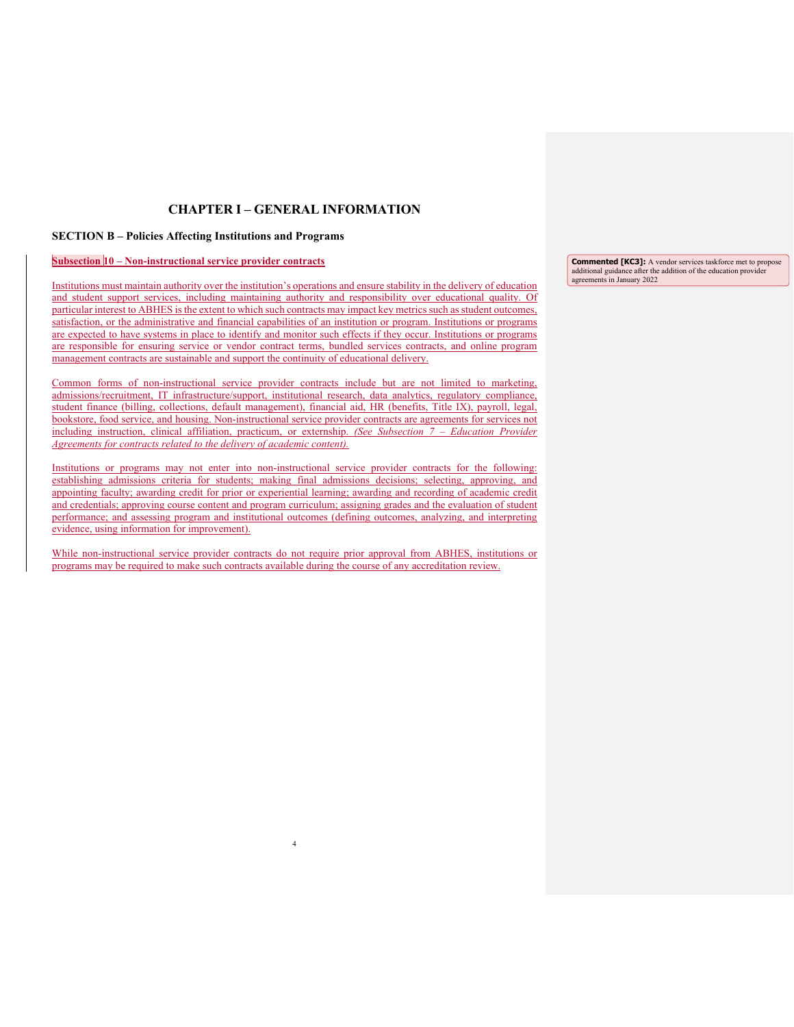## **CHAPTER I – GENERAL INFORMATION**

### **SECTION B – Policies Affecting Institutions and Programs**

#### **Subsection 10 – Non-instructional service provider contracts**

J

Institutions must maintain authority over the institution's operations and ensure stability in the delivery of education and student support services, including maintaining authority and responsibility over educational quality. Of particular interest to ABHES is the extent to which such contracts may impact key metrics such as student outcomes, satisfaction, or the administrative and financial capabilities of an institution or program. Institutions or programs are expected to have systems in place to identify and monitor such effects if they occur. Institutions or programs are responsible for ensuring service or vendor contract terms, bundled services contracts, and online program management contracts are sustainable and support the continuity of educational delivery.

Common forms of non-instructional service provider contracts include but are not limited to marketing, admissions/recruitment, IT infrastructure/support, institutional research, data analytics, regulatory compliance, student finance (billing, collections, default management), financial aid, HR (benefits, Title IX), payroll, legal, bookstore, food service, and housing. Non-instructional service provider contracts are agreements for services not including instruction, clinical affiliation, practicum, or externship. *(See Subsection 7 – Education Provider Agreements for contracts related to the delivery of academic content).*

Institutions or programs may not enter into non-instructional service provider contracts for the following: establishing admissions criteria for students; making final admissions decisions; selecting, approving, and appointing faculty; awarding credit for prior or experiential learning; awarding and recording of academic credit and credentials; approving course content and program curriculum; assigning grades and the evaluation of student performance; and assessing program and institutional outcomes (defining outcomes, analyzing, and interpreting evidence, using information for improvement).

While non-instructional service provider contracts do not require prior approval from ABHES, institutions or programs may be required to make such contracts available during the course of any accreditation review.

4

**Commented [KC3]:** A vendor services taskforce met to propose additional guidance after the addition of the education provider agreements in January 2022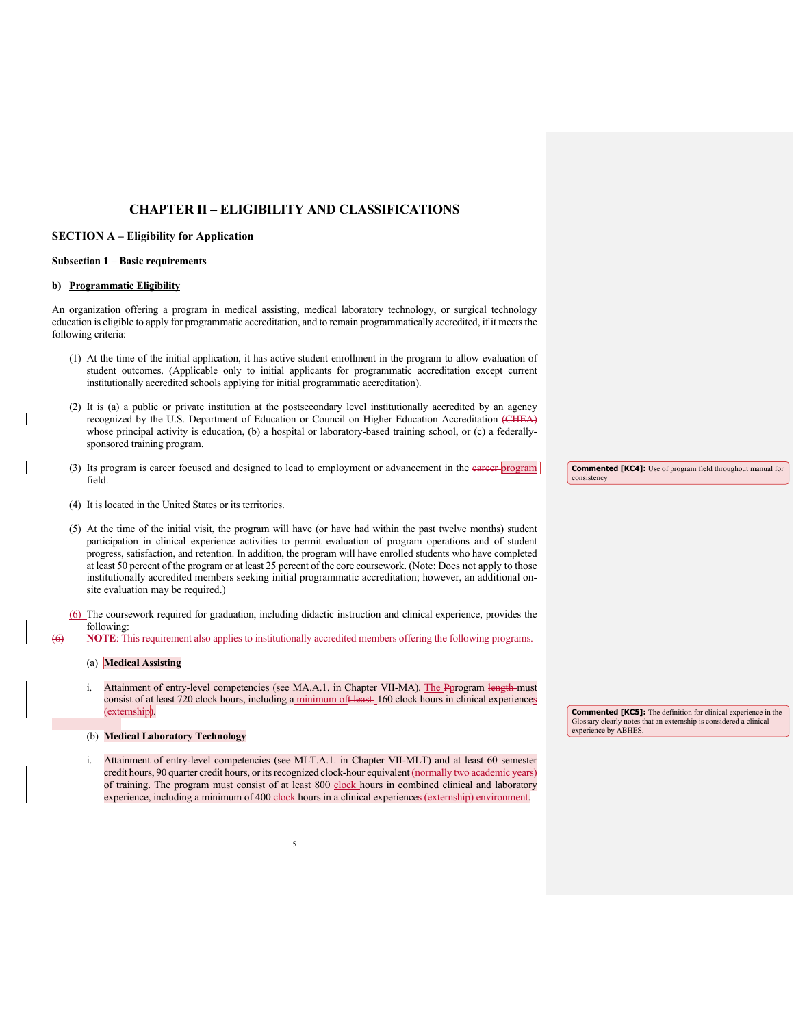## **CHAPTER II – ELIGIBILITY AND CLASSIFICATIONS**

### **SECTION A – Eligibility for Application**

#### **Subsection 1 – Basic requirements**

### **b) Programmatic Eligibility**

An organization offering a program in medical assisting, medical laboratory technology, or surgical technology education is eligible to apply for programmatic accreditation, and to remain programmatically accredited, if it meets the following criteria:

- (1) At the time of the initial application, it has active student enrollment in the program to allow evaluation of student outcomes. (Applicable only to initial applicants for programmatic accreditation except current institutionally accredited schools applying for initial programmatic accreditation).
- (2) It is (a) a public or private institution at the postsecondary level institutionally accredited by an agency recognized by the U.S. Department of Education or Council on Higher Education Accreditation (CHEA) whose principal activity is education, (b) a hospital or laboratory-based training school, or (c) a federallysponsored training program.
- (3) Its program is career focused and designed to lead to employment or advancement in the eareer program field.
- (4) It is located in the United States or its territories.
- (5) At the time of the initial visit, the program will have (or have had within the past twelve months) student participation in clinical experience activities to permit evaluation of program operations and of student progress, satisfaction, and retention. In addition, the program will have enrolled students who have completed at least 50 percent of the program or at least 25 percent of the core coursework. (Note: Does not apply to those institutionally accredited members seeking initial programmatic accreditation; however, an additional onsite evaluation may be required.)
- (6) The coursework required for graduation, including didactic instruction and clinical experience, provides the following:

(6) **NOTE**: This requirement also applies to institutionally accredited members offering the following programs.

### (a) **Medical Assisting**

i. Attainment of entry-level competencies (see MA.A.1. in Chapter VII-MA). The Pprogram length must consist of at least 720 clock hours, including a minimum oft least 160 clock hours in clinical experiences (externship).

#### (b) **Medical Laboratory Technology**

Attainment of entry-level competencies (see MLT.A.1. in Chapter VII-MLT) and at least 60 semester credit hours, 90 quarter credit hours, or its recognized clock-hour equivalent (normally two academic years) of training. The program must consist of at least 800 clock hours in combined clinical and laboratory experience, including a minimum of 400 clock hours in a clinical experiences (externship) environ

**Commented [KC4]:** Use of program field throughout manual for consistency

**Commented [KC5]:** The definition for clinical experience in the Glossary clearly notes that an externship is considered a clinical experience by ABHES.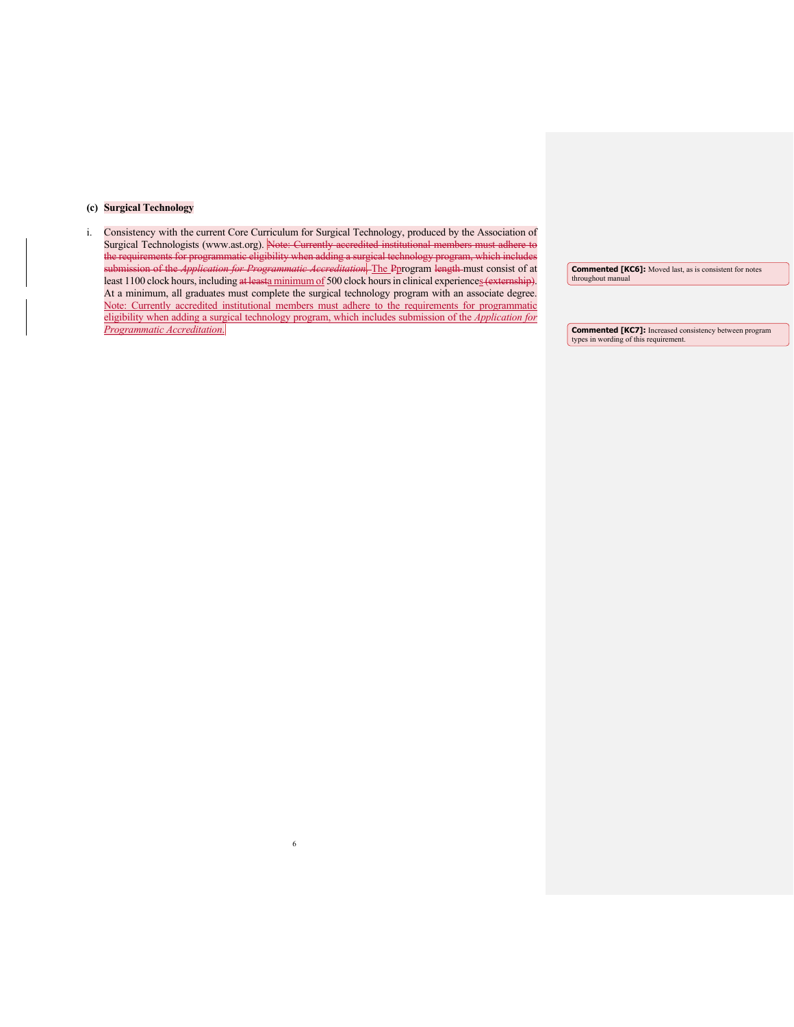### **(c) Surgical Technology**

i. Consistency with the current Core Curriculum for Surgical Technology, produced by the Association of Surgical Technologists [\(www.ast.org\)](https://abhes01.abhes.org/exchweb/bin/redir.asp?URL=https://abhes01.abhes.org/exchweb/bin/redir.asp?URL=http://www.ast.org/). Note: Currently accredited institutional members must adhere to the requirements for programmatic eligibility when adding a surgical technology program, which includes submission of the *Application for Programmatic Accreditation*. The Pprogram length must consist of at least 1100 clock hours, including at leasta minimum of 500 clock hours in clinical experiences (externship). At a minimum, all graduates must complete the surgical technology program with an associate degree. Note: Currently accredited institutional members must adhere to the requirements for programmatic eligibility when adding a surgical technology program, which includes submission of the *Application for Programmatic Accreditation*.

6

**Commented [KC6]:** Moved last, as is consistent for notes throughout manual

**Commented [KC7]:** Increased consistency between program types in wording of this requirement.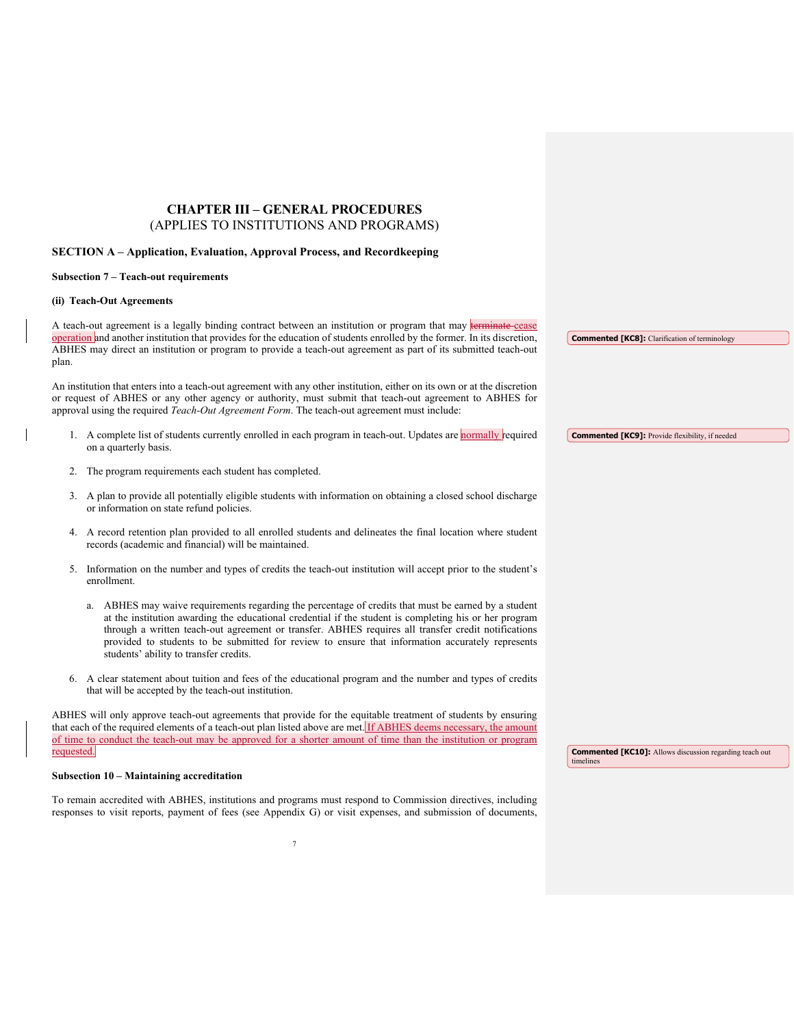## **CHAPTER III – GENERAL PROCEDURES** (APPLIES TO INSTITUTIONS AND PROGRAMS)

#### **SECTION A – Application, Evaluation, Approval Process, and Recordkeeping**

#### **Subsection 7 – Teach-out requirements**

#### **(ii) Teach-Out Agreements**

A teach-out agreement is a legally binding contract between an institution or program that may terminate cease operation and another institution that provides for the education of students enrolled by the former. In its discretion, ABHES may direct an institution or program to provide a teach-out agreement as part of its submitted teach-out plan.

An institution that enters into a teach-out agreement with any other institution, either on its own or at the discretion or request of ABHES or any other agency or authority, must submit that teach-out agreement to ABHES for approval using the required *Teach-Out Agreement Form*. The teach-out agreement must include:

- 1. A complete list of students currently enrolled in each program in teach-out. Updates are normally required on a quarterly basis. **Commented [KC9]:** Provide flexibility, if needed
- 2. The program requirements each student has completed.
- 3. A plan to provide all potentially eligible students with information on obtaining a closed school discharge or information on state refund policies.
- 4. A record retention plan provided to all enrolled students and delineates the final location where student records (academic and financial) will be maintained.
- 5. Information on the number and types of credits the teach-out institution will accept prior to the student's enrollment.
	- a. ABHES may waive requirements regarding the percentage of credits that must be earned by a student at the institution awarding the educational credential if the student is completing his or her program through a written teach-out agreement or transfer. ABHES requires all transfer credit notifications provided to students to be submitted for review to ensure that information accurately represents students' ability to transfer credits.
- 6. A clear statement about tuition and fees of the educational program and the number and types of credits that will be accepted by the teach-out institution.

ABHES will only approve teach-out agreements that provide for the equitable treatment of students by ensuring that each of the required elements of a teach-out plan listed above are met. If ABHES deems necessary, the amount of time to conduct the teach-out may be approved for a shorter amount of time than the institution or program requested.

**Commented [KC8]:** Clarification of terminology

**Commented [KC10]:** Allows discussion regarding teach out timelines

#### **Subsection 10 – Maintaining accreditation**

To remain accredited with ABHES, institutions and programs must respond to Commission directives, including responses to visit reports, payment of fees (see Appendix G) or visit expenses, and submission of documents,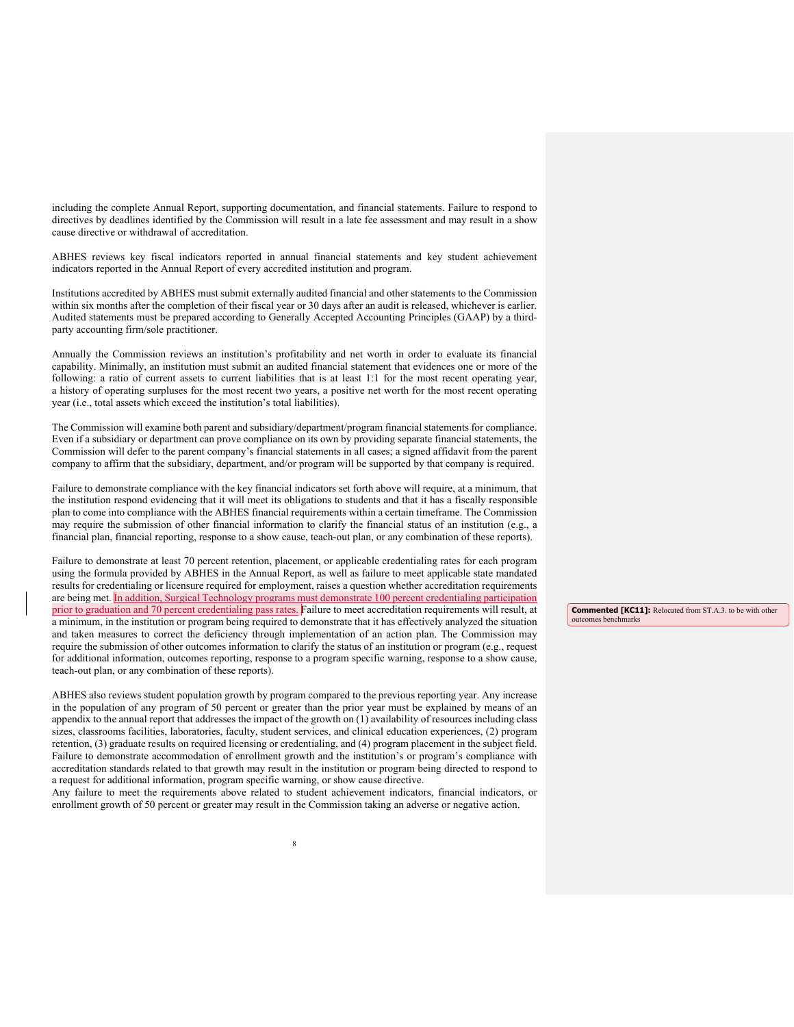including the complete Annual Report, supporting documentation, and financial statements. Failure to respond to directives by deadlines identified by the Commission will result in a late fee assessment and may result in a show cause directive or withdrawal of accreditation.

ABHES reviews key fiscal indicators reported in annual financial statements and key student achievement indicators reported in the Annual Report of every accredited institution and program.

Institutions accredited by ABHES must submit externally audited financial and other statements to the Commission within six months after the completion of their fiscal year or 30 days after an audit is released, whichever is earlier. Audited statements must be prepared according to Generally Accepted Accounting Principles (GAAP) by a thirdparty accounting firm/sole practitioner.

Annually the Commission reviews an institution's profitability and net worth in order to evaluate its financial capability. Minimally, an institution must submit an audited financial statement that evidences one or more of the following: a ratio of current assets to current liabilities that is at least 1:1 for the most recent operating year, a history of operating surpluses for the most recent two years, a positive net worth for the most recent operating year (i.e., total assets which exceed the institution's total liabilities).

The Commission will examine both parent and subsidiary/department/program financial statements for compliance. Even if a subsidiary or department can prove compliance on its own by providing separate financial statements, the Commission will defer to the parent company's financial statements in all cases; a signed affidavit from the parent company to affirm that the subsidiary, department, and/or program will be supported by that company is required.

Failure to demonstrate compliance with the key financial indicators set forth above will require, at a minimum, that the institution respond evidencing that it will meet its obligations to students and that it has a fiscally responsible plan to come into compliance with the ABHES financial requirements within a certain timeframe. The Commission may require the submission of other financial information to clarify the financial status of an institution (e.g., a financial plan, financial reporting, response to a show cause, teach-out plan, or any combination of these reports).

Failure to demonstrate at least 70 percent retention, placement, or applicable credentialing rates for each program using the formula provided by ABHES in the Annual Report, as well as failure to meet applicable state mandated results for credentialing or licensure required for employment, raises a question whether accreditation requirements are being met. In addition, Surgical Technology programs must demonstrate 100 percent credentialing participation prior to graduation and 70 percent credentialing pass rates. Failure to meet accreditation requirements will result, at a minimum, in the institution or program being required to demonstrate that it has effectively analyzed the situation and taken measures to correct the deficiency through implementation of an action plan. The Commission may require the submission of other outcomes information to clarify the status of an institution or program (e.g., request for additional information, outcomes reporting, response to a program specific warning, response to a show cause, teach-out plan, or any combination of these reports).

ABHES also reviews student population growth by program compared to the previous reporting year. Any increase in the population of any program of 50 percent or greater than the prior year must be explained by means of an appendix to the annual report that addresses the impact of the growth on (1) availability of resources including class sizes, classrooms facilities, laboratories, faculty, student services, and clinical education experiences, (2) program retention, (3) graduate results on required licensing or credentialing, and (4) program placement in the subject field. Failure to demonstrate accommodation of enrollment growth and the institution's or program's compliance with accreditation standards related to that growth may result in the institution or program being directed to respond to a request for additional information, program specific warning, or show cause directive.

Any failure to meet the requirements above related to student achievement indicators, financial indicators, or enrollment growth of 50 percent or greater may result in the Commission taking an adverse or negative action.

**Commented [KC11]:** Relocated from ST.A.3. to be with other outcomes benchmarks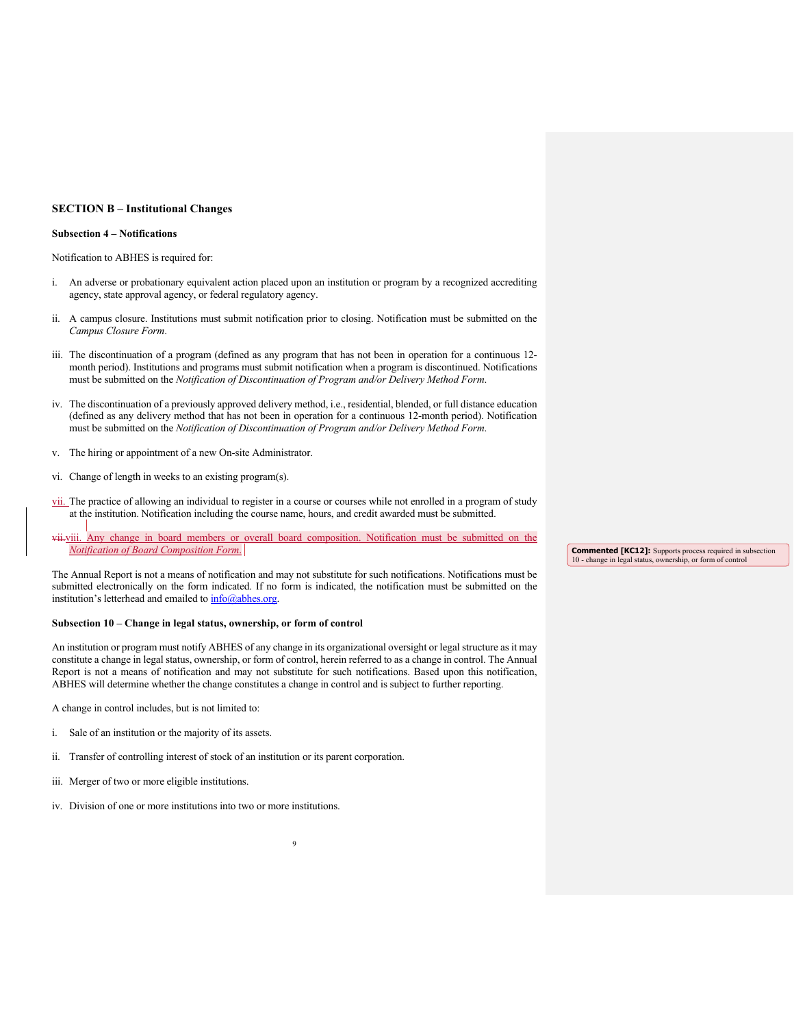#### **SECTION B – Institutional Changes**

#### **Subsection 4 – Notifications**

Notification to ABHES is required for:

- i. An adverse or probationary equivalent action placed upon an institution or program by a recognized accrediting agency, state approval agency, or federal regulatory agency.
- ii. A campus closure. Institutions must submit notification prior to closing. Notification must be submitted on the *Campus Closure Form*.
- iii. The discontinuation of a program (defined as any program that has not been in operation for a continuous 12 month period). Institutions and programs must submit notification when a program is discontinued. Notifications must be submitted on the *Notification of Discontinuation of Program and/or Delivery Method Form*.
- iv. The discontinuation of a previously approved delivery method, i.e., residential, blended, or full distance education (defined as any delivery method that has not been in operation for a continuous 12-month period). Notification must be submitted on the *Notification of Discontinuation of Program and/or Delivery Method Form*.
- v. The hiring or appointment of a new On-site Administrator.
- vi. Change of length in weeks to an existing program(s).
- vii. The practice of allowing an individual to register in a course or courses while not enrolled in a program of study at the institution. Notification including the course name, hours, and credit awarded must be submitted.
- vii. Any change in board members or overall board composition. Notification must be submitted on the *Notification of Board Composition Form*.

The Annual Report is not a means of notification and may not substitute for such notifications. Notifications must be submitted electronically on the form indicated. If no form is indicated, the notification must be submitted on the institution's letterhead and emailed to  $\frac{info(@abhes.org)}{info(@abhes.org)}$ 

#### **Subsection 10 – Change in legal status, ownership, or form of control**

An institution or program must notify ABHES of any change in its organizational oversight or legal structure as it may constitute a change in legal status, ownership, or form of control, herein referred to as a change in control. The Annual Report is not a means of notification and may not substitute for such notifications. Based upon this notification, ABHES will determine whether the change constitutes a change in control and is subject to further reporting.

A change in control includes, but is not limited to:

- i. Sale of an institution or the majority of its assets.
- ii. Transfer of controlling interest of stock of an institution or its parent corporation.
- iii. Merger of two or more eligible institutions.
- iv. Division of one or more institutions into two or more institutions.

**Commented [KC12]:** Supports process required in subsection 10 - change in legal status, ownership, or form of control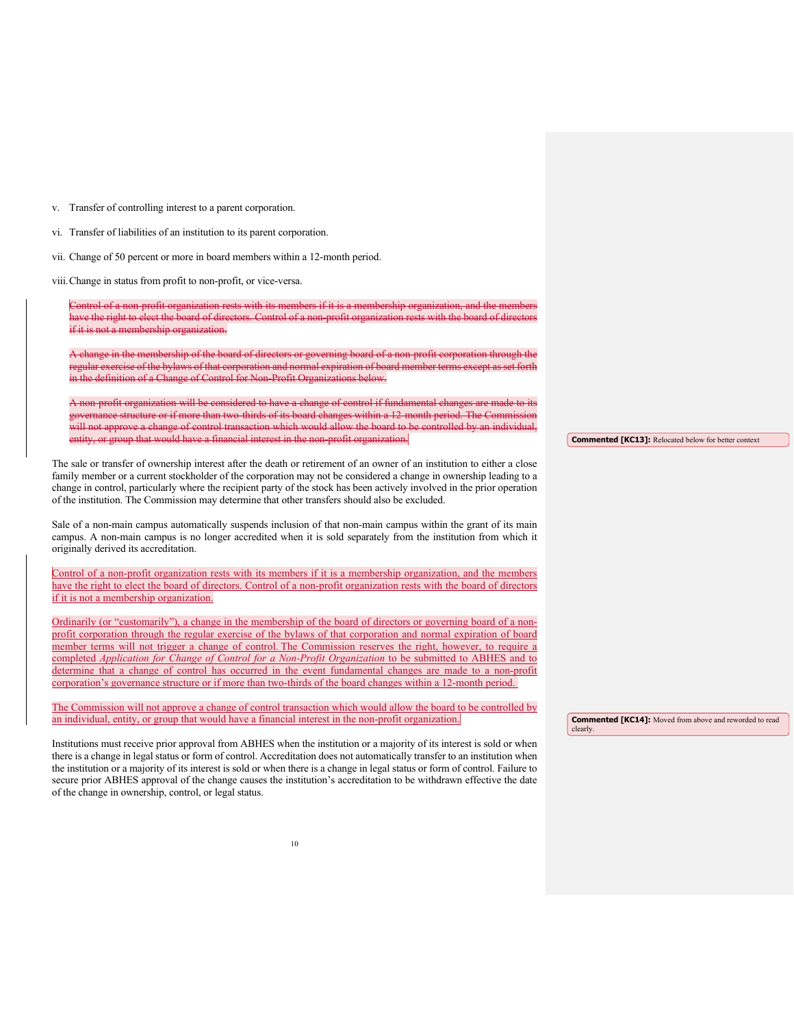v. Transfer of controlling interest to a parent corporation.

vi. Transfer of liabilities of an institution to its parent corporation.

vii. Change of 50 percent or more in board members within a 12-month period.

viii.Change in status from profit to non-profit, or vice-versa.

Control of a non-profit organization rests with its members if it is a membership organization, and the Control ave the right to elect the board of directors. Control of a non-profit organization rests with the board of dire if it is not a membership organization.

A change in the membership of the board of directors or governing board of a non-profit corporation through the regular exercise of the bylaws of that corporation and normal expiration of board member terms except as set forth ition of a Change of Control for Non-Profit Org

A non-profit organization will be considered to have a change of control if fundamental changes are made to its mance structure or if more than two-thirds of its board changes within a 12-month period. The Commi will not approve a change of control transaction which would allow the board to be controlled by an individual, entity, or group that would have a financial interest in the non-profit organization.

The sale or transfer of ownership interest after the death or retirement of an owner of an institution to either a close family member or a current stockholder of the corporation may not be considered a change in ownership leading to a change in control, particularly where the recipient party of the stock has been actively involved in the prior operation of the institution. The Commission may determine that other transfers should also be excluded.

Sale of a non-main campus automatically suspends inclusion of that non-main campus within the grant of its main campus. A non-main campus is no longer accredited when it is sold separately from the institution from which it originally derived its accreditation.

Control of a non-profit organization rests with its members if it is a membership organization, and the members have the right to elect the board of directors. Control of a non-profit organization rests with the board of directors if it is not a membership organization.

Ordinarily (or "customarily"), a change in the membership of the board of directors or governing board of a nonprofit corporation through the regular exercise of the bylaws of that corporation and normal expiration of board member terms will not trigger a change of control. The Commission reserves the right, however, to require a completed *Application for Change of Control for a Non-Profit Organization* to be submitted to ABHES and to determine that a change of control has occurred in the event fundamental changes are made to a non-profit corporation's governance structure or if more than two-thirds of the board changes within a 12-month period.

The Commission will not approve a change of control transaction which would allow the board to be controlled by an individual, entity, or group that would have a financial interest in the non-profit organization.

Institutions must receive prior approval from ABHES when the institution or a majority of its interest is sold or when there is a change in legal status or form of control. Accreditation does not automatically transfer to an institution when the institution or a majority of its interest is sold or when there is a change in legal status or form of control. Failure to secure prior ABHES approval of the change causes the institution's accreditation to be withdrawn effective the date of the change in ownership, control, or legal status.

**Commented [KC13]:** Relocated below for better context

**Commented [KC14]:** Moved from above and reworded to read clearly.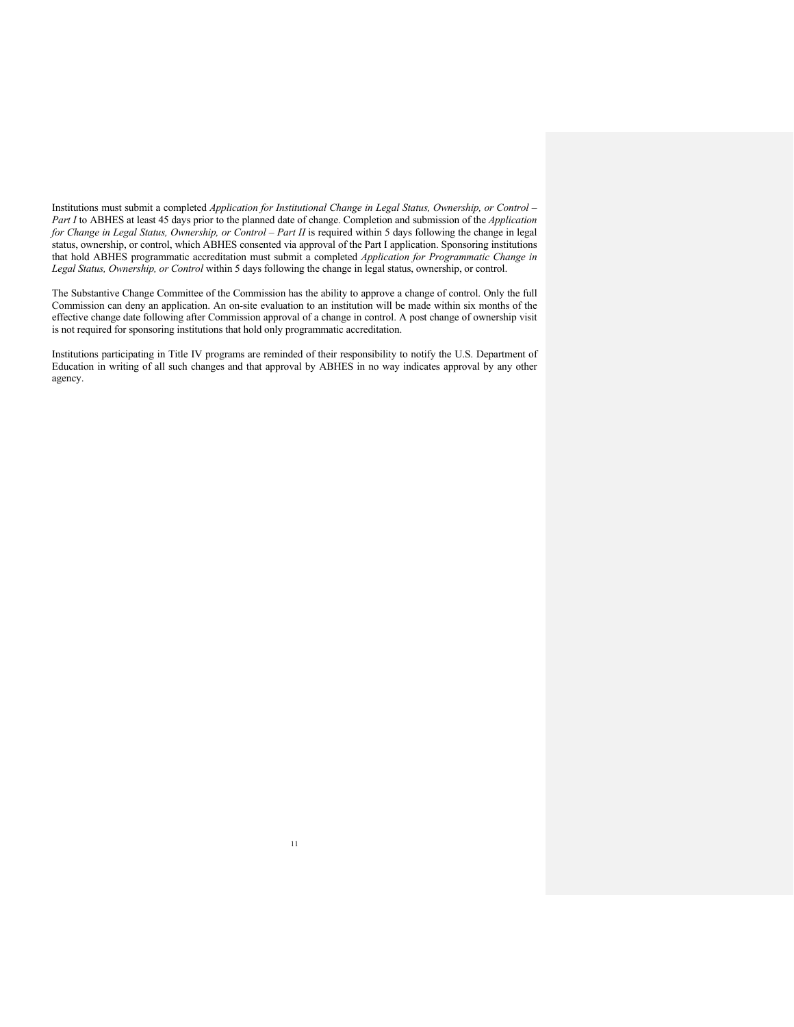Institutions must submit a completed *Application for Institutional Change in Legal Status, Ownership, or Control – Part I* to ABHES at least 45 days prior to the planned date of change. Completion and submission of the *Application for Change in Legal Status, Ownership, or Control – Part II* is required within 5 days following the change in legal status, ownership, or control, which ABHES consented via approval of the Part I application. Sponsoring institutions that hold ABHES programmatic accreditation must submit a completed *Application for Programmatic Change in Legal Status, Ownership, or Control* within 5 days following the change in legal status, ownership, or control.

The Substantive Change Committee of the Commission has the ability to approve a change of control. Only the full Commission can deny an application. An on-site evaluation to an institution will be made within six months of the effective change date following after Commission approval of a change in control. A post change of ownership visit is not required for sponsoring institutions that hold only programmatic accreditation.

Institutions participating in Title IV programs are reminded of their responsibility to notify the U.S. Department of Education in writing of all such changes and that approval by ABHES in no way indicates approval by any other agency.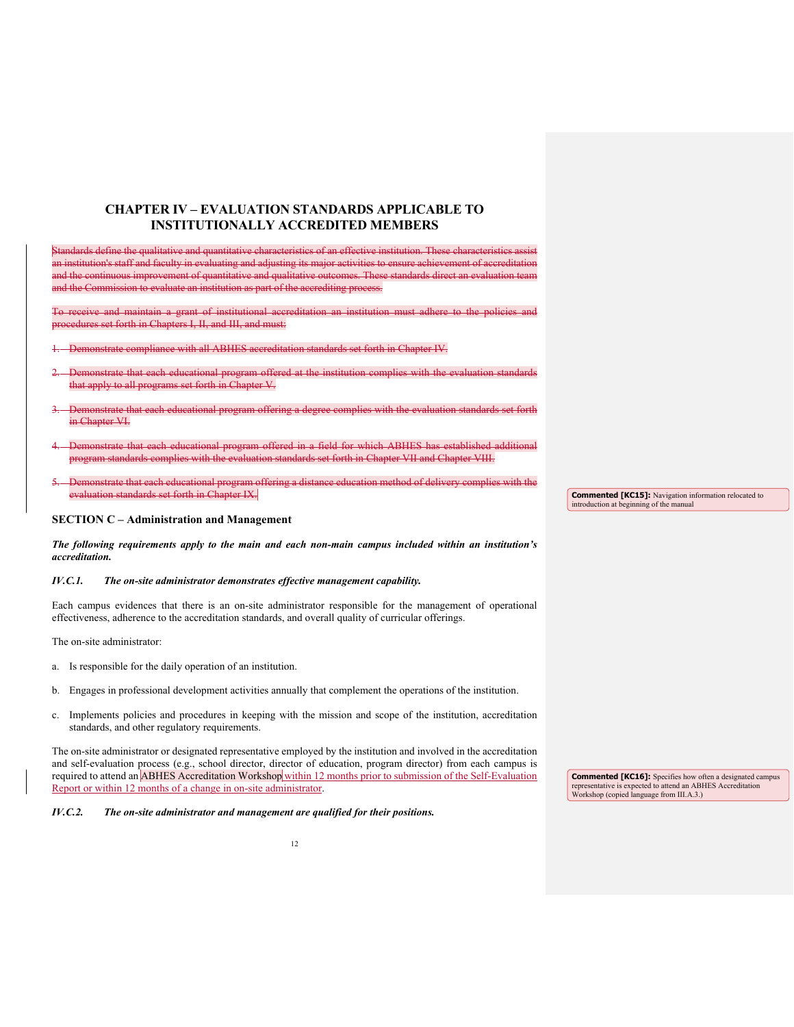## **CHAPTER IV – EVALUATION STANDARDS APPLICABLE TO INSTITUTIONALLY ACCREDITED MEMBERS**

Standards define the qualitative and quantitative characteristics of an effective institution. These characteristics assist an institution's staff and faculty in evaluating and adjusting its major activities to ensure achievement of accreditation and the continuous improvement of quantitative and qualitative outcomes. These standards direct and teaming di and the Commission to evaluate an institution as part of the accrediting process.

To receive and maintain a grant of institutional accreditation an institution must adhere to the policies and edures set forth in Chapters I, II, and III, and must:

- 1. Demonstrate compliance with all ABHES accreditation standards set forth in Chapter IV.
- monstrate that each educational program offered at the institution complies with the evaluation standards that apply to all programs set forth in Chapter V.
- Demonstrate that each educational program offering a degree complies with the evaluation standards set forth in Chapter VI.
- 4. Demonstrate that each educational program offered in a field for which ABHES has established additional program standards complies with the evaluation standards set forth in Chapter VII and Chapter VIII.
- nstrate that each educational program offering a distance education method of delivery complies with the evaluation standards set forth in Chapter IX.

#### **SECTION C – Administration and Management**

*The following requirements apply to the main and each non-main campus included within an institution's accreditation.* 

#### *IV.C.1. The on-site administrator demonstrates effective management capability.*

Each campus evidences that there is an on-site administrator responsible for the management of operational effectiveness, adherence to the accreditation standards, and overall quality of curricular offerings.

The on-site administrator:

- a. Is responsible for the daily operation of an institution.
- b. Engages in professional development activities annually that complement the operations of the institution.
- c. Implements policies and procedures in keeping with the mission and scope of the institution, accreditation standards, and other regulatory requirements.

The on-site administrator or designated representative employed by the institution and involved in the accreditation and self-evaluation process (e.g., school director, director of education, program director) from each campus is required to attend an ABHES Accreditation Workshop within 12 months prior to submission of the Self-Evaluation Report or within 12 months of a change in on-site administrator.

*IV.C.2. The on-site administrator and management are qualified for their positions.* 

**Commented [KC15]:** Navigation information relocated to introduction at beginning of the manual

**Commented [KC16]:** Specifies how often a designated campus representative is expected to attend an ABHES Accreditation Workshop (copied language from III.A.3.)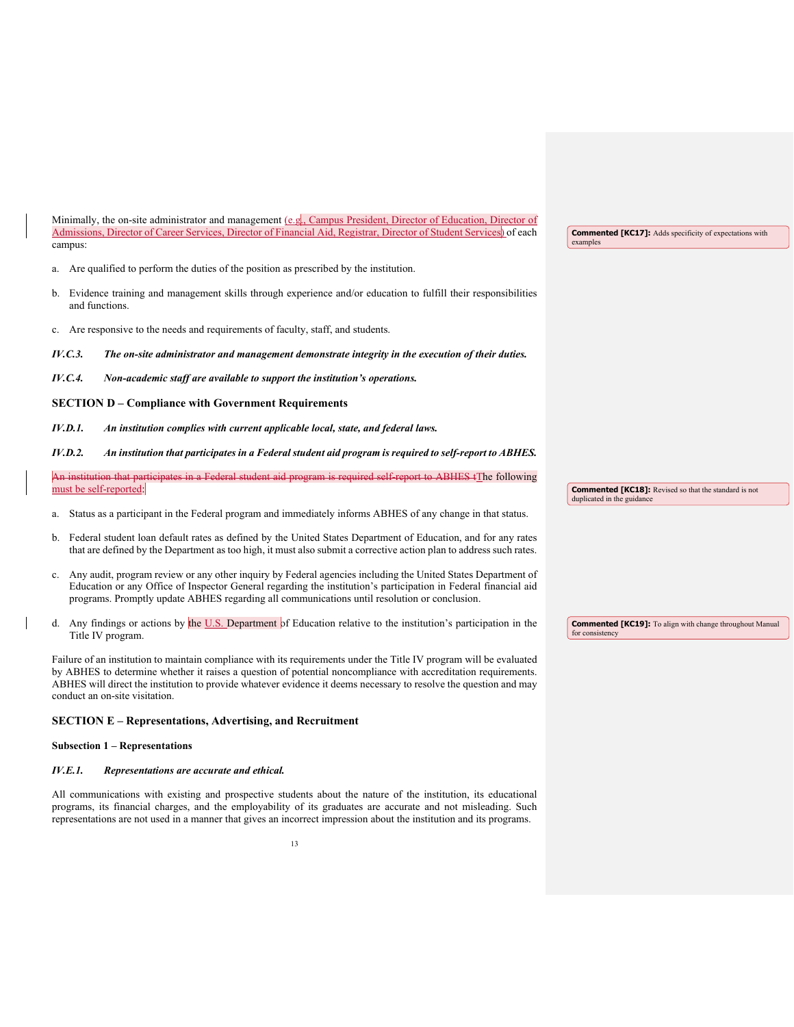| Minimally, the on-site administrator and management (e.g., Campus President, Director of Education, Director of      |  |
|----------------------------------------------------------------------------------------------------------------------|--|
| Admissions, Director of Career Services, Director of Financial Aid, Registrar, Director of Student Services) of each |  |
| campus:                                                                                                              |  |

- a. Are qualified to perform the duties of the position as prescribed by the institution.
- b. Evidence training and management skills through experience and/or education to fulfill their responsibilities and functions.
- c. Are responsive to the needs and requirements of faculty, staff, and students.
- *IV.C.3. The on-site administrator and management demonstrate integrity in the execution of their duties.*
- *IV.C.4. Non-academic staff are available to support the institution's operations.*

#### **SECTION D – Compliance with Government Requirements**

*IV.D.1. An institution complies with current applicable local, state, and federal laws.* 

#### *IV.D.2. An institution that participates in a Federal student aid program is required to self-report to ABHES.*

A<del>n institution that participates in a Federal student aid program is required self-report to ABHES t</del>The following must be self-reported:

- a. Status as a participant in the Federal program and immediately informs ABHES of any change in that status.
- b. Federal student loan default rates as defined by the United States Department of Education, and for any rates that are defined by the Department as too high, it must also submit a corrective action plan to address such rates.
- c. Any audit, program review or any other inquiry by Federal agencies including the United States Department of Education or any Office of Inspector General regarding the institution's participation in Federal financial aid programs. Promptly update ABHES regarding all communications until resolution or conclusion.
- d. Any findings or actions by the U.S. Department of Education relative to the institution's participation in the Title IV program.

Failure of an institution to maintain compliance with its requirements under the Title IV program will be evaluated by ABHES to determine whether it raises a question of potential noncompliance with accreditation requirements. ABHES will direct the institution to provide whatever evidence it deems necessary to resolve the question and may conduct an on-site visitation.

#### **SECTION E – Representations, Advertising, and Recruitment**

#### **Subsection 1 – Representations**

#### *IV.E.1. Representations are accurate and ethical.*

All communications with existing and prospective students about the nature of the institution, its educational programs, its financial charges, and the employability of its graduates are accurate and not misleading. Such representations are not used in a manner that gives an incorrect impression about the institution and its programs.

**Commented [KC17]:** Adds specificity of expectations with examples

**Commented [KC19]:** To align with change throughout Manual

**Commented [KC18]:** Revised so that the standard is not

duplicated in the guidance

for consistency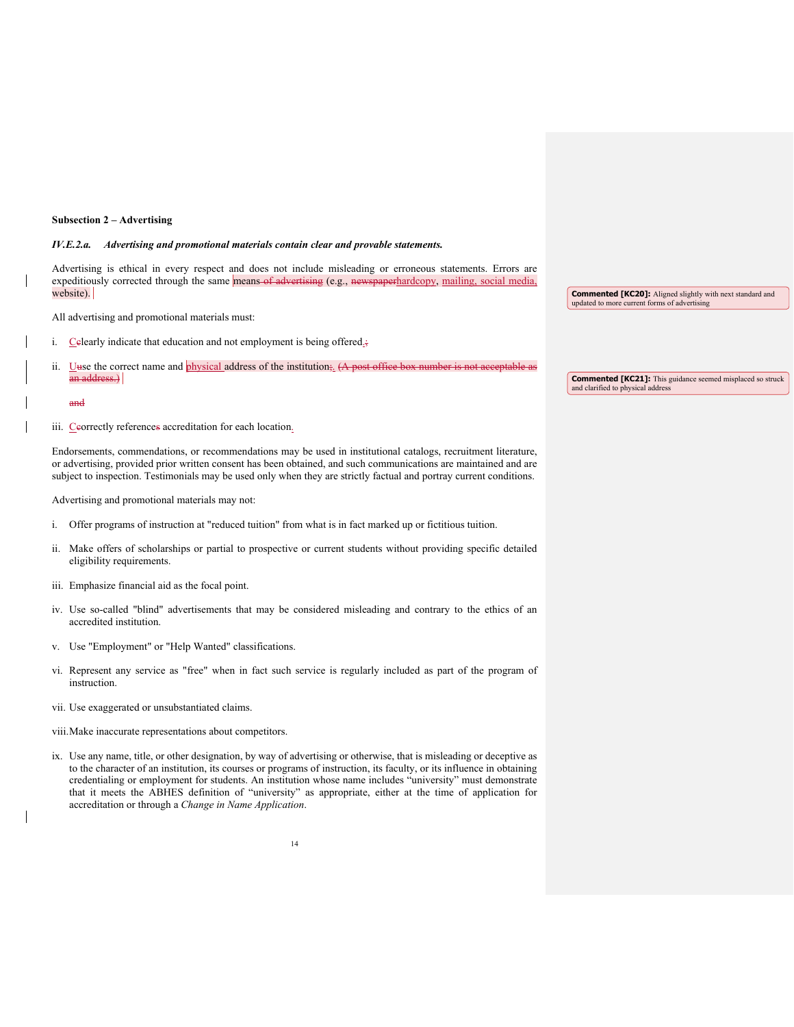#### **Subsection 2 – Advertising**

#### *IV.E.2.a. Advertising and promotional materials contain clear and provable statements.*

Advertising is ethical in every respect and does not include misleading or erroneous statements. Errors are expeditiously corrected through the same means of advertising (e.g., newspaperhardcopy, mailing, social media, website).

All advertising and promotional materials must:

- i. Celearly indicate that education and not employment is being offered.;
- ii. Uuse the correct name and physical address of the institution;. (A post office box number is not acceptable as an address.) **Commented [KC21]:** This guidance seemed misplaced so struck and clarified to physical address

#### and

iii. Ceorrectly references accreditation for each location.

Endorsements, commendations, or recommendations may be used in institutional catalogs, recruitment literature, or advertising, provided prior written consent has been obtained, and such communications are maintained and are subject to inspection. Testimonials may be used only when they are strictly factual and portray current conditions.

Advertising and promotional materials may not:

- i. Offer programs of instruction at "reduced tuition" from what is in fact marked up or fictitious tuition.
- ii. Make offers of scholarships or partial to prospective or current students without providing specific detailed eligibility requirements.
- iii. Emphasize financial aid as the focal point.
- iv. Use so-called "blind" advertisements that may be considered misleading and contrary to the ethics of an accredited institution.
- v. Use "Employment" or "Help Wanted" classifications.
- vi. Represent any service as "free" when in fact such service is regularly included as part of the program of instruction.
- vii. Use exaggerated or unsubstantiated claims.
- viii.Make inaccurate representations about competitors.
- ix. Use any name, title, or other designation, by way of advertising or otherwise, that is misleading or deceptive as to the character of an institution, its courses or programs of instruction, its faculty, or its influence in obtaining credentialing or employment for students. An institution whose name includes "university" must demonstrate that it meets the ABHES definition of "university" as appropriate, either at the time of application for accreditation or through a *Change in Name Application*.

**Commented [KC20]:** Aligned slightly with next standard and updated to more current forms of advertising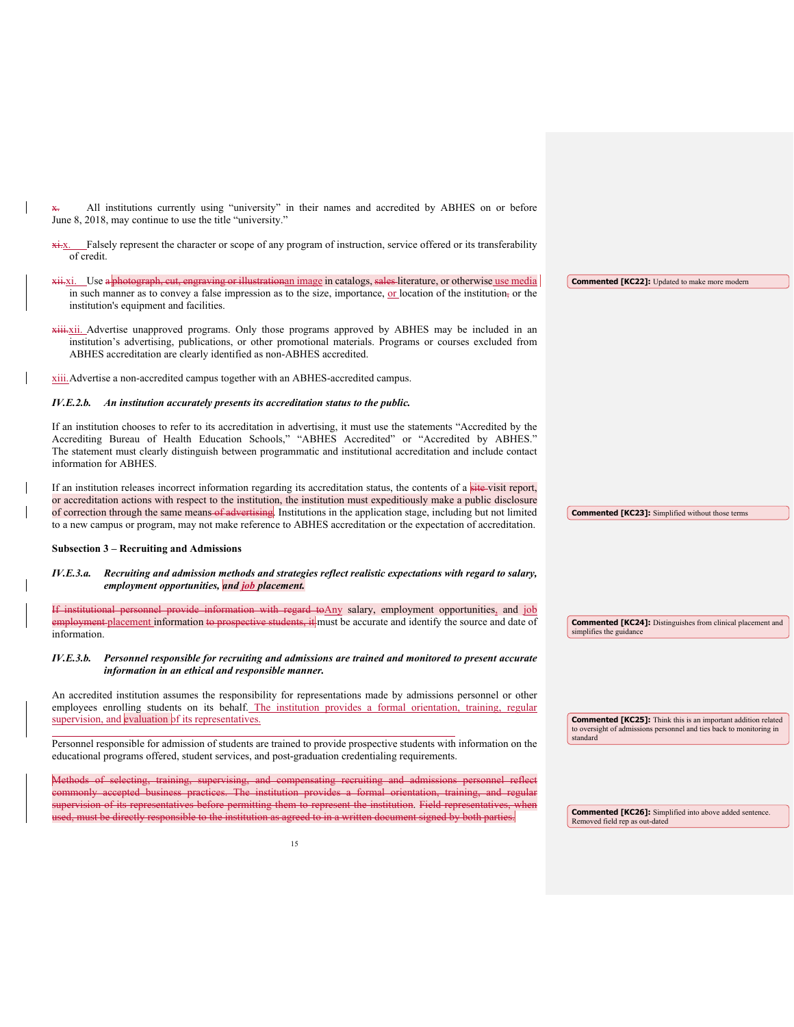All institutions currently using "university" in their names and accredited by ABHES on or before June 8, 2018, may continue to use the title "university."

xi. Falsely represent the character or scope of any program of instruction, service offered or its transferability of credit.

xii. Use a photograph, cut, engraving or illustrationan image in catalogs, sales literature, or otherwise use media in such manner as to convey a false impression as to the size, importance, or location of the institution, or the institution's equipment and facilities.

**xiii.** Xii. Advertise unapproved programs. Only those programs approved by ABHES may be included in an institution's advertising, publications, or other promotional materials. Programs or courses excluded from ABHES accreditation are clearly identified as non-ABHES accredited.

xiii.Advertise a non-accredited campus together with an ABHES-accredited campus.

#### *IV.E.2.b. An institution accurately presents its accreditation status to the public.*

If an institution chooses to refer to its accreditation in advertising, it must use the statements "Accredited by the Accrediting Bureau of Health Education Schools," "ABHES Accredited" or "Accredited by ABHES." The statement must clearly distinguish between programmatic and institutional accreditation and include contact information for ABHES.

If an institution releases incorrect information regarding its accreditation status, the contents of a site-visit report, or accreditation actions with respect to the institution, the institution must expeditiously make a public disclosure of correction through the same means of advertising. Institutions in the application stage, including but not limited to a new campus or program, may not make reference to ABHES accreditation or the expectation of accreditation.

#### **Subsection 3 – Recruiting and Admissions**

#### *IV.E.3.a. Recruiting and admission methods and strategies reflect realistic expectations with regard to salary, employment opportunities, and job placement.*

If institutional personnel provide information with regard toAny salary, employment opportunities, and job **Exployment placement information to prospective students, it** must be accurate and identify the source and date of information.

#### *IV.E.3.b. Personnel responsible for recruiting and admissions are trained and monitored to present accurate information in an ethical and responsible manner.*

An accredited institution assumes the responsibility for representations made by admissions personnel or other employees enrolling students on its behalf. The institution provides a formal orientation, training, regular supervision, and evaluation of its representatives.

Personnel responsible for admission of students are trained to provide prospective students with information on the educational programs offered, student services, and post-graduation credentialing requirements.

Methods of selecting, training, supervising, and compensating recruiting and admissions personnel commonly accepted business practices. The institution provides a formal orientation, training, and regular ision of its representatives before permitting them to represent the institution. Field ust be directly responsible to the institution as agreed to in a written document signed b

**Commented [KC22]:** Updated to make more modern

**Commented [KC23]:** Simplified without those terms

**Commented [KC25]:** Think this is an important addition related to oversight of admissions personnel and ties back to monitoring in standard

**Commented [KC24]:** Distinguishes from clinical placement and

simplifies the guidance

**Commented [KC26]:** Simplified into above added sentence. Removed field rep as out-dated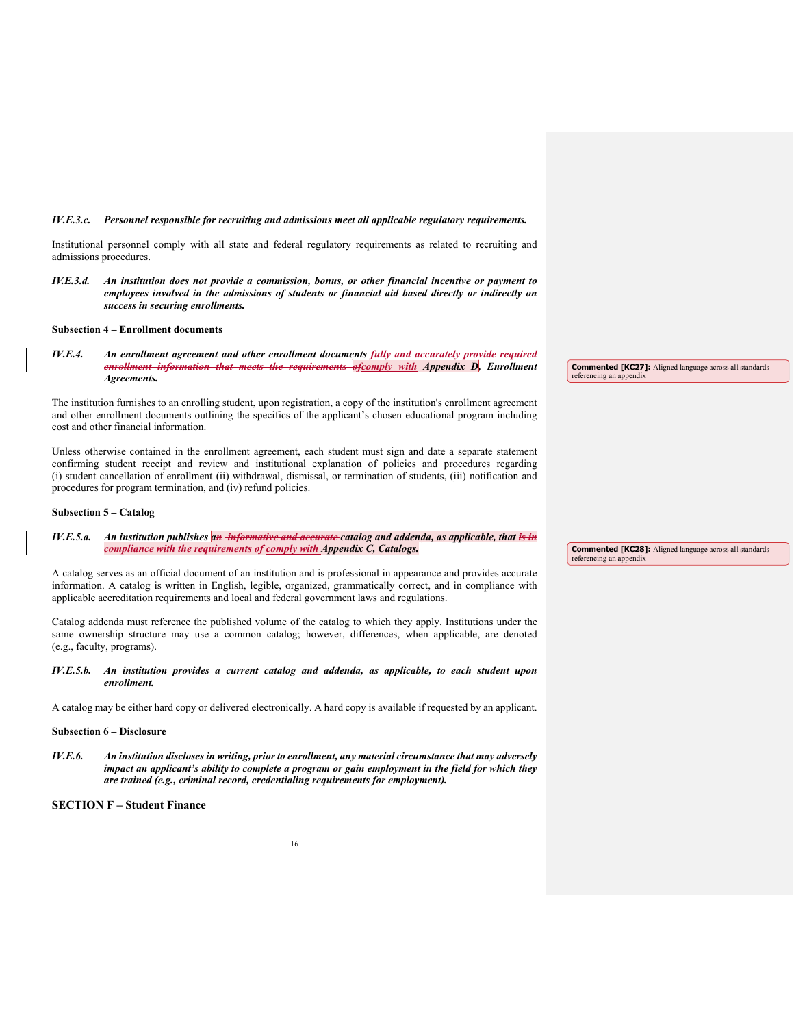#### *IV.E.3.c. Personnel responsible for recruiting and admissions meet all applicable regulatory requirements.*

Institutional personnel comply with all state and federal regulatory requirements as related to recruiting and admissions procedures.

*IV.E.3.d. An institution does not provide a commission, bonus, or other financial incentive or payment to employees involved in the admissions of students or financial aid based directly or indirectly on success in securing enrollments.*

#### **Subsection 4 – Enrollment documents**

*IV.E.4.* An enrollment agreement and other enrollment documents fully and a curation that meets the requirements of complexible requirements of complexible requirements and the requirements of complexible requirements and *information that meets the requirements ofcomply with Appendix D, Enrollment Agreements.*

The institution furnishes to an enrolling student, upon registration, a copy of the institution's enrollment agreement and other enrollment documents outlining the specifics of the applicant's chosen educational program including cost and other financial information.

Unless otherwise contained in the enrollment agreement, each student must sign and date a separate statement confirming student receipt and review and institutional explanation of policies and procedures regarding (i) student cancellation of enrollment (ii) withdrawal, dismissal, or termination of students, (iii) notification and procedures for program termination, and (iv) refund policies.

#### **Subsection 5 – Catalog**

*IV.E.5.a. An institution publishes an informative and accurate catalog and addenda, as applicable, that is in compliance with the requirements of comply with Appendix C, Catalogs.* 

A catalog serves as an official document of an institution and is professional in appearance and provides accurate information. A catalog is written in English, legible, organized, grammatically correct, and in compliance with applicable accreditation requirements and local and federal government laws and regulations.

Catalog addenda must reference the published volume of the catalog to which they apply. Institutions under the same ownership structure may use a common catalog; however, differences, when applicable, are denoted (e.g., faculty, programs).

#### *IV.E.5.b. An institution provides a current catalog and addenda, as applicable, to each student upon enrollment.*

A catalog may be either hard copy or delivered electronically. A hard copy is available if requested by an applicant.

#### **Subsection 6 – Disclosure**

*IV.E.6. An institution discloses in writing, prior to enrollment, any material circumstance that may adversely impact an applicant's ability to complete a program or gain employment in the field for which they are trained (e.g., criminal record, credentialing requirements for employment).* 

#### **SECTION F – Student Finance**

**Commented [KC27]:** Aligned language across all standards referencing an appendix

**Commented [KC28]:** Aligned language across all standards referencing an appendix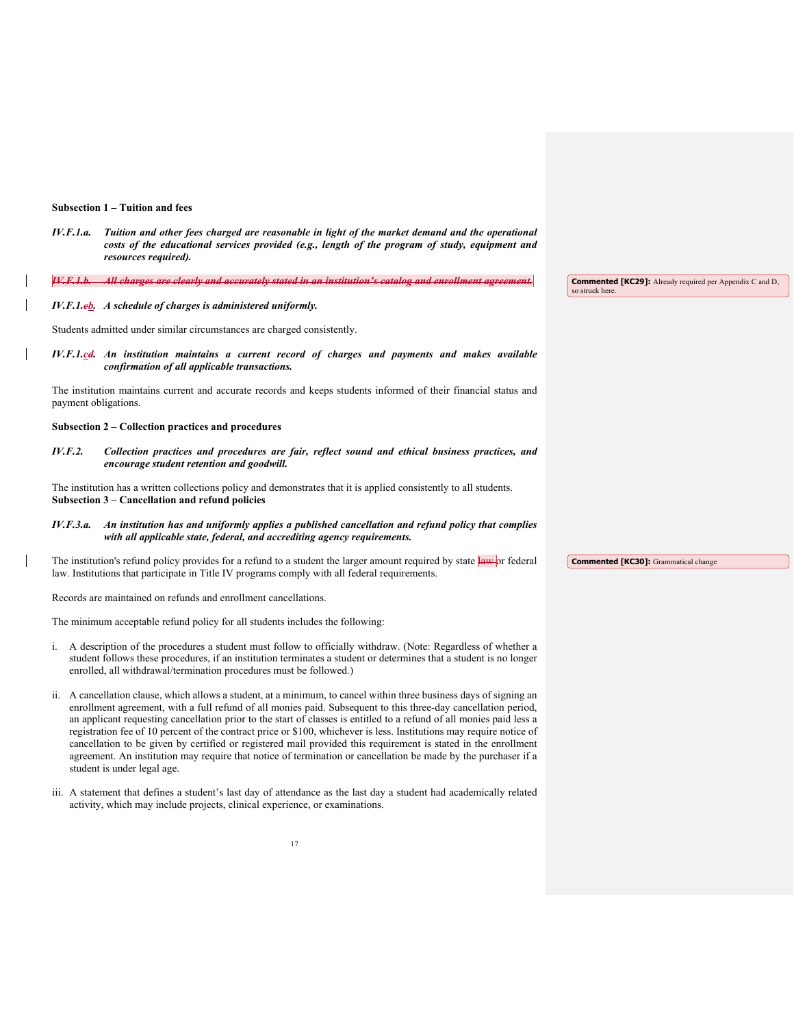#### **Subsection 1 – Tuition and fees**

*IV.F.1.a. Tuition and other fees charged are reasonable in light of the market demand and the operational costs of the educational services provided (e.g., length of the program of study, equipment and resources required).* 

| All charges are clearly and accurately stated in an institution's catalog and enrollment agreement<br>— на спитуся иго силиту или исситиклу мика иг иг пыниноп в силиоз или сптонной изтестилы | <b>Commented [KC29]:</b> Already required per Appendix C and D |
|------------------------------------------------------------------------------------------------------------------------------------------------------------------------------------------------|----------------------------------------------------------------|
|                                                                                                                                                                                                | so struck here.                                                |

#### *IV.F.1.cb. A schedule of charges is administered uniformly.*

Students admitted under similar circumstances are charged consistently.

*IV.F.1.cd. An institution maintains a current record of charges and payments and makes available confirmation of all applicable transactions.* 

The institution maintains current and accurate records and keeps students informed of their financial status and payment obligations.

#### **Subsection 2 – Collection practices and procedures**

*IV.F.2. Collection practices and procedures are fair, reflect sound and ethical business practices, and encourage student retention and goodwill.*

The institution has a written collections policy and demonstrates that it is applied consistently to all students. **Subsection 3 – Cancellation and refund policies** 

#### *IV.F.3.a. An institution has and uniformly applies a published cancellation and refund policy that complies with all applicable state, federal, and accrediting agency requirements.*

The institution's refund policy provides for a refund to a student the larger amount required by state law or federal law. Institutions that participate in Title IV programs comply with all federal requirements.

Records are maintained on refunds and enrollment cancellations.

The minimum acceptable refund policy for all students includes the following:

- i. A description of the procedures a student must follow to officially withdraw. (Note: Regardless of whether a student follows these procedures, if an institution terminates a student or determines that a student is no longer enrolled, all withdrawal/termination procedures must be followed.)
- ii. A cancellation clause, which allows a student, at a minimum, to cancel within three business days of signing an enrollment agreement, with a full refund of all monies paid. Subsequent to this three-day cancellation period, an applicant requesting cancellation prior to the start of classes is entitled to a refund of all monies paid less a registration fee of 10 percent of the contract price or \$100, whichever is less. Institutions may require notice of cancellation to be given by certified or registered mail provided this requirement is stated in the enrollment agreement. An institution may require that notice of termination or cancellation be made by the purchaser if a student is under legal age.
- iii. A statement that defines a student's last day of attendance as the last day a student had academically related activity, which may include projects, clinical experience, or examinations.

**Commented [KC30]:** Grammatical change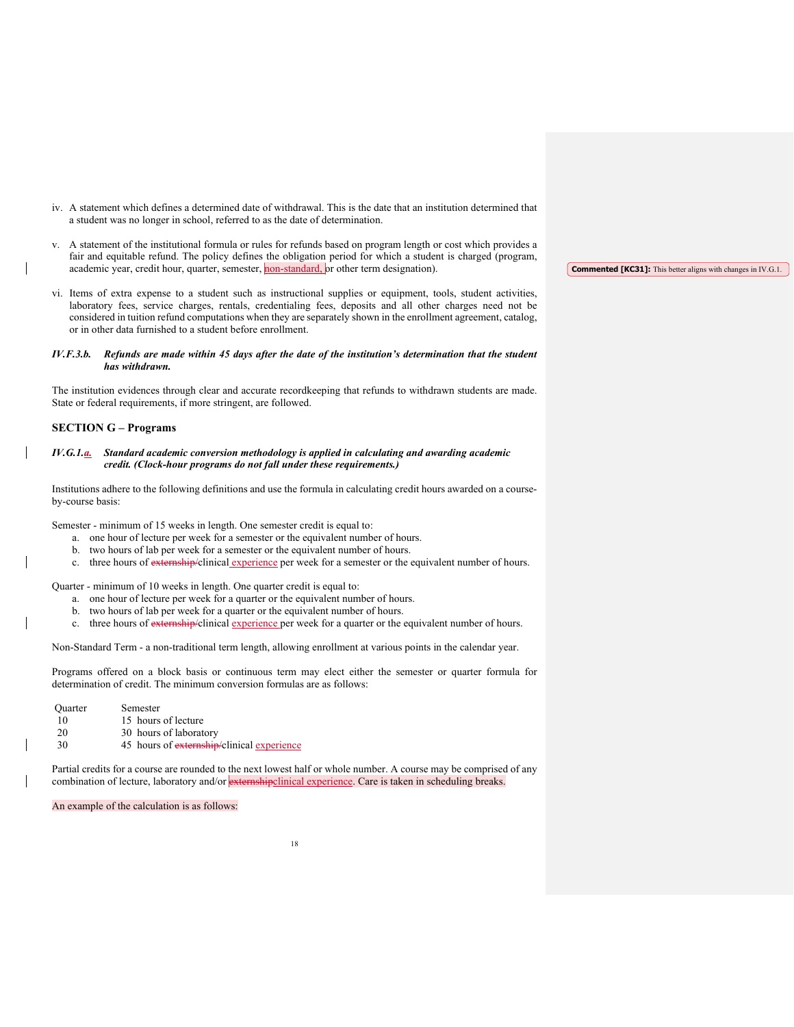- iv. A statement which defines a determined date of withdrawal. This is the date that an institution determined that a student was no longer in school, referred to as the date of determination.
- v. A statement of the institutional formula or rules for refunds based on program length or cost which provides a fair and equitable refund. The policy defines the obligation period for which a student is charged (program, academic year, credit hour, quarter, semester, non-standard, or other term designation).
- vi. Items of extra expense to a student such as instructional supplies or equipment, tools, student activities, laboratory fees, service charges, rentals, credentialing fees, deposits and all other charges need not be considered in tuition refund computations when they are separately shown in the enrollment agreement, catalog, or in other data furnished to a student before enrollment.

#### *IV.F.3.b. Refunds are made within 45 days after the date of the institution's determination that the student has withdrawn.*

The institution evidences through clear and accurate recordkeeping that refunds to withdrawn students are made. State or federal requirements, if more stringent, are followed.

### **SECTION G – Programs**

#### *IV.G.1.a. Standard academic conversion methodology is applied in calculating and awarding academic credit. (Clock-hour programs do not fall under these requirements.)*

Institutions adhere to the following definitions and use the formula in calculating credit hours awarded on a courseby-course basis:

Semester - minimum of 15 weeks in length. One semester credit is equal to:

- a. one hour of lecture per week for a semester or the equivalent number of hours.
- b. two hours of lab per week for a semester or the equivalent number of hours.
- c. three hours of externship/clinical experience per week for a semester or the equivalent number of hours.

Quarter - minimum of 10 weeks in length. One quarter credit is equal to:

- a. one hour of lecture per week for a quarter or the equivalent number of hours.
- b. two hours of lab per week for a quarter or the equivalent number of hours.
- c. three hours of externship/clinical experience per week for a quarter or the equivalent number of hours.

Non-Standard Term - a non-traditional term length, allowing enrollment at various points in the calendar year.

Programs offered on a block basis or continuous term may elect either the semester or quarter formula for determination of credit. The minimum conversion formulas are as follows:

Quarter Semester 10 15 hours of lecture 20 30 hours of laboratory 30 45 hours of externship/clinical experience

Partial credits for a course are rounded to the next lowest half or whole number. A course may be comprised of any combination of lecture, laboratory and/or **externshipclinical experience**. Care is taken in scheduling breaks.

An example of the calculation is as follows:

**Commented [KC31]:** This better aligns with changes in IV.G.1.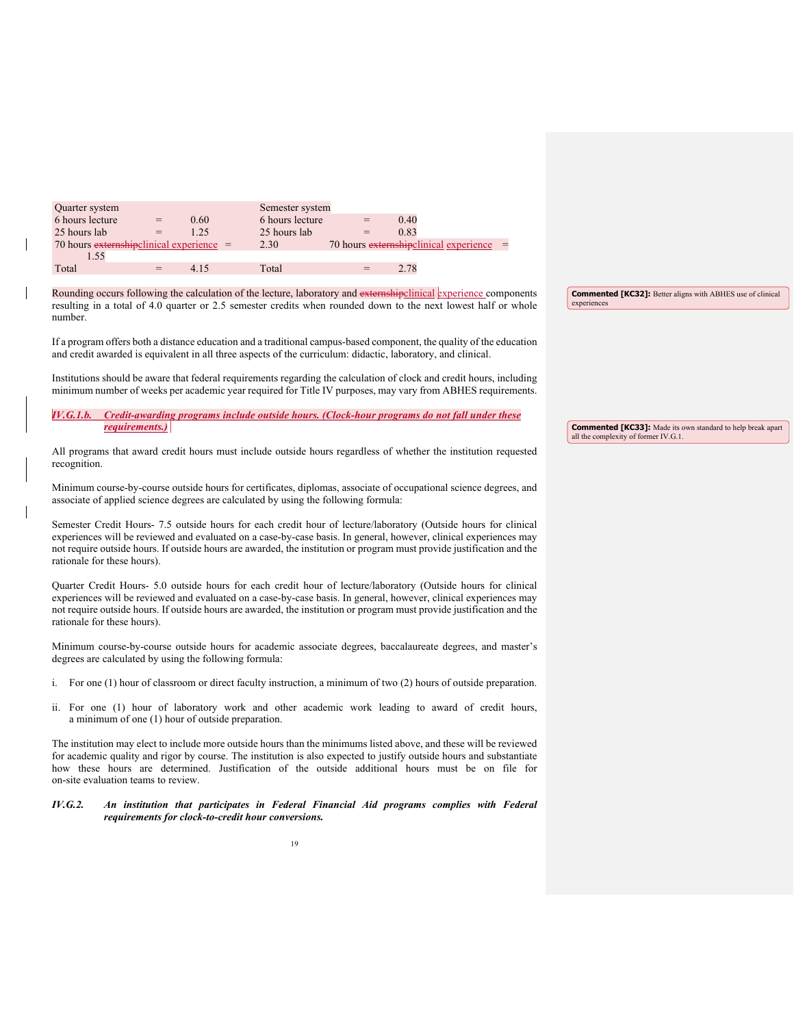| Quarter system                             |     |      | Semester system |     |                                             |  |
|--------------------------------------------|-----|------|-----------------|-----|---------------------------------------------|--|
| 6 hours lecture                            | $=$ | 0.60 | 6 hours lecture | $=$ | 0.40                                        |  |
| 25 hours lab                               | $=$ | 1.25 | 25 hours lab    | $=$ | 0.83                                        |  |
| 70 hours externshipclinical experience $=$ |     |      | 2.30            |     | 70 hours $ext{emshipclinical experience}$ = |  |
|                                            |     |      |                 |     |                                             |  |
| Total                                      | $=$ | 4.15 | Total           | $=$ | 2.78                                        |  |

Rounding occurs following the calculation of the lecture, laboratory and externshipclinical experience components resulting in a total of 4.0 quarter or 2.5 semester credits when rounded down to the next lowest half or whole number.

If a program offers both a distance education and a traditional campus-based component, the quality of the education and credit awarded is equivalent in all three aspects of the curriculum: didactic, laboratory, and clinical.

Institutions should be aware that federal requirements regarding the calculation of clock and credit hours, including minimum number of weeks per academic year required for Title IV purposes, may vary from ABHES requirements.

| IV, G.1.b. Credit-awarding programs include outside hours. (Clock-hour programs do not fall under these |  |  |  |  |
|---------------------------------------------------------------------------------------------------------|--|--|--|--|
| <i>requirements.)</i>                                                                                   |  |  |  |  |

All programs that award credit hours must include outside hours regardless of whether the institution requested recognition.

Minimum course-by-course outside hours for certificates, diplomas, associate of occupational science degrees, and associate of applied science degrees are calculated by using the following formula:

Semester Credit Hours- 7.5 outside hours for each credit hour of lecture/laboratory (Outside hours for clinical experiences will be reviewed and evaluated on a case-by-case basis. In general, however, clinical experiences may not require outside hours. If outside hours are awarded, the institution or program must provide justification and the rationale for these hours).

Quarter Credit Hours- 5.0 outside hours for each credit hour of lecture/laboratory (Outside hours for clinical experiences will be reviewed and evaluated on a case-by-case basis. In general, however, clinical experiences may not require outside hours. If outside hours are awarded, the institution or program must provide justification and the rationale for these hours).

Minimum course-by-course outside hours for academic associate degrees, baccalaureate degrees, and master's degrees are calculated by using the following formula:

- i. For one (1) hour of classroom or direct faculty instruction, a minimum of two (2) hours of outside preparation.
- ii. For one (1) hour of laboratory work and other academic work leading to award of credit hours, a minimum of one (1) hour of outside preparation.

The institution may elect to include more outside hours than the minimums listed above, and these will be reviewed for academic quality and rigor by course. The institution is also expected to justify outside hours and substantiate how these hours are determined. Justification of the outside additional hours must be on file for on-site evaluation teams to review.

*IV.G.2. An institution that participates in Federal Financial Aid programs complies with Federal requirements for clock-to-credit hour conversions.* 

**Commented [KC33]:** Made its own standard to help break apart all the complexity of former IV.G.1.

**Commented [KC32]:** Better aligns with ABHES use of clinical

experiences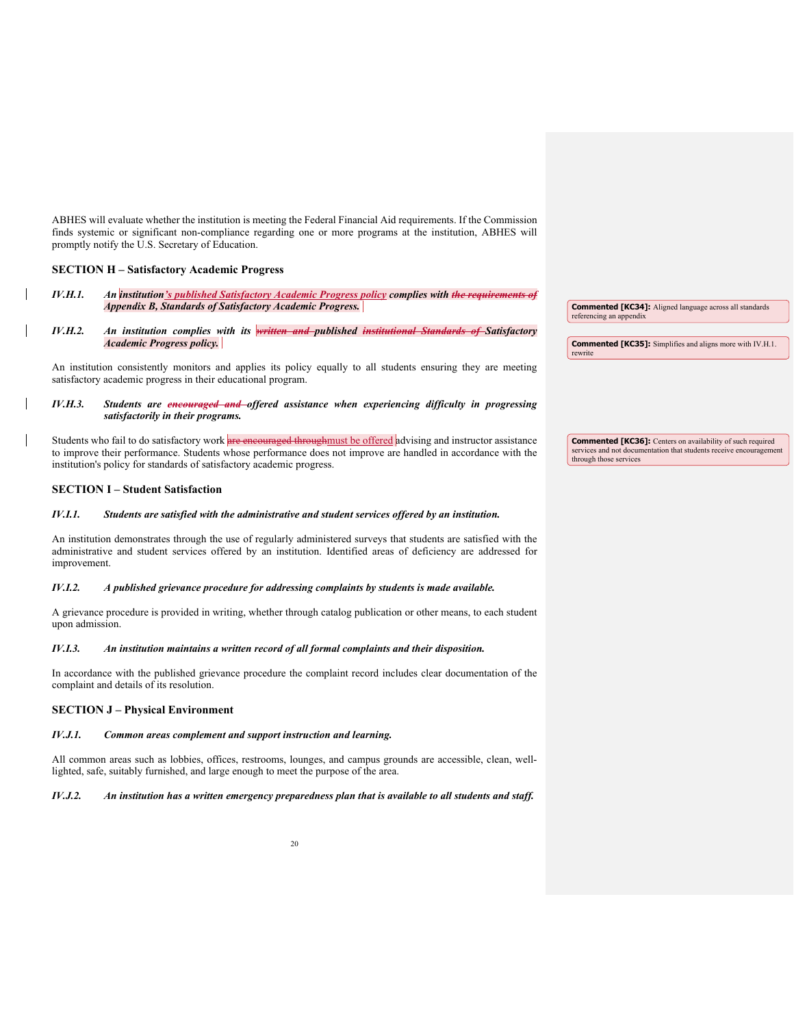ABHES will evaluate whether the institution is meeting the Federal Financial Aid requirements. If the Commission finds systemic or significant non-compliance regarding one or more programs at the institution, ABHES will promptly notify the U.S. Secretary of Education.

#### **SECTION H – Satisfactory Academic Progress**

- *IV.H.1. An institution's published Satisfactory Academic Progress policy complies with the requirements of Appendix B, Standards of Satisfactory Academic Progress.*
- *IV.H.2. An institution complies with its written and published institutional Standards of Satisfactory Academic Progress policy.*

An institution consistently monitors and applies its policy equally to all students ensuring they are meeting satisfactory academic progress in their educational program.

#### *IV.H.3. Students are encouraged and offered assistance when experiencing difficulty in progressing satisfactorily in their programs.*

Students who fail to do satisfactory work are encouraged throughmust be offered advising and instructor assistance to improve their performance. Students whose performance does not improve are handled in accordance with the institution's policy for standards of satisfactory academic progress.

#### **SECTION I – Student Satisfaction**

#### *IV.I.1. Students are satisfied with the administrative and student services offered by an institution.*

An institution demonstrates through the use of regularly administered surveys that students are satisfied with the administrative and student services offered by an institution. Identified areas of deficiency are addressed for improvement.

#### *IV.I.2. A published grievance procedure for addressing complaints by students is made available.*

A grievance procedure is provided in writing, whether through catalog publication or other means, to each student upon admission.

#### *IV.I.3. An institution maintains a written record of all formal complaints and their disposition.*

In accordance with the published grievance procedure the complaint record includes clear documentation of the complaint and details of its resolution.

### **SECTION J – Physical Environment**

#### *IV.J.1. Common areas complement and support instruction and learning.*

All common areas such as lobbies, offices, restrooms, lounges, and campus grounds are accessible, clean, welllighted, safe, suitably furnished, and large enough to meet the purpose of the area.

#### *IV.J.2. An institution has a written emergency preparedness plan that is available to all students and staff.*

**Commented [KC34]:** Aligned language across all standards referencing an appendix

**Commented [KC35]:** Simplifies and aligns more with IV.H.1. rewrite

**Commented [KC36]:** Centers on availability of such required services and not documentation that students receive encouragement through those services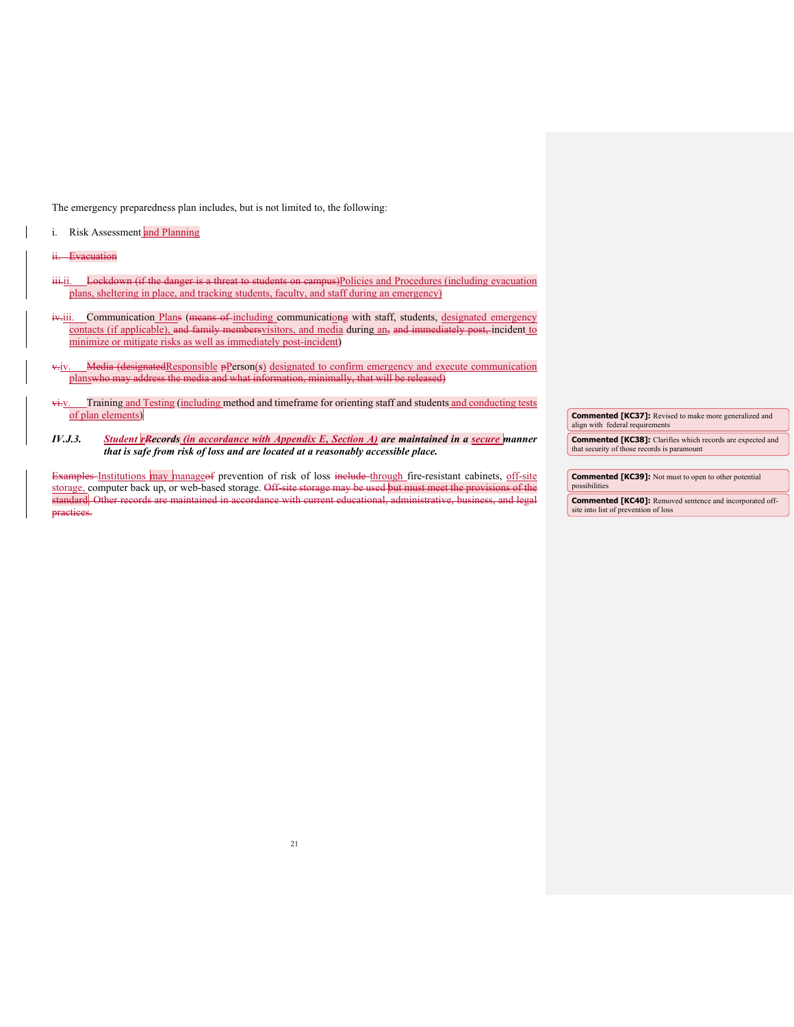The emergency preparedness plan includes, but is not limited to, the following:

i. Risk Assessment and Planning

ii. Evacuation

- iii.ii. Lockdown (if the danger is a threat to students on campus)Policies and Procedures (including evacuation plans, sheltering in place, and tracking students, faculty, and staff during an emergency)
- iv.iii. Communication Plans (means of including communicationg with staff, students, designated emergency contacts (if applicable), and family membersvisitors, and media during an, and immediately post, incident to minimize or mitigate risks as well as immediately post-incident)
- v.jv. Media (designated Responsible pPerson(s) designated to confirm emergency and execute communication planswho may address the media and what information, minimally, that will be released)
- vi.v. Training and Testing (including method and timeframe for orienting staff and students and conducting tests of plan elements)
- *IV.J.3. Student rRecords (in accordance with Appendix E, Section A) are maintained in a secure manner that is safe from risk of loss and are located at a reasonably accessible place.*

Examples Institutions may manage of prevention of risk of loss include through fire-resistant cabinets, off-site storage, computer back up, or web-based storage. Off-site storage may be used but must meet the provisions of the<br>standard. Other records are maintained in accordance with current educational, administrative, business, and standard. Other records are maintained in accordance with current educational, administrative, business, and legal actices.

**Commented [KC37]:** Revised to make more generalized and align with federal requirements **Commented [KC38]:** Clarifies which records are expected and that security of those records is paramount

**Commented [KC39]:** Not must to open to other potential possibilities **Commented [KC40]:** Removed sentence and incorporated offsite into list of prevention of loss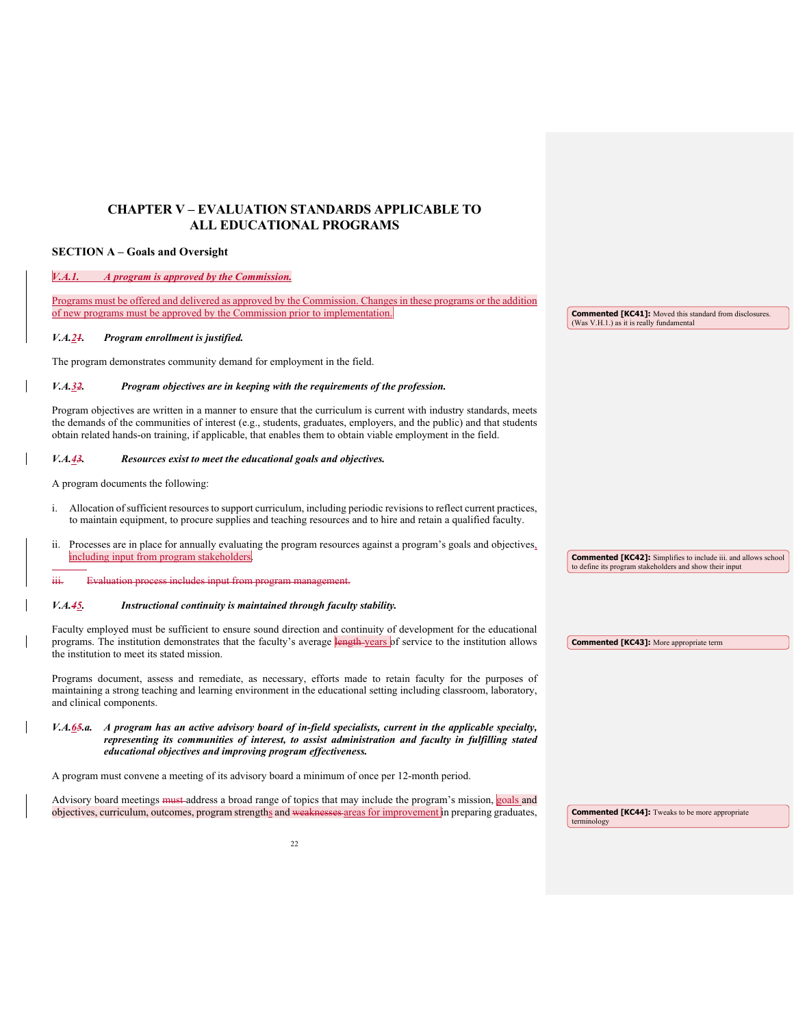## **CHAPTER V – EVALUATION STANDARDS APPLICABLE TO ALL EDUCATIONAL PROGRAMS**

#### **SECTION A – Goals and Oversight**

### *V.A.1.**A program is approved by the Commission.*

Programs must be offered and delivered as approved by the Commission. Changes in these programs or the addition of new programs must be approved by the Commission prior to implementation.

#### *V.A.21. Program enrollment is justified.*

The program demonstrates community demand for employment in the field.

#### *V.A.32. Program objectives are in keeping with the requirements of the profession.*

Program objectives are written in a manner to ensure that the curriculum is current with industry standards, meets the demands of the communities of interest (e.g., students, graduates, employers, and the public) and that students obtain related hands-on training, if applicable, that enables them to obtain viable employment in the field.

#### *V.A.43. Resources exist to meet the educational goals and objectives.*

A program documents the following:

-

- i. Allocation of sufficient resources to support curriculum, including periodic revisions to reflect current practices, to maintain equipment, to procure supplies and teaching resources and to hire and retain a qualified faculty.
- ii. Processes are in place for annually evaluating the program resources against a program's goals and objectives, including input from program stakeholders

iii. Evaluation process includes input from program management.

#### *V.A.45. Instructional continuity is maintained through faculty stability.*

Faculty employed must be sufficient to ensure sound direction and continuity of development for the educational programs. The institution demonstrates that the faculty's average length years of service to the institution allows the institution to meet its stated mission. **Commented [KC43]:** More appropriate term

Programs document, assess and remediate, as necessary, efforts made to retain faculty for the purposes of maintaining a strong teaching and learning environment in the educational setting including classroom, laboratory, and clinical components.

*V.A.65.a. A program has an active advisory board of in-field specialists, current in the applicable specialty, representing its communities of interest, to assist administration and faculty in fulfilling stated educational objectives and improving program effectiveness.* 

A program must convene a meeting of its advisory board a minimum of once per 12-month period.

Advisory board meetings <del>must a</del>ddress a broad range of topics that may include the program's mission, goals and objectives, curriculum, outcomes, program strengths and weaknesses areas for improvement in preparing graduates

**Commented [KC41]:** Moved this standard from disclosures. (Was V.H.1.) as it is really fundamental

**Commented [KC42]:** Simplifies to include iii. and allows school to define its program stakeholders and show their input

**Commented [KC44]:** Tweaks to be more appropriate terminology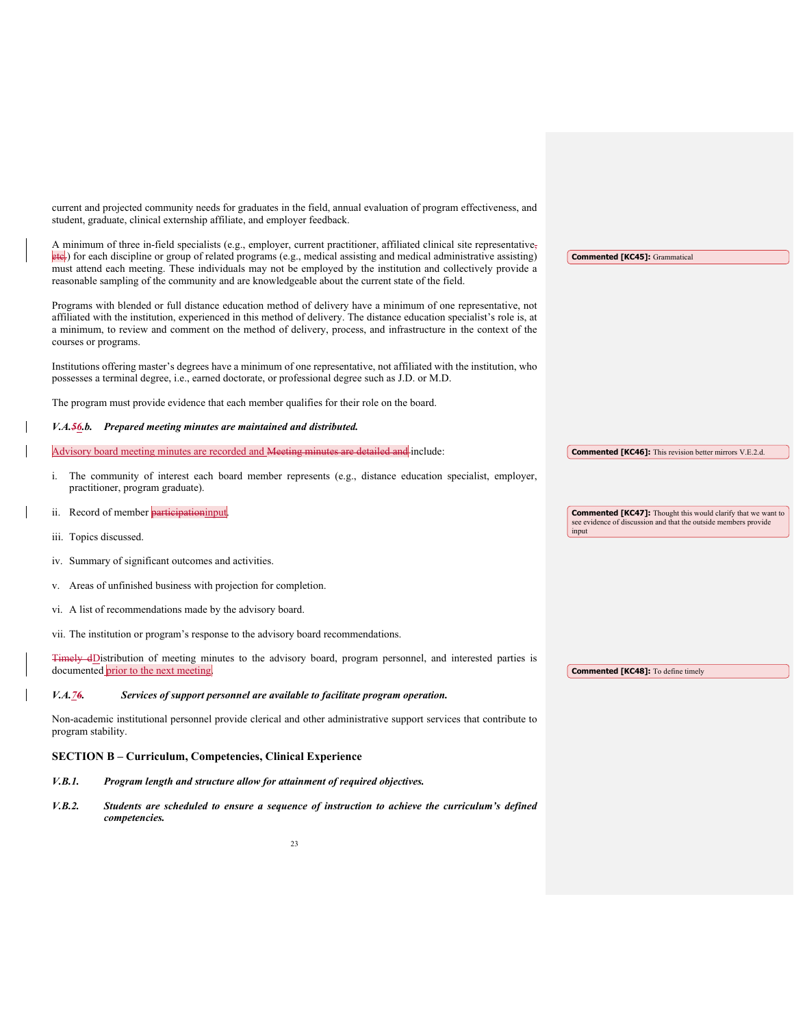current and projected community needs for graduates in the field, annual evaluation of program effectiveness, and student, graduate, clinical externship affiliate, and employer feedback.

| A minimum of three in-field specialists (e.g., employer, current practitioner, affiliated clinical site representative-<br>ete.) for each discipline or group of related programs (e.g., medical assisting and medical administrative assisting)<br>must attend each meeting. These individuals may not be employed by the institution and collectively provide a<br>reasonable sampling of the community and are knowledgeable about the current state of the field. | <b>Commented [KC45]: Grammatical</b>                                                                                                   |
|-----------------------------------------------------------------------------------------------------------------------------------------------------------------------------------------------------------------------------------------------------------------------------------------------------------------------------------------------------------------------------------------------------------------------------------------------------------------------|----------------------------------------------------------------------------------------------------------------------------------------|
| Programs with blended or full distance education method of delivery have a minimum of one representative, not<br>affiliated with the institution, experienced in this method of delivery. The distance education specialist's role is, at<br>a minimum, to review and comment on the method of delivery, process, and infrastructure in the context of the<br>courses or programs.                                                                                    |                                                                                                                                        |
| Institutions offering master's degrees have a minimum of one representative, not affiliated with the institution, who<br>possesses a terminal degree, i.e., earned doctorate, or professional degree such as J.D. or M.D.                                                                                                                                                                                                                                             |                                                                                                                                        |
| The program must provide evidence that each member qualifies for their role on the board.                                                                                                                                                                                                                                                                                                                                                                             |                                                                                                                                        |
| V.A.56.b. Prepared meeting minutes are maintained and distributed.                                                                                                                                                                                                                                                                                                                                                                                                    |                                                                                                                                        |
| Advisory board meeting minutes are recorded and Meeting minutes are detailed and include:                                                                                                                                                                                                                                                                                                                                                                             | <b>Commented [KC46]:</b> This revision better mirrors V.E.2.d.                                                                         |
| The community of interest each board member represents (e.g., distance education specialist, employer,<br>practitioner, program graduate).                                                                                                                                                                                                                                                                                                                            |                                                                                                                                        |
| Record of member participation input<br>ii.                                                                                                                                                                                                                                                                                                                                                                                                                           | <b>Commented [KC47]:</b> Thought this would clarify that we want to<br>see evidence of discussion and that the outside members provide |
| iii. Topics discussed.                                                                                                                                                                                                                                                                                                                                                                                                                                                | input                                                                                                                                  |
| iv. Summary of significant outcomes and activities.                                                                                                                                                                                                                                                                                                                                                                                                                   |                                                                                                                                        |
| Areas of unfinished business with projection for completion.<br>V.                                                                                                                                                                                                                                                                                                                                                                                                    |                                                                                                                                        |
| vi. A list of recommendations made by the advisory board.                                                                                                                                                                                                                                                                                                                                                                                                             |                                                                                                                                        |
| vii. The institution or program's response to the advisory board recommendations.                                                                                                                                                                                                                                                                                                                                                                                     |                                                                                                                                        |
| Timely dDistribution of meeting minutes to the advisory board, program personnel, and interested parties is<br>documented prior to the next meeting.                                                                                                                                                                                                                                                                                                                  | <b>Commented [KC48]:</b> To define timely                                                                                              |

*V.A.76. Services of support personnel are available to facilitate program operation.* 

Non-academic institutional personnel provide clerical and other administrative support services that contribute to program stability.

### **SECTION B – Curriculum, Competencies, Clinical Experience**

- *V.B.1. Program length and structure allow for attainment of required objectives.*
- *V.B.2. Students are scheduled to ensure a sequence of instruction to achieve the curriculum's defined competencies.*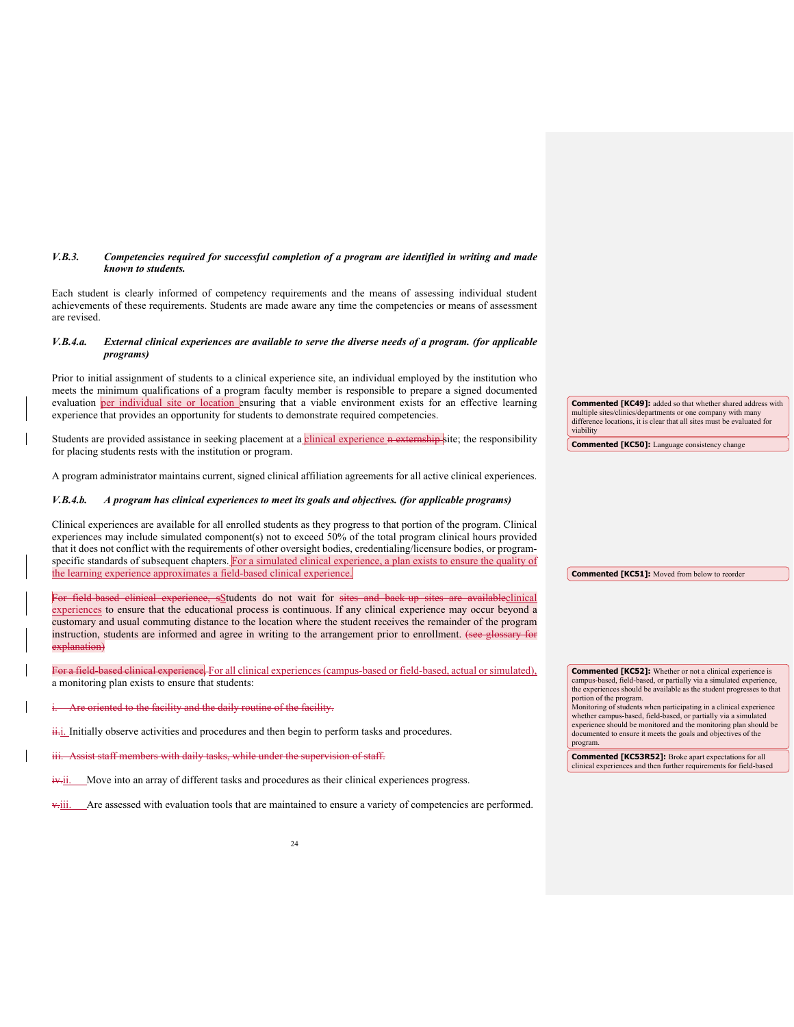#### *V.B.3. Competencies required for successful completion of a program are identified in writing and made known to students.*

Each student is clearly informed of competency requirements and the means of assessing individual student achievements of these requirements. Students are made aware any time the competencies or means of assessment are revised.

#### *V.B.4.a. External clinical experiences are available to serve the diverse needs of a program. (for applicable programs)*

Prior to initial assignment of students to a clinical experience site, an individual employed by the institution who meets the minimum qualifications of a program faculty member is responsible to prepare a signed documented evaluation per individual site or location ensuring that a viable environment exists for an effective learning experience that provides an opportunity for students to demonstrate required competencies.

Students are provided assistance in seeking placement at a clinical experience n externship site; the responsibility for placing students rests with the institution or program.

A program administrator maintains current, signed clinical affiliation agreements for all active clinical experiences.

#### *V.B.4.b. A program has clinical experiences to meet its goals and objectives. (for applicable programs)*

Clinical experiences are available for all enrolled students as they progress to that portion of the program. Clinical experiences may include simulated component(s) not to exceed 50% of the total program clinical hours provided that it does not conflict with the requirements of other oversight bodies, credentialing/licensure bodies, or programspecific standards of subsequent chapters. For a simulated clinical experience, a plan exists to ensure the quality of the learning experience approximates a field-based clinical experience.

ee, sStudents do not wait for sites and back up sites are availableclinical experiences to ensure that the educational process is continuous. If any clinical experience may occur beyond a customary and usual commuting distance to the location where the student receives the remainder of the program instruction, students are informed and agree in writing to the arrangement prior to enrollment. (see glossary for explanation)

For a field-based clinical experience, For all clinical experiences (campus-based or field-based, actual or simulated) a monitoring plan exists to ensure that students:

ited to the facility and the daily routine of the facility.

 $\frac{ii \cdot j}{i}$ . Initially observe activities and procedures and then begin to perform tasks and procedures.

Assist staff members with daily tasks, while under the supervision of staff.

 $\ddot{x}$ ii. Move into an array of different tasks and procedures as their clinical experiences progress.

v.iii. Are assessed with evaluation tools that are maintained to ensure a variety of competencies are performed.

**Commented [KC49]:** added so that whether shared address with multiple sites/clinics/departments or one company with many difference locations, it is clear that all sites must be evaluated for viability

**Commented [KC50]:** Language consistency change

**Commented [KC51]:** Moved from below to reorder

**Commented [KC52]:** Whether or not a clinical experience is campus-based, field-based, or partially via a simulated experience, the experiences should be available as the student progresses to that portion of the program.

Monitoring of students when participating in a clinical experience whether campus-based, field-based, or partially via a simulated experience should be monitored and the monitoring plan should be documented to ensure it meets the goals and objectives of the program.

**Commented [KC53R52]:** Broke apart expectations for all clinical experiences and then further requirements for field-based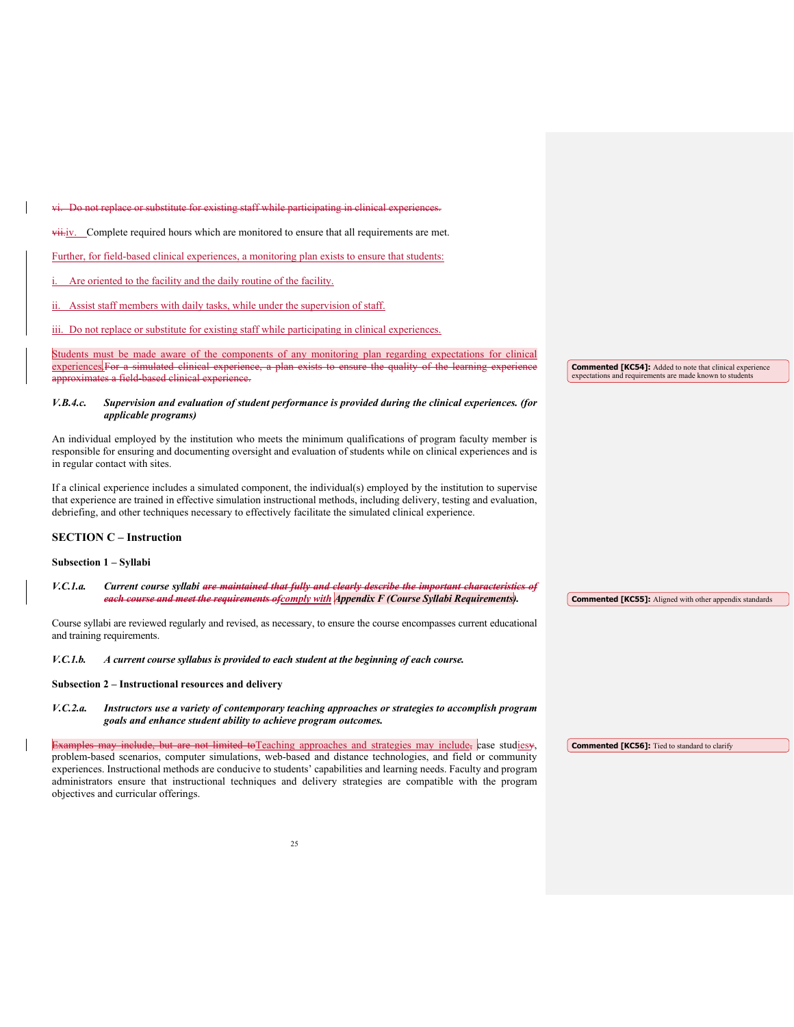vi. Do not replace or substitute for existing staff while participating in clinical experiences.  $vii.iv.$  Complete required hours which are monitored to ensure that all requirements are met. Further, for field-based clinical experiences, a monitoring plan exists to ensure that students: Are oriented to the facility and the daily routine of the facility. Assist staff members with daily tasks, while under the supervision of staff. iii. Do not replace or substitute for existing staff while participating in clinical experiences. Students must be made aware of the components of any monitoring plan regarding expectations for clinical experiences. For a simulated clinical experience, a plan exists to ensure the quality of the learning experience field-b *V.B.4.c. Supervision and evaluation of student performance is provided during the clinical experiences. (for applicable programs)* An individual employed by the institution who meets the minimum qualifications of program faculty member is responsible for ensuring and documenting oversight and evaluation of students while on clinical experiences and is in regular contact with sites. If a clinical experience includes a simulated component, the individual(s) employed by the institution to supervise that experience are trained in effective simulation instructional methods, including delivery, testing and evaluation, debriefing, and other techniques necessary to effectively facilitate the simulated clinical experience. **SECTION C – Instruction Subsection 1 – Syllabi** *V.C.1.a. Current course syllabi are maintained that fully and clearly describe the important characteristics of each course and meet the requirements ofcomply with Appendix F (Course Syllabi Requirements).* Course syllabi are reviewed regularly and revised, as necessary, to ensure the course encompasses current educational and training requirements. *V.C.1.b. A current course syllabus is provided to each student at the beginning of each course.* **Subsection 2 – Instructional resources and delivery**  *V.C.2.a. Instructors use a variety of contemporary teaching approaches or strategies to accomplish program goals and enhance student ability to achieve program outcomes.*  Examples may include, but are not limited toTeaching approaches and strategies may include, case studiesy, problem-based scenarios, computer simulations, web-based and distance technologies, and field or community **Commented [KC54]:** Added to note that clinical experience expectations and requirements are made known to stude **Commented [KC55]:** Aligned with other appendix standards **Commented [KC56]:** Tied to standard to clarify

experiences. Instructional methods are conducive to students' capabilities and learning needs. Faculty and program administrators ensure that instructional techniques and delivery strategies are compatible with the program

objectives and curricular offerings.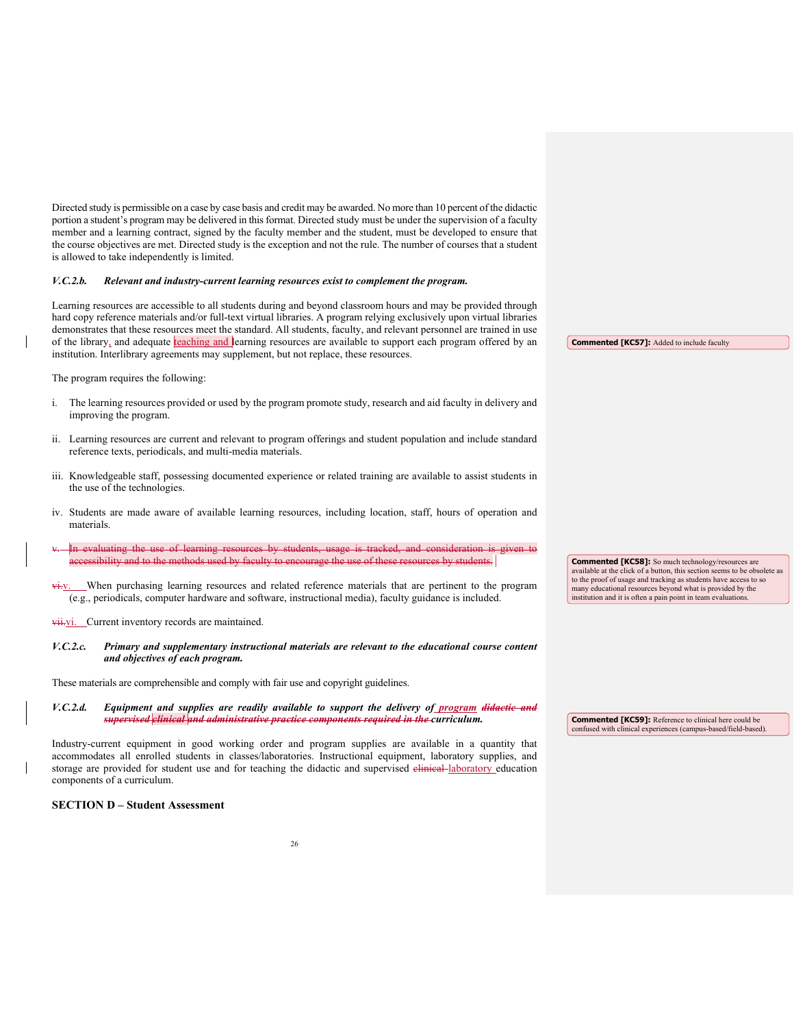Directed study is permissible on a case by case basis and credit may be awarded. No more than 10 percent of the didactic portion a student's program may be delivered in this format. Directed study must be under the supervision of a faculty member and a learning contract, signed by the faculty member and the student, must be developed to ensure that the course objectives are met. Directed study is the exception and not the rule. The number of courses that a student is allowed to take independently is limited.

#### *V.C.2.b. Relevant and industry-current learning resources exist to complement the program.*

Learning resources are accessible to all students during and beyond classroom hours and may be provided through hard copy reference materials and/or full-text virtual libraries. A program relying exclusively upon virtual libraries demonstrates that these resources meet the standard. All students, faculty, and relevant personnel are trained in use of the library, and adequate teaching and learning resources are available to support each program offered by an institution. Interlibrary agreements may supplement, but not replace, these resources.

The program requires the following:

- i. The learning resources provided or used by the program promote study, research and aid faculty in delivery and improving the program.
- ii. Learning resources are current and relevant to program offerings and student population and include standard reference texts, periodicals, and multi-media materials.
- iii. Knowledgeable staff, possessing documented experience or related training are available to assist students in the use of the technologies.
- iv. Students are made aware of available learning resources, including location, staff, hours of operation and materials.
- valuating the use of learning res<br>scibility and to the methods used **i** and to the methods used by faculty to encourage the use of these resources by students.
- When purchasing learning resources and related reference materials that are pertinent to the program (e.g., periodicals, computer hardware and software, instructional media), faculty guidance is included.

vii.vi. Current inventory records are maintained.

*V.C.2.c. Primary and supplementary instructional materials are relevant to the educational course content and objectives of each program.*

These materials are comprehensible and comply with fair use and copyright guidelines.

*V.C.2.d. Equipment and supplies are readily available to support the delivery of program didactic and supervised clinical and administrative practice components required in the curriculum.* 

Industry-current equipment in good working order and program supplies are available in a quantity that accommodates all enrolled students in classes/laboratories. Instructional equipment, laboratory supplies, and storage are provided for student use and for teaching the didactic and supervised elimical laboratory education components of a curriculum.

**SECTION D – Student Assessment**

**Commented [KC57]:** Added to include faculty

**Commented [KC58]:** So much technology/resources are available at the click of a button, this section seems to be obsolete as to the proof of usage and tracking as students have access to so many educational resources beyond what is provided by the institution and it is often a pain point in team evaluation

**Commented [KC59]:** Reference to clinical here could be confused with clinical experiences (campus-based/field-based).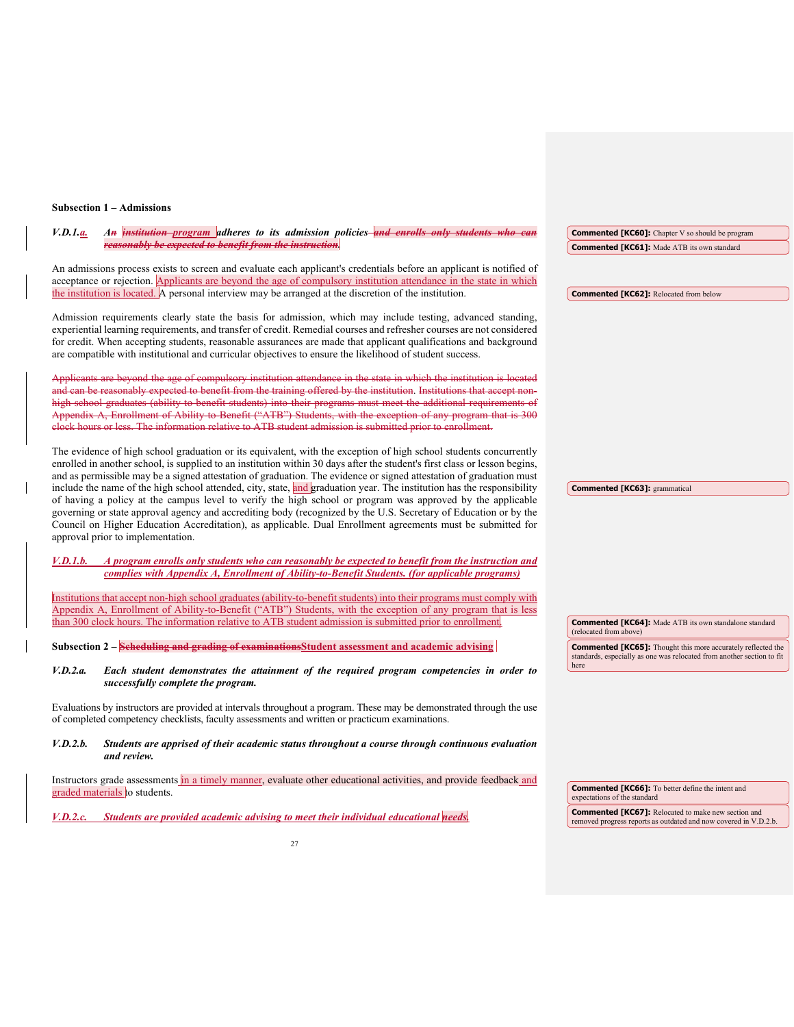## **Subsection 1 – Admissions**

| An <i>institution program</i> adheres to its admission policies and enrolls only students who can<br><i>V.D.1.a.</i>                                                                                                                                                                                                                                                                                                                                                 | <b>Commented [KC60]:</b> Chapter V so should be program                                                                                       |
|----------------------------------------------------------------------------------------------------------------------------------------------------------------------------------------------------------------------------------------------------------------------------------------------------------------------------------------------------------------------------------------------------------------------------------------------------------------------|-----------------------------------------------------------------------------------------------------------------------------------------------|
| reasonably be expected to benefit from the instruction.                                                                                                                                                                                                                                                                                                                                                                                                              | <b>Commented [KC61]:</b> Made ATB its own standard                                                                                            |
| An admissions process exists to screen and evaluate each applicant's credentials before an applicant is notified of<br>acceptance or rejection. Applicants are beyond the age of compulsory institution attendance in the state in which                                                                                                                                                                                                                             |                                                                                                                                               |
| the institution is located. A personal interview may be arranged at the discretion of the institution.                                                                                                                                                                                                                                                                                                                                                               | <b>Commented [KC62]:</b> Relocated from below                                                                                                 |
| Admission requirements clearly state the basis for admission, which may include testing, advanced standing,<br>experiential learning requirements, and transfer of credit. Remedial courses and refresher courses are not considered<br>for credit. When accepting students, reasonable assurances are made that applicant qualifications and background<br>are compatible with institutional and curricular objectives to ensure the likelihood of student success. |                                                                                                                                               |
| Applicants are beyond the age of compulsory institution attendance in the state in which the institution is located                                                                                                                                                                                                                                                                                                                                                  |                                                                                                                                               |
| and can be reasonably expected to benefit from the training offered by the institution. Institutions that accept non-                                                                                                                                                                                                                                                                                                                                                |                                                                                                                                               |
| high school graduates (ability to benefit students) into their programs must meet the additional requirements of<br>Appendix A, Enrollment of Ability to Benefit ("ATB") Students, with the exception of any program that is 300<br>elock hours or less. The information relative to ATB student admission is submitted prior to enrollment.                                                                                                                         |                                                                                                                                               |
| The evidence of high school graduation or its equivalent, with the exception of high school students concurrently<br>enrolled in another school, is supplied to an institution within 30 days after the student's first class or lesson begins,                                                                                                                                                                                                                      |                                                                                                                                               |
| and as permissible may be a signed attestation of graduation. The evidence or signed attestation of graduation must<br>include the name of the high school attended, city, state, and graduation year. The institution has the responsibility                                                                                                                                                                                                                        |                                                                                                                                               |
| of having a policy at the campus level to verify the high school or program was approved by the applicable                                                                                                                                                                                                                                                                                                                                                           | <b>Commented [KC63]:</b> grammatical                                                                                                          |
| governing or state approval agency and accrediting body (recognized by the U.S. Secretary of Education or by the<br>Council on Higher Education Accreditation), as applicable. Dual Enrollment agreements must be submitted for<br>approval prior to implementation.                                                                                                                                                                                                 |                                                                                                                                               |
| A program enrolls only students who can reasonably be expected to benefit from the instruction and<br><i>V.D.1.b.</i><br>complies with Appendix A, Enrollment of Ability-to-Benefit Students. (for applicable programs)                                                                                                                                                                                                                                              |                                                                                                                                               |
| Institutions that accept non-high school graduates (ability-to-benefit students) into their programs must comply with                                                                                                                                                                                                                                                                                                                                                |                                                                                                                                               |
| Appendix A, Enrollment of Ability-to-Benefit ("ATB") Students, with the exception of any program that is less<br>than 300 clock hours. The information relative to ATB student admission is submitted prior to enrollment.                                                                                                                                                                                                                                           | <b>Commented [KC64]:</b> Made ATB its own standalone standard                                                                                 |
|                                                                                                                                                                                                                                                                                                                                                                                                                                                                      | (relocated from above)                                                                                                                        |
| Subsection 2 – Scheduling and grading of examinations Student assessment and academic advising                                                                                                                                                                                                                                                                                                                                                                       | <b>Commented [KC65]:</b> Thought this more accurately reflected the<br>standards, especially as one was relocated from another section to fit |
| V.D.2.a.<br>Each student demonstrates the attainment of the required program competencies in order to<br>successfully complete the program.                                                                                                                                                                                                                                                                                                                          | here                                                                                                                                          |
| Evaluations by instructors are provided at intervals throughout a program. These may be demonstrated through the use<br>of completed competency checklists, faculty assessments and written or practicum examinations.                                                                                                                                                                                                                                               |                                                                                                                                               |
| V.D. 2.b.<br>Students are apprised of their academic status throughout a course through continuous evaluation<br>and review.                                                                                                                                                                                                                                                                                                                                         |                                                                                                                                               |
| Instructors grade assessments in a timely manner, evaluate other educational activities, and provide feedback and<br>graded materials to students.                                                                                                                                                                                                                                                                                                                   | <b>Commented [KC66]:</b> To better define the intent and<br>expectations of the standard                                                      |
| Students are provided academic advising to meet their individual educational needs,<br><i>V.D.2.c.</i>                                                                                                                                                                                                                                                                                                                                                               | <b>Commented [KC67]:</b> Relocated to make new section and<br>removed progress reports as outdated and now covered in V.D.2.b.                |
| 27                                                                                                                                                                                                                                                                                                                                                                                                                                                                   |                                                                                                                                               |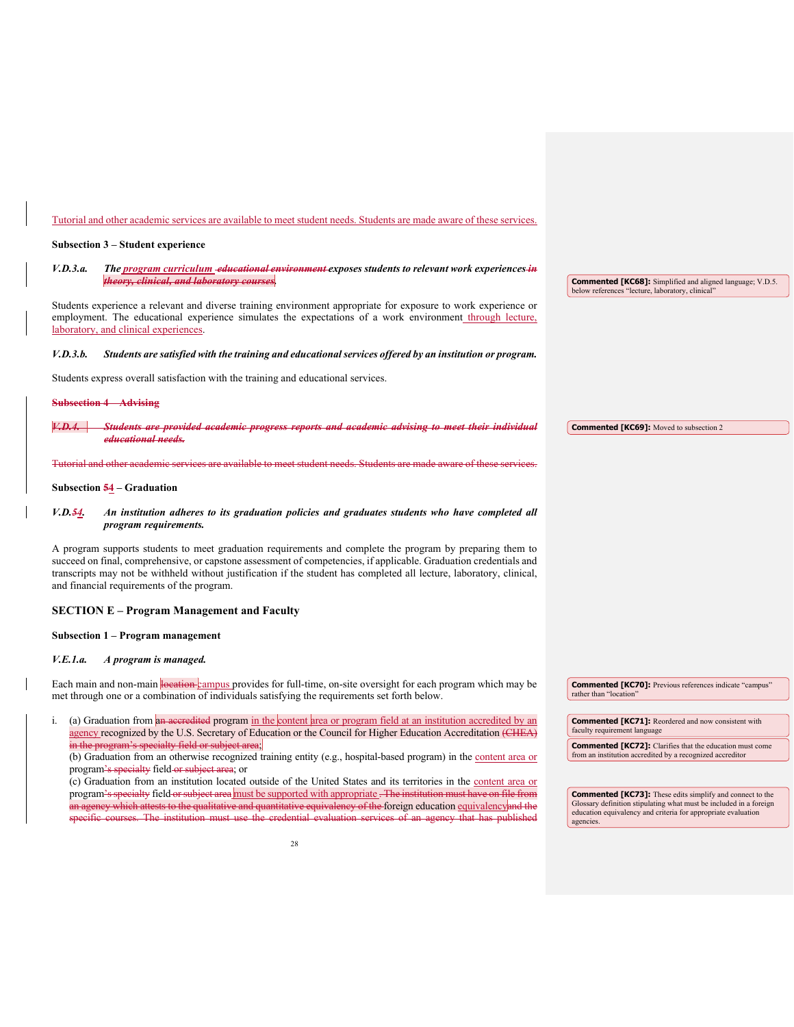## Tutorial and other academic services are available to meet student needs. Students are made aware of these services.

### **Subsection 3 – Student experience**

| V.D.3.a. | The program curriculum -educational environment exposes students to relevant work experiences-in                                                                                                                                                                                                                                                                                                       |                                                                                                                              |
|----------|--------------------------------------------------------------------------------------------------------------------------------------------------------------------------------------------------------------------------------------------------------------------------------------------------------------------------------------------------------------------------------------------------------|------------------------------------------------------------------------------------------------------------------------------|
|          | theory, clinical, and laboratory courses.                                                                                                                                                                                                                                                                                                                                                              | <b>Commented [KC68]:</b> Simplified and aligned language; V.D.5.<br>below references "lecture, laboratory, clinical"         |
|          | Students experience a relevant and diverse training environment appropriate for exposure to work experience or<br>employment. The educational experience simulates the expectations of a work environment through lecture,<br>laboratory, and clinical experiences.                                                                                                                                    |                                                                                                                              |
| V.D.3.b. | Students are satisfied with the training and educational services offered by an institution or program.                                                                                                                                                                                                                                                                                                |                                                                                                                              |
|          | Students express overall satisfaction with the training and educational services.                                                                                                                                                                                                                                                                                                                      |                                                                                                                              |
|          | <b>Subsection 4 Advising</b>                                                                                                                                                                                                                                                                                                                                                                           |                                                                                                                              |
|          | <del>Students are provided academic progress reports and academic advising to meet their individual</del><br>educational needs.                                                                                                                                                                                                                                                                        | <b>Commented [KC69]:</b> Moved to subsection 2                                                                               |
|          | Tutorial and other academic services are available to meet student needs. Students are made aware of these services                                                                                                                                                                                                                                                                                    |                                                                                                                              |
|          | Subsection $\frac{54}{9}$ – Graduation                                                                                                                                                                                                                                                                                                                                                                 |                                                                                                                              |
| V.D.54   | An institution adheres to its graduation policies and graduates students who have completed all<br>program requirements.                                                                                                                                                                                                                                                                               |                                                                                                                              |
|          | A program supports students to meet graduation requirements and complete the program by preparing them to<br>succeed on final, comprehensive, or capstone assessment of competencies, if applicable. Graduation credentials and<br>transcripts may not be withheld without justification if the student has completed all lecture, laboratory, clinical,<br>and financial requirements of the program. |                                                                                                                              |
|          | <b>SECTION E – Program Management and Faculty</b>                                                                                                                                                                                                                                                                                                                                                      |                                                                                                                              |
|          | Subsection 1 – Program management                                                                                                                                                                                                                                                                                                                                                                      |                                                                                                                              |
| V.E.1.a. | A program is managed.                                                                                                                                                                                                                                                                                                                                                                                  |                                                                                                                              |
|          | Each main and non-main location-campus provides for full-time, on-site oversight for each program which may be<br>met through one or a combination of individuals satisfying the requirements set forth below.                                                                                                                                                                                         | <b>Commented [KC70]:</b> Previous references indicate "campus"<br>rather than "location"                                     |
| i.       | (a) Graduation from an accredited program in the content area or program field at an institution accredited by an<br>agency recognized by the U.S. Secretary of Education or the Council for Higher Education Accreditation (CHEA)                                                                                                                                                                     | <b>Commented [KC71]:</b> Reordered and now consistent with<br>faculty requirement language                                   |
|          | in the program's specialty field or subject area;<br>(b) Graduation from an otherwise recognized training entity (e.g., hospital-based program) in the content area or                                                                                                                                                                                                                                 | <b>Commented [KC72]:</b> Clarifies that the education must come<br>from an institution accredited by a recognized accreditor |
|          | program's specialty field or subject area; or<br>(c) Graduation from an institution located outside of the United States and its territories in the content area or                                                                                                                                                                                                                                    |                                                                                                                              |
|          | program's specialty field or subject area must be supported with appropriate. The institution must have on file from                                                                                                                                                                                                                                                                                   | <b>Commented [KC73]:</b> These edits simplify and connect to the                                                             |

an agency which attests to the qualitative and quantitative equivalency of the foreign education <u>equivalency</u>and the specific courses. The institution must use the credential evaluation services of an agency that has published

**Commented [KC73]:** These edits simplify and connect to the Glossary definition stipulating what must be included in a foreign agencies.<br>education equivalency and criteria for appropriate evaluation agencies.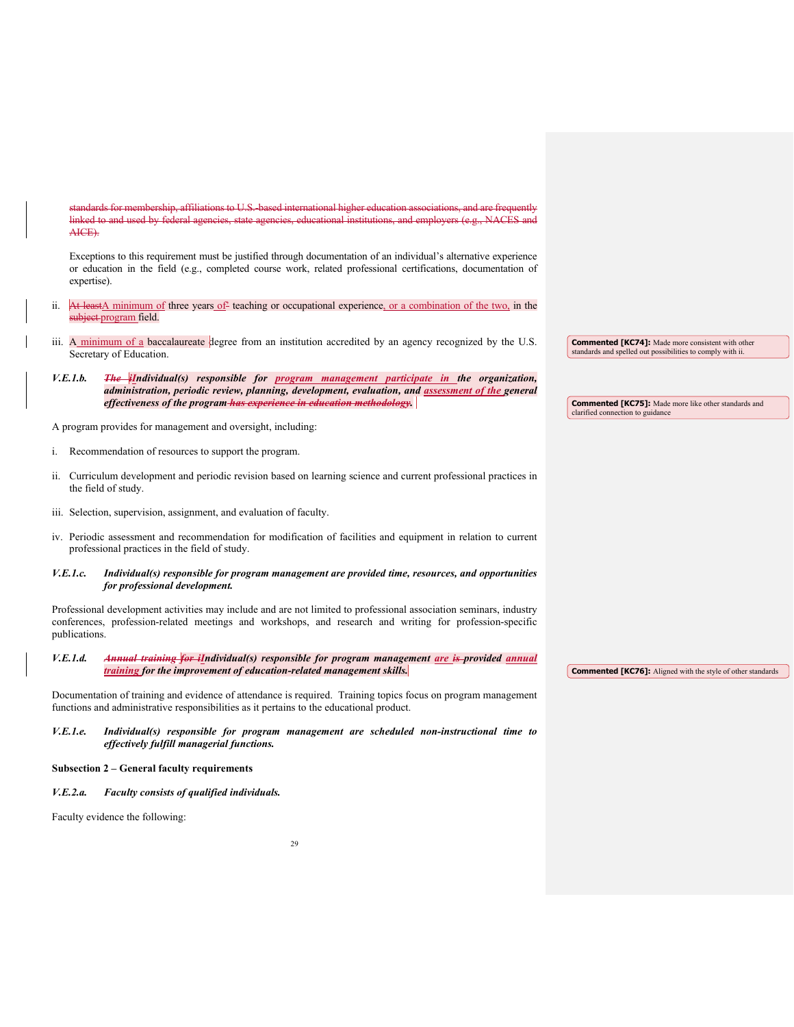standards for membership, affiliations to U.S.-based international higher education associations, and are frequently linked to and used by federal agencies, state agencies, educational institutions, and employers (e.g., NACES and AICE).

Exceptions to this requirement must be justified through documentation of an individual's alternative experience or education in the field (e.g., completed course work, related professional certifications, documentation of expertise).

- ii. At leastA minimum of three years of teaching or occupational experience, or a combination of the two, in the subject-program field.
- iii. A minimum of a baccalaureate degree from an institution accredited by an agency recognized by the U.S. Secretary of Education.
- *V.E.1.b. The iIndividual(s) responsible for program management participate in the organization, administration, periodic review, planning, development, evaluation, and assessment of the general effectiveness of the program has experience in education methodology.*

A program provides for management and oversight, including:

- i. Recommendation of resources to support the program.
- ii. Curriculum development and periodic revision based on learning science and current professional practices in the field of study.
- iii. Selection, supervision, assignment, and evaluation of faculty.
- iv. Periodic assessment and recommendation for modification of facilities and equipment in relation to current professional practices in the field of study.
- *V.E.1.c. Individual(s) responsible for program management are provided time, resources, and opportunities for professional development.*

Professional development activities may include and are not limited to professional association seminars, industry conferences, profession-related meetings and workshops, and research and writing for profession-specific publications.

*V.E.1.d. Annual training for iIndividual(s) responsible for program management are is provided annual training for the improvement of education-related management skills.*

Documentation of training and evidence of attendance is required. Training topics focus on program management functions and administrative responsibilities as it pertains to the educational product.

*V.E.1.e. Individual(s) responsible for program management are scheduled non-instructional time to effectively fulfill managerial functions.* 

#### **Subsection 2 – General faculty requirements**

*V.E.2.a. Faculty consists of qualified individuals.* 

Faculty evidence the following:

**Commented [KC74]:** Made more consistent with other standards and spelled out possibilities to comply with ii.

**Commented [KC75]:** Made more like other standards and clarified connection to guidance

**Commented [KC76]:** Aligned with the style of other standards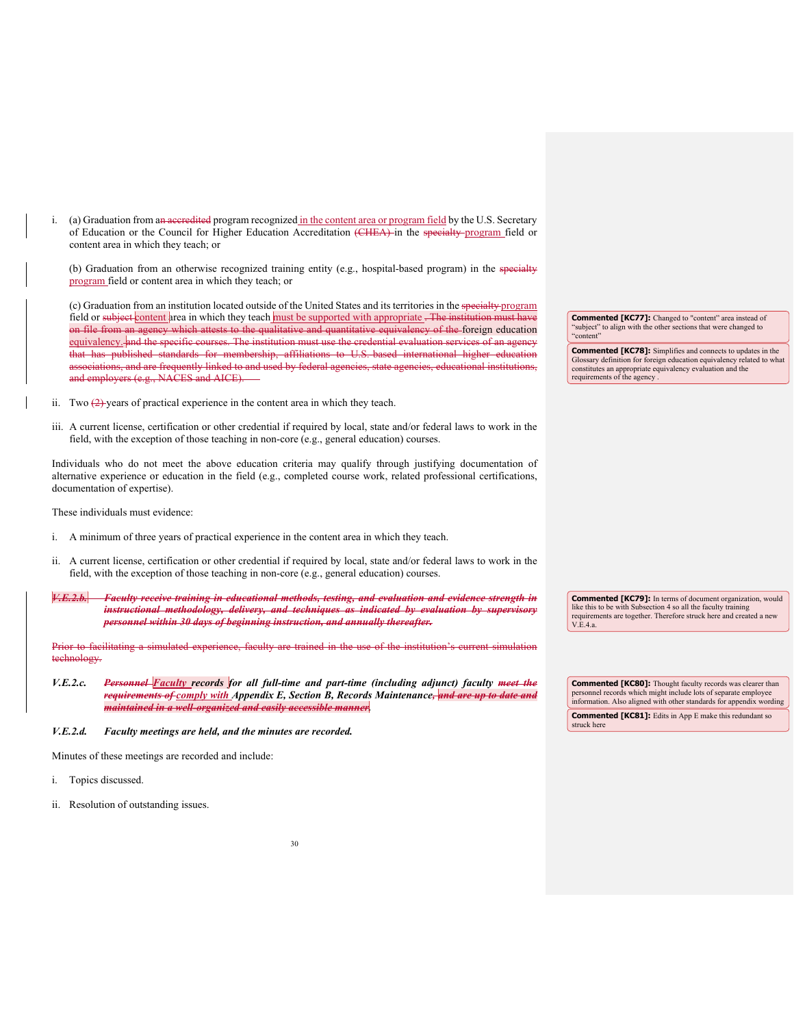i. (a) Graduation from an accredited program recognized in the content area or program field by the U.S. Secretary of Education or the Council for Higher Education Accreditation (CHEA) in the specialty program field or content area in which they teach; or

(b) Graduation from an otherwise recognized training entity (e.g., hospital-based program) in the specialty program field or content area in which they teach; or

(c) Graduation from an institution located outside of the United States and its territories in the specialty program field or subject content area in which they teach must be supported with appropriate. The institution must have on file from an agency which attests to the qualitative and quantitative equivalency of the foreign education equivalency. and the specific courses. The institution must use the credential evaluation services of an agency that has published standards for membership, affiliations to U.S. based international higher associations, and are frequently linked to and used by federal agencies, state agencies, educational institutions, employers (e.g., NACES and AICE).

- ii. Two  $(2)$ -years of practical experience in the content area in which they teach.
- iii. A current license, certification or other credential if required by local, state and/or federal laws to work in the field, with the exception of those teaching in non-core (e.g., general education) courses.

Individuals who do not meet the above education criteria may qualify through justifying documentation of alternative experience or education in the field (e.g., completed course work, related professional certifications, documentation of expertise).

These individuals must evidence:

- i. A minimum of three years of practical experience in the content area in which they teach.
- ii. A current license, certification or other credential if required by local, state and/or federal laws to work in the field, with the exception of those teaching in non-core (e.g., general education) courses.
- *V.E.2.b. Faculty receive training in educational methods, testing, and evaluation and evidence strength in instructional methodology, delivery, and techniques as indicated by evaluation by supervisory personnel within 30 days of beginning instruction, and annually thereafter.*

Prior to facilitating a simulated experience, faculty are trained in the use of the institution's current simul technology.

- *V.E.2.c. Personnel Faculty records for all full-time and part-time (including adjunct) faculty meet the requirements of comply with Appendix E, Section B, Records Maintenance, and are up to date and maintained in a well-organized and easily accessible manner.*
- *V.E.2.d. Faculty meetings are held, and the minutes are recorded.*

Minutes of these meetings are recorded and include:

- i. Topics discussed.
- ii. Resolution of outstanding issues.

**Commented [KC77]:** Changed to "content" area instead of "subject" to align with the other sections that were changed to "content"

**Commented [KC78]:** Simplifies and connects to updates in the Glossary definition for foreign education equivalency related to what constitutes an appropriate equivalency evaluation and the requirements of the agency .

**Commented [KC79]:** In terms of document organization, would like this to be with Subsection 4 so all the faculty training irements are together. Therefore struck here and created a new V.E.4.a.

**Commented [KC80]:** Thought faculty records was clearer than personnel records which might include lots of separate employee information. Also aligned with other standards for appendix wording **Commented [KC81]:** Edits in App E make this redundant so struck here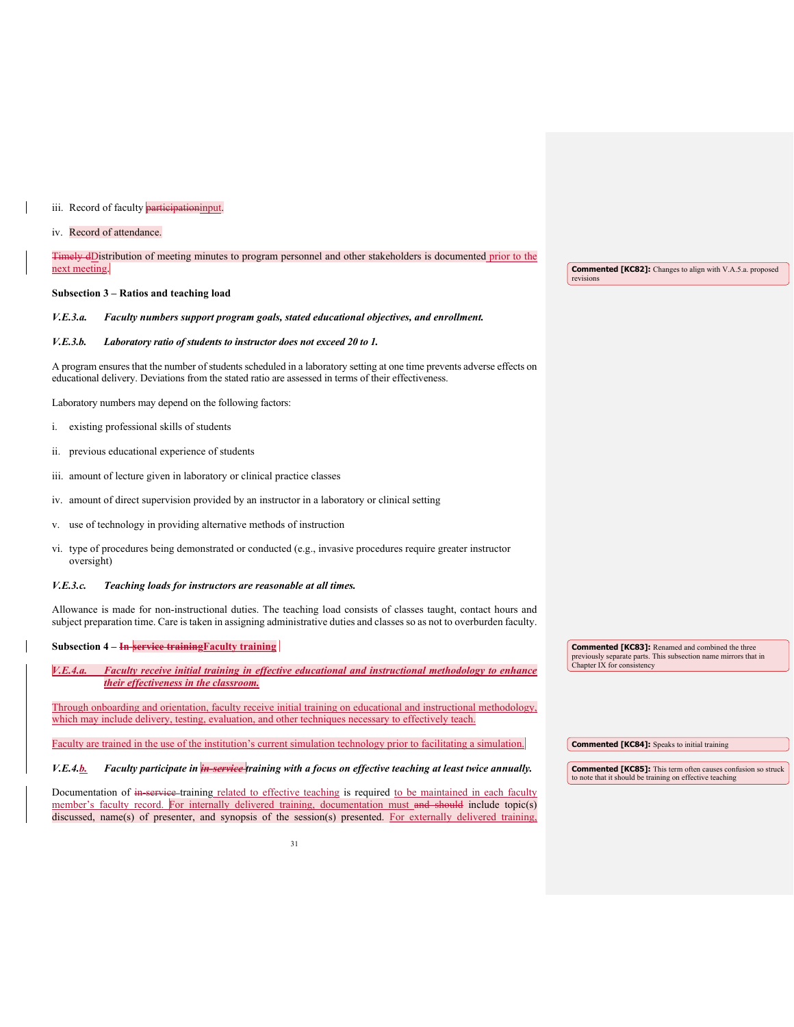#### iii. Record of faculty **participation**input.

#### iv. Record of attendance.

#### Timely dDistribution of meeting minutes to program personnel and other stakeholders is documented prior to the next meeting.

#### **Subsection 3 – Ratios and teaching load**

#### *V.E.3.a. Faculty numbers support program goals, stated educational objectives, and enrollment.*

#### *V.E.3.b. Laboratory ratio of students to instructor does not exceed 20 to 1.*

A program ensures that the number of students scheduled in a laboratory setting at one time prevents adverse effects on educational delivery. Deviations from the stated ratio are assessed in terms of their effectiveness.

Laboratory numbers may depend on the following factors:

- i. existing professional skills of students
- ii. previous educational experience of students
- iii. amount of lecture given in laboratory or clinical practice classes
- iv. amount of direct supervision provided by an instructor in a laboratory or clinical setting
- v. use of technology in providing alternative methods of instruction
- vi. type of procedures being demonstrated or conducted (e.g., invasive procedures require greater instructor oversight)

#### *V.E.3.c. Teaching loads for instructors are reasonable at all times.*

Allowance is made for non-instructional duties. The teaching load consists of classes taught, contact hours and subject preparation time. Care is taken in assigning administrative duties and classes so as not to overburden faculty.

| Subsection $4 - \overline{In}$ service training Faculty training                                                                                                                                                              | <b>Commented [KC83]:</b> Renamed and combined the three<br>previously separate parts. This subsection name mirrors that in      |
|-------------------------------------------------------------------------------------------------------------------------------------------------------------------------------------------------------------------------------|---------------------------------------------------------------------------------------------------------------------------------|
| V.E.4.a.<br>Faculty receive initial training in effective educational and instructional methodology to enhance<br>their effectiveness in the classroom.                                                                       | Chapter IX for consistency                                                                                                      |
| Through onboarding and orientation, faculty receive initial training on educational and instructional methodology,<br>which may include delivery, testing, evaluation, and other techniques necessary to effectively teach.   |                                                                                                                                 |
| Faculty are trained in the use of the institution's current simulation technology prior to facilitating a simulation.                                                                                                         | <b>Commented [KC84]:</b> Speaks to initial training                                                                             |
| Faculty participate in <i>in-service</i> -training with a focus on effective teaching at least twice annually.<br>V.E.4.b.                                                                                                    | <b>Commented [KC85]:</b> This term often causes confusion so struck<br>to note that it should be training on effective teaching |
| Documentation of in service-training related to effective teaching is required to be maintained in each faculty<br>member's faculty record. For internally delivered training, documentation must and should include topic(s) |                                                                                                                                 |

**Commented [KC82]:** Changes to align with V.A.5.a. proposed revisions

discussed, name(s) of presenter, and synopsis of the session(s) presented. For externally delivered training,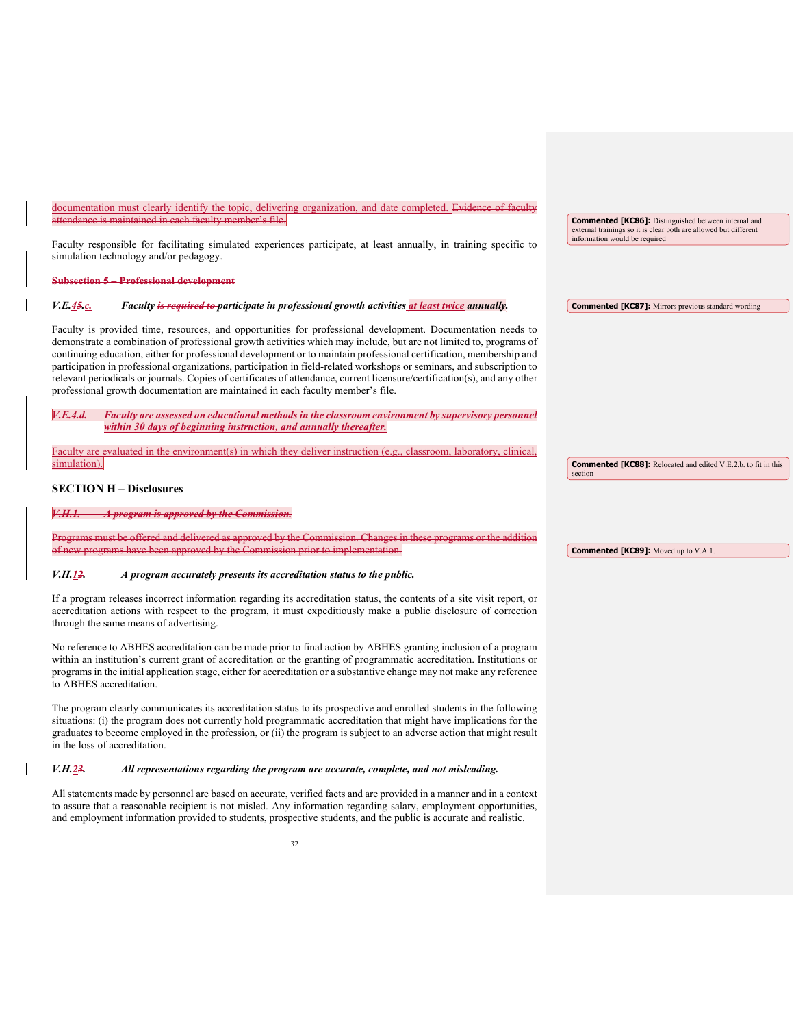| documentation must clearly identify the topic, delivering organization, and date completed. Evidence of faculty<br>attendance is maintained in each faculty member's file.                                                                                                                                                                                                                                                                                                                                                                                                                                                                                                                         | <b>Commented [KC86]:</b> Distinguished between internal and<br>external trainings so it is clear both are allowed but different |
|----------------------------------------------------------------------------------------------------------------------------------------------------------------------------------------------------------------------------------------------------------------------------------------------------------------------------------------------------------------------------------------------------------------------------------------------------------------------------------------------------------------------------------------------------------------------------------------------------------------------------------------------------------------------------------------------------|---------------------------------------------------------------------------------------------------------------------------------|
| Faculty responsible for facilitating simulated experiences participate, at least annually, in training specific to<br>simulation technology and/or pedagogy.                                                                                                                                                                                                                                                                                                                                                                                                                                                                                                                                       | information would be required                                                                                                   |
| <b>Subsection 5 Professional development</b>                                                                                                                                                                                                                                                                                                                                                                                                                                                                                                                                                                                                                                                       |                                                                                                                                 |
| Faculty is required to participate in professional growth activities at least twice annually.<br>V.E.45c.                                                                                                                                                                                                                                                                                                                                                                                                                                                                                                                                                                                          | <b>Commented [KC87]:</b> Mirrors previous standard wording                                                                      |
| Faculty is provided time, resources, and opportunities for professional development. Documentation needs to<br>demonstrate a combination of professional growth activities which may include, but are not limited to, programs of<br>continuing education, either for professional development or to maintain professional certification, membership and<br>participation in professional organizations, participation in field-related workshops or seminars, and subscription to<br>relevant periodicals or journals. Copies of certificates of attendance, current licensure/certification(s), and any other<br>professional growth documentation are maintained in each faculty member's file. |                                                                                                                                 |
| Faculty are assessed on educational methods in the classroom environment by supervisory personnel<br>V.E.4.d.<br>within 30 days of beginning instruction, and annually thereafter.                                                                                                                                                                                                                                                                                                                                                                                                                                                                                                                 |                                                                                                                                 |
| Faculty are evaluated in the environment(s) in which they deliver instruction (e.g., classroom, laboratory, clinical,<br>simulation).                                                                                                                                                                                                                                                                                                                                                                                                                                                                                                                                                              | <b>Commented [KC88]:</b> Relocated and edited V.E.2.b. to fit in this<br>section                                                |
| <b>SECTION H – Disclosures</b>                                                                                                                                                                                                                                                                                                                                                                                                                                                                                                                                                                                                                                                                     |                                                                                                                                 |

**Commented [KC89]:** Moved up to V.A.1.

## *V.H.1.**A program is approved by the Commission.*

re offered and delivered as approved by the Commis of new programs have been approved by the Commission prior to implementation.

#### *V.H.12. A program accurately presents its accreditation status to the public.*

If a program releases incorrect information regarding its accreditation status, the contents of a site visit report, or accreditation actions with respect to the program, it must expeditiously make a public disclosure of correction through the same means of advertising.

No reference to ABHES accreditation can be made prior to final action by ABHES granting inclusion of a program within an institution's current grant of accreditation or the granting of programmatic accreditation. Institutions or programs in the initial application stage, either for accreditation or a substantive change may not make any reference to ABHES accreditation.

The program clearly communicates its accreditation status to its prospective and enrolled students in the following situations: (i) the program does not currently hold programmatic accreditation that might have implications for the graduates to become employed in the profession, or (ii) the program is subject to an adverse action that might result in the loss of accreditation.

#### *V.H.23. All representations regarding the program are accurate, complete, and not misleading.*

All statements made by personnel are based on accurate, verified facts and are provided in a manner and in a context to assure that a reasonable recipient is not misled. Any information regarding salary, employment opportunities, and employment information provided to students, prospective students, and the public is accurate and realistic.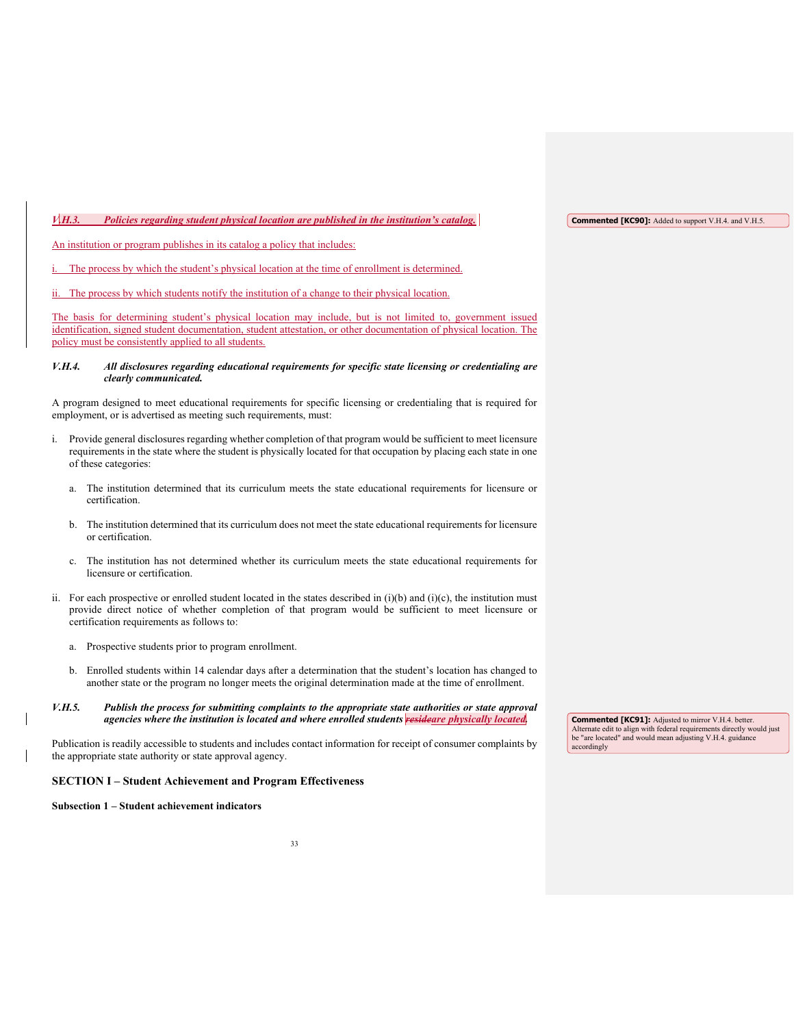*V.H.3. Policies regarding student physical location are published in the institution's catalog.* 

An institution or program publishes in its catalog a policy that includes:

The process by which the student's physical location at the time of enrollment is determined.

The process by which students notify the institution of a change to their physical location.

The basis for determining student's physical location may include, but is not limited to, government issued identification, signed student documentation, student attestation, or other documentation of physical location. The policy must be consistently applied to all students.

#### *V.H.4. All disclosures regarding educational requirements for specific state licensing or credentialing are clearly communicated.*

A program designed to meet educational requirements for specific licensing or credentialing that is required for employment, or is advertised as meeting such requirements, must:

- i. Provide general disclosures regarding whether completion of that program would be sufficient to meet licensure requirements in the state where the student is physically located for that occupation by placing each state in one of these categories:
	- a. The institution determined that its curriculum meets the state educational requirements for licensure or certification.
	- b. The institution determined that its curriculum does not meet the state educational requirements for licensure or certification.
	- c. The institution has not determined whether its curriculum meets the state educational requirements for licensure or certification.
- ii. For each prospective or enrolled student located in the states described in  $(i)(b)$  and  $(i)(c)$ , the institution must provide direct notice of whether completion of that program would be sufficient to meet licensure or certification requirements as follows to:
	- a. Prospective students prior to program enrollment.
	- b. Enrolled students within 14 calendar days after a determination that the student's location has changed to another state or the program no longer meets the original determination made at the time of enrollment.
- *V.H.5. Publish the process for submitting complaints to the appropriate state authorities or state approval agencies where the institution is located and where enrolled students resideare physically located.*

Publication is readily accessible to students and includes contact information for receipt of consumer complaints by the appropriate state authority or state approval agency.

#### **SECTION I – Student Achievement and Program Effectiveness**

#### **Subsection 1 – Student achievement indicators**

**Commented [KC91]:** Adjusted to mirror V.H.4. better. Alternate edit to align with federal requirements directly would just be "are located" and would mean adjusting V.H.4. guidance accordingly

**Commented [KC90]:** Added to support V.H.4. and V.H.5.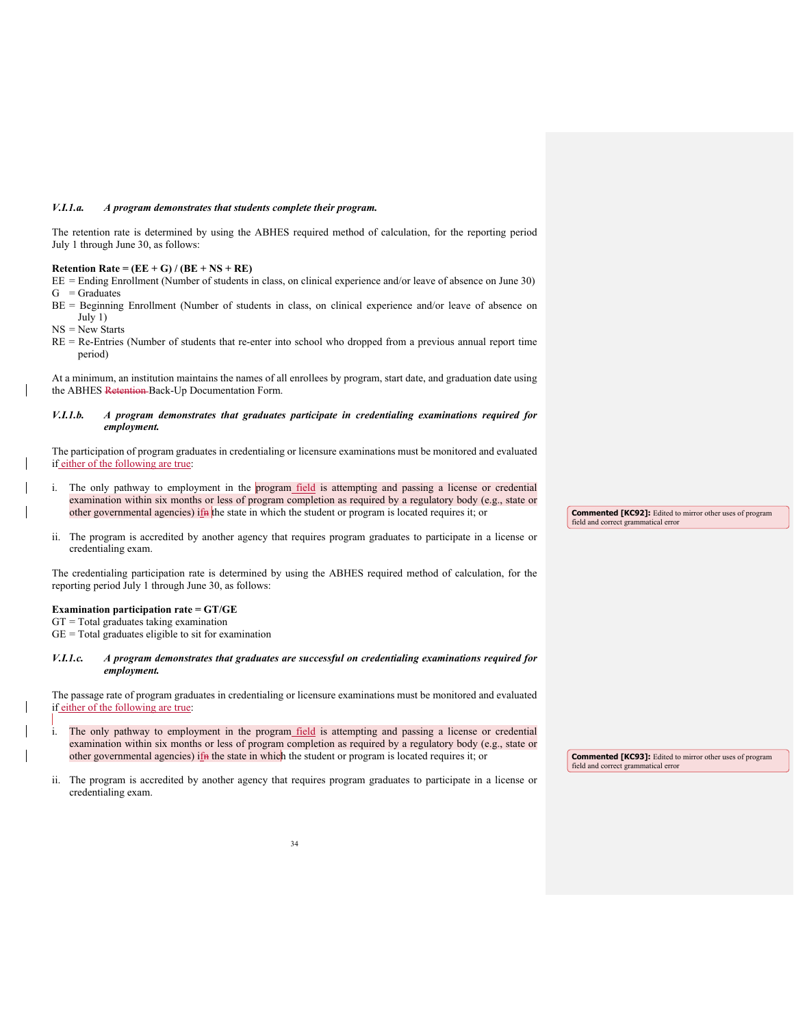#### *V.I.1.a. A program demonstrates that students complete their program.*

The retention rate is determined by using the ABHES required method of calculation, for the reporting period July 1 through June 30, as follows:

### **Retention Rate = (EE + G) / (BE + NS + RE)**

EE = Ending Enrollment (Number of students in class, on clinical experience and/or leave of absence on June 30)  $G =$ Graduates

- BE = Beginning Enrollment (Number of students in class, on clinical experience and/or leave of absence on July 1)
- NS = New Starts
- RE = Re-Entries (Number of students that re-enter into school who dropped from a previous annual report time period)

At a minimum, an institution maintains the names of all enrollees by program, start date, and graduation date using the ABHES Retention Back-Up Documentation Form.

#### *V.I.1.b. A program demonstrates that graduates participate in credentialing examinations required for employment.*

The participation of program graduates in credentialing or licensure examinations must be monitored and evaluated if either of the following are true:

- i. The only pathway to employment in the program field is attempting and passing a license or credential examination within six months or less of program completion as required by a regulatory body (e.g., state or other governmental agencies) ifn the state in which the student or program is located requires it; or
- ii. The program is accredited by another agency that requires program graduates to participate in a license or credentialing exam.

The credentialing participation rate is determined by using the ABHES required method of calculation, for the reporting period July 1 through June 30, as follows:

### **Examination participation rate = GT/GE**

 $GT = Total$  graduates taking examination GE = Total graduates eligible to sit for examination

*V.I.1.c. A program demonstrates that graduates are successful on credentialing examinations required for employment.*

The passage rate of program graduates in credentialing or licensure examinations must be monitored and evaluated if either of the following are true:

- i. The only pathway to employment in the program field is attempting and passing a license or credential examination within six months or less of program completion as required by a regulatory body (e.g., state or other governmental agencies) if the state in which the student or program is located requires it; or
- ii. The program is accredited by another agency that requires program graduates to participate in a license or credentialing exam.

**Commented [KC92]:** Edited to mirror other uses of program field and correct grammatical error

**Commented [KC93]:** Edited to mirror other uses of program field and correct grammatical error field and correct gramm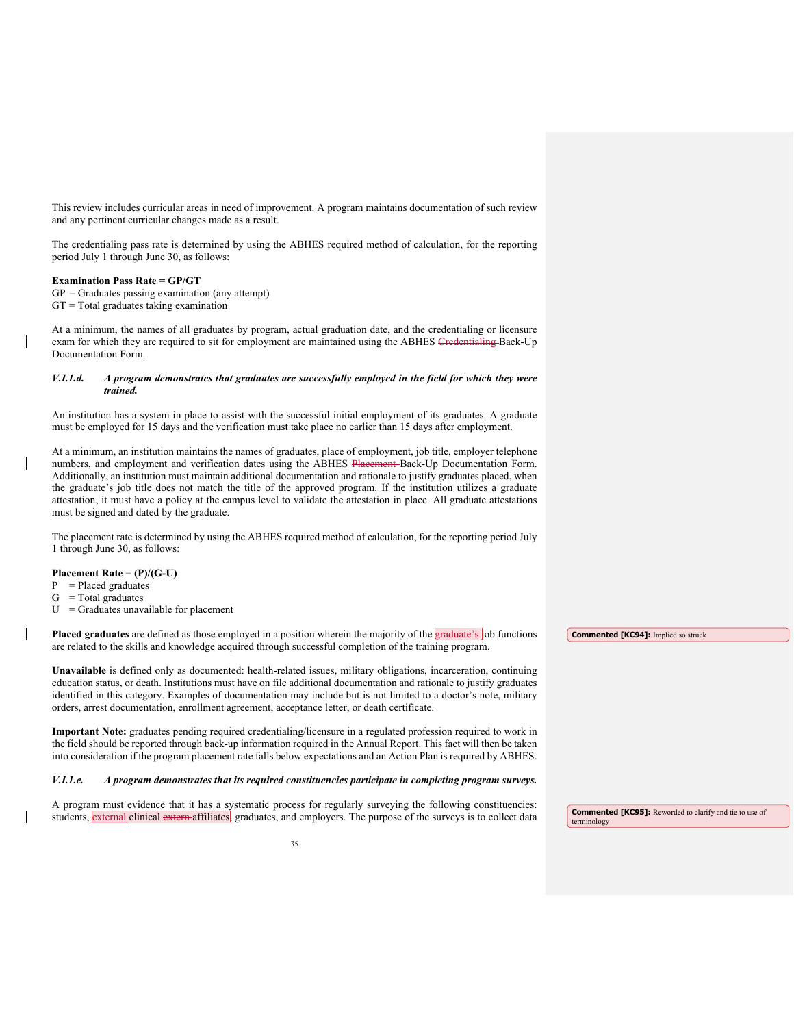This review includes curricular areas in need of improvement. A program maintains documentation of such review and any pertinent curricular changes made as a result.

The credentialing pass rate is determined by using the ABHES required method of calculation, for the reporting period July 1 through June 30, as follows:

#### **Examination Pass Rate = GP/GT**

 $GP = Graduates$  passing examination (any attempt)  $GT = Total$  graduates taking examination

At a minimum, the names of all graduates by program, actual graduation date, and the credentialing or licensure exam for which they are required to sit for employment are maintained using the ABHES Credentialing Back-Up Documentation Form.

#### *V.I.1.d. A program demonstrates that graduates are successfully employed in the field for which they were trained.*

An institution has a system in place to assist with the successful initial employment of its graduates. A graduate must be employed for 15 days and the verification must take place no earlier than 15 days after employment.

At a minimum, an institution maintains the names of graduates, place of employment, job title, employer telephone numbers, and employment and verification dates using the ABHES Placement Back-Up Documentation Form. Additionally, an institution must maintain additional documentation and rationale to justify graduates placed, when the graduate's job title does not match the title of the approved program. If the institution utilizes a graduate attestation, it must have a policy at the campus level to validate the attestation in place. All graduate attestations must be signed and dated by the graduate.

The placement rate is determined by using the ABHES required method of calculation, for the reporting period July 1 through June 30, as follows:

#### **Placement Rate = (P)/(G-U)**

- $P = Placed$  graduates
- $G = Total$  graduates
- $U =$ Graduates unavailable for placement

**Placed graduates** are defined as those employed in a position wherein the majority of the **graduate's** job functions are related to the skills and knowledge acquired through successful completion of the training program.

**Unavailable** is defined only as documented: health-related issues, military obligations, incarceration, continuing education status, or death. Institutions must have on file additional documentation and rationale to justify graduates identified in this category. Examples of documentation may include but is not limited to a doctor's note, military orders, arrest documentation, enrollment agreement, acceptance letter, or death certificate.

**Important Note:** graduates pending required credentialing/licensure in a regulated profession required to work in the field should be reported through back-up information required in the Annual Report. This fact will then be taken into consideration if the program placement rate falls below expectations and an Action Plan is required by ABHES.

#### *V.I.1.e. A program demonstrates that its required constituencies participate in completing program surveys.*

A program must evidence that it has a systematic process for regularly surveying the following constituencies: students, *external* clinical extern affiliates, graduates, and employers. The purpose of the surveys is to collect data **Commented [KC94]:** Implied so struck

**Commented [KC95]:** Reworded to clarify and tie to use of terminology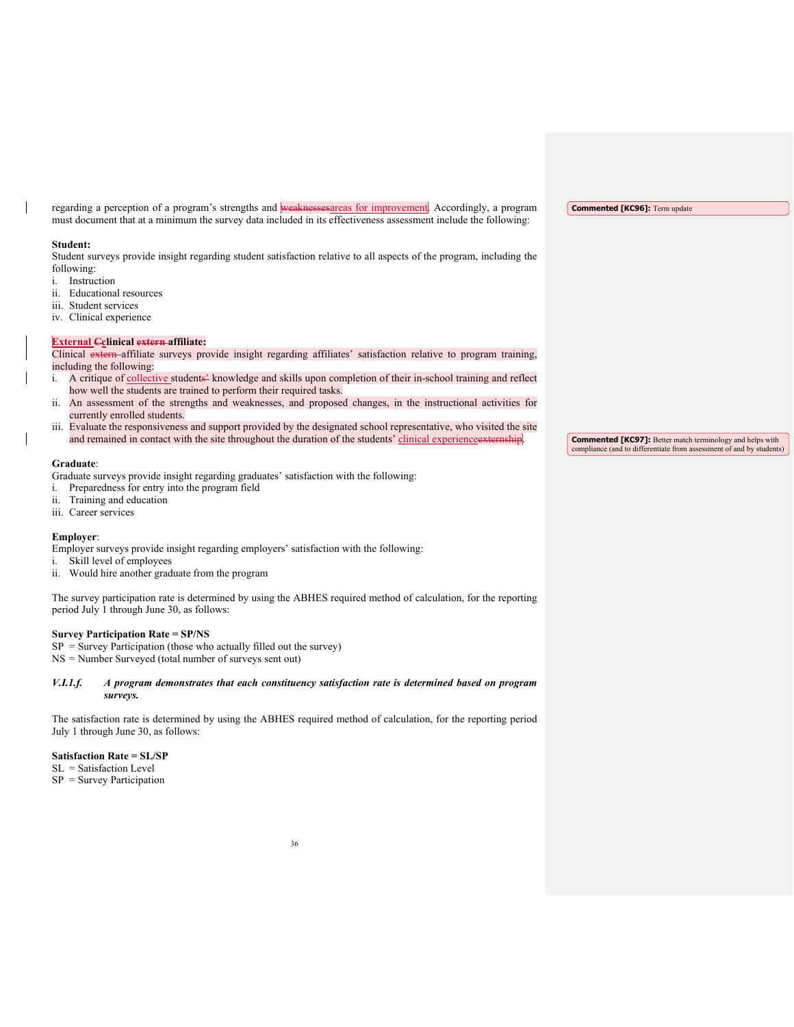regarding a perception of a program's strengths and weaknessesareas for improvement. Accordingly, a program must document that at a minimum the survey data included in its effectiveness assessment include the following:

#### **Student:**

Student surveys provide insight regarding student satisfaction relative to all aspects of the program, including the following:

- i. Instruction
- ii. Educational resources
- iii. Student services
- iv. Clinical experience

#### **External Cclinical extern affiliate:**

Clinical extern affiliate surveys provide insight regarding affiliates' satisfaction relative to program training, including the following:

- i. A critique of collective students<sup>2</sup> knowledge and skills upon completion of their in-school training and reflect how well the students are trained to perform their required tasks.
- An assessment of the strengths and weaknesses, and proposed changes, in the instructional activities for currently enrolled students.
- iii. Evaluate the responsiveness and support provided by the designated school representative, who visited the site and remained in contact with the site throughout the duration of the students' clinical experience extern

#### **Graduate**:

Graduate surveys provide insight regarding graduates' satisfaction with the following:

- i. Preparedness for entry into the program field
- ii. Training and education
- iii. Career services

# **Employer**:

Employer surveys provide insight regarding employers' satisfaction with the following:

- i. Skill level of employees
- ii. Would hire another graduate from the program

The survey participation rate is determined by using the ABHES required method of calculation, for the reporting period July 1 through June 30, as follows:

# **Survey Participation Rate = SP/NS**

 $SP =$  Survey Participation (those who actually filled out the survey)

NS = Number Surveyed (total number of surveys sent out)

# *V.I.1.f. A program demonstrates that each constituency satisfaction rate is determined based on program surveys.*

The satisfaction rate is determined by using the ABHES required method of calculation, for the reporting period July 1 through June 30, as follows:

**Satisfaction Rate = SL/SP**

SL = Satisfaction Level

 $SP =$  Survey Participation

**Commented [KC97]:** Better match terminology and helps with compliance (and to differentiate from assessment of and by students)

**Commented [KC96]:** Term update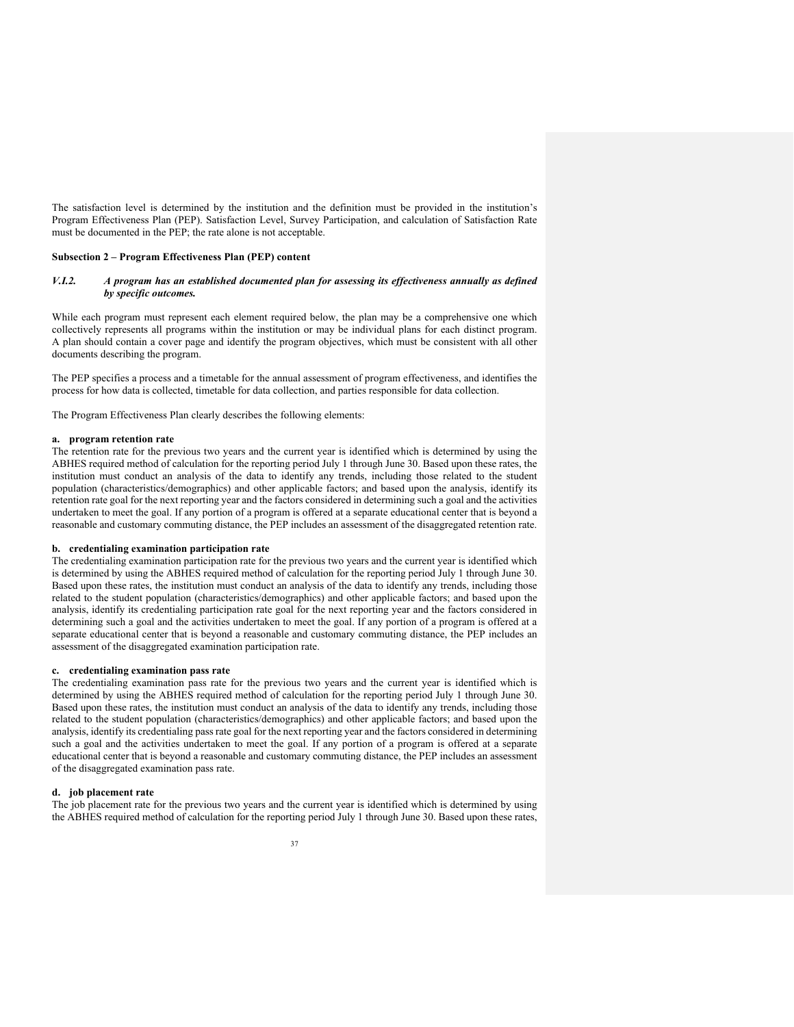The satisfaction level is determined by the institution and the definition must be provided in the institution's Program Effectiveness Plan (PEP). Satisfaction Level, Survey Participation, and calculation of Satisfaction Rate must be documented in the PEP; the rate alone is not acceptable.

# **Subsection 2 – Program Effectiveness Plan (PEP) content**

# *V.I.2. A program has an established documented plan for assessing its effectiveness annually as defined by specific outcomes.*

While each program must represent each element required below, the plan may be a comprehensive one which collectively represents all programs within the institution or may be individual plans for each distinct program. A plan should contain a cover page and identify the program objectives, which must be consistent with all other documents describing the program.

The PEP specifies a process and a timetable for the annual assessment of program effectiveness, and identifies the process for how data is collected, timetable for data collection, and parties responsible for data collection.

The Program Effectiveness Plan clearly describes the following elements:

#### **a. program retention rate**

The retention rate for the previous two years and the current year is identified which is determined by using the ABHES required method of calculation for the reporting period July 1 through June 30. Based upon these rates, the institution must conduct an analysis of the data to identify any trends, including those related to the student population (characteristics/demographics) and other applicable factors; and based upon the analysis, identify its retention rate goal for the next reporting year and the factors considered in determining such a goal and the activities undertaken to meet the goal. If any portion of a program is offered at a separate educational center that is beyond a reasonable and customary commuting distance, the PEP includes an assessment of the disaggregated retention rate.

### **b. credentialing examination participation rate**

The credentialing examination participation rate for the previous two years and the current year is identified which is determined by using the ABHES required method of calculation for the reporting period July 1 through June 30. Based upon these rates, the institution must conduct an analysis of the data to identify any trends, including those related to the student population (characteristics/demographics) and other applicable factors; and based upon the analysis, identify its credentialing participation rate goal for the next reporting year and the factors considered in determining such a goal and the activities undertaken to meet the goal. If any portion of a program is offered at a separate educational center that is beyond a reasonable and customary commuting distance, the PEP includes an assessment of the disaggregated examination participation rate.

# **c. credentialing examination pass rate**

The credentialing examination pass rate for the previous two years and the current year is identified which is determined by using the ABHES required method of calculation for the reporting period July 1 through June 30. Based upon these rates, the institution must conduct an analysis of the data to identify any trends, including those related to the student population (characteristics/demographics) and other applicable factors; and based upon the analysis, identify its credentialing pass rate goal for the next reporting year and the factors considered in determining such a goal and the activities undertaken to meet the goal. If any portion of a program is offered at a separate educational center that is beyond a reasonable and customary commuting distance, the PEP includes an assessment of the disaggregated examination pass rate.

#### **d. job placement rate**

The job placement rate for the previous two years and the current year is identified which is determined by using the ABHES required method of calculation for the reporting period July 1 through June 30. Based upon these rates,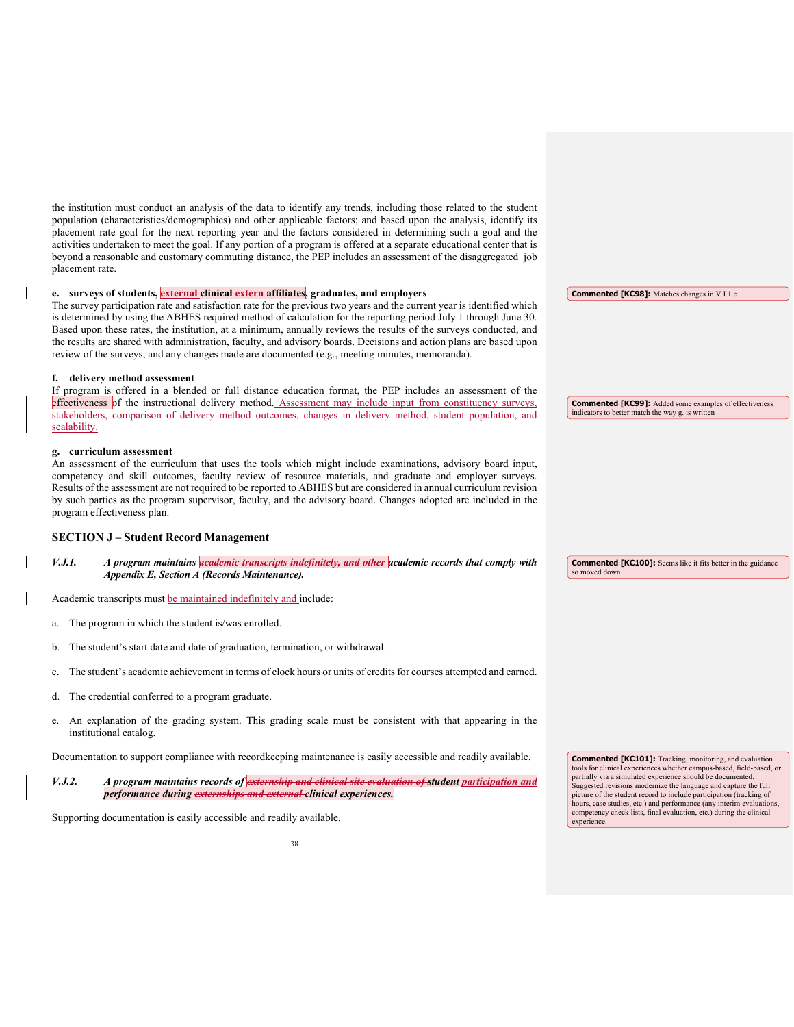the institution must conduct an analysis of the data to identify any trends, including those related to the student population (characteristics/demographics) and other applicable factors; and based upon the analysis, identify its placement rate goal for the next reporting year and the factors considered in determining such a goal and the activities undertaken to meet the goal. If any portion of a program is offered at a separate educational center that is beyond a reasonable and customary commuting distance, the PEP includes an assessment of the disaggregated job placement rate.

# **e. surveys of students, external clinical extern affiliates, graduates, and employers**

The survey participation rate and satisfaction rate for the previous two years and the current year is identified which is determined by using the ABHES required method of calculation for the reporting period July 1 through June 30. Based upon these rates, the institution, at a minimum, annually reviews the results of the surveys conducted, and the results are shared with administration, faculty, and advisory boards. Decisions and action plans are based upon review of the surveys, and any changes made are documented (e.g., meeting minutes, memoranda).

#### **f. delivery method assessment**

If program is offered in a blended or full distance education format, the PEP includes an assessment of the effectiveness of the instructional delivery method. Assessment may include input from constituency surveys, stakeholders, comparison of delivery method outcomes, changes in delivery method, student population, and scalability.

#### **g. curriculum assessment**

An assessment of the curriculum that uses the tools which might include examinations, advisory board input, competency and skill outcomes, faculty review of resource materials, and graduate and employer surveys. Results of the assessment are not required to be reported to ABHES but are considered in annual curriculum revision by such parties as the program supervisor, faculty, and the advisory board. Changes adopted are included in the program effectiveness plan.

# **SECTION J – Student Record Management**

*V.J.1. A program maintains academic transcripts indefinitely, and other academic records that comply with Appendix E, Section A (Records Maintenance).*

Academic transcripts must be maintained indefinitely and include:

- a. The program in which the student is/was enrolled.
- b. The student's start date and date of graduation, termination, or withdrawal.
- c. The student's academic achievement in terms of clock hours or units of credits for courses attempted and earned.
- d. The credential conferred to a program graduate.
- e. An explanation of the grading system. This grading scale must be consistent with that appearing in the institutional catalog.

Documentation to support compliance with recordkeeping maintenance is easily accessible and readily available.

*V.J.2. A program maintains records of externship and clinical site evaluation of student participation and performance during externships and external clinical experiences.*

Supporting documentation is easily accessible and readily available.

**Commented [KC98]:** Matches changes in V.I.1.e

**Commented [KC99]:** Added some examples of effectiveness indicators to better match the way g. is written

**Commented [KC100]:** Seems like it fits better in the guidance so moved down

**Commented [KC101]:** Tracking, monitoring, and evaluation tools for clinical experiences whether campus-based, field-based, or partially via a simulated experience should be documented. Suggested revisions modernize the language and capture the full picture of the student record to include participation (tracking of hours, case studies, etc.) and performance (any interim evaluations, competency check lists, final evaluation, etc.) during the clinical experience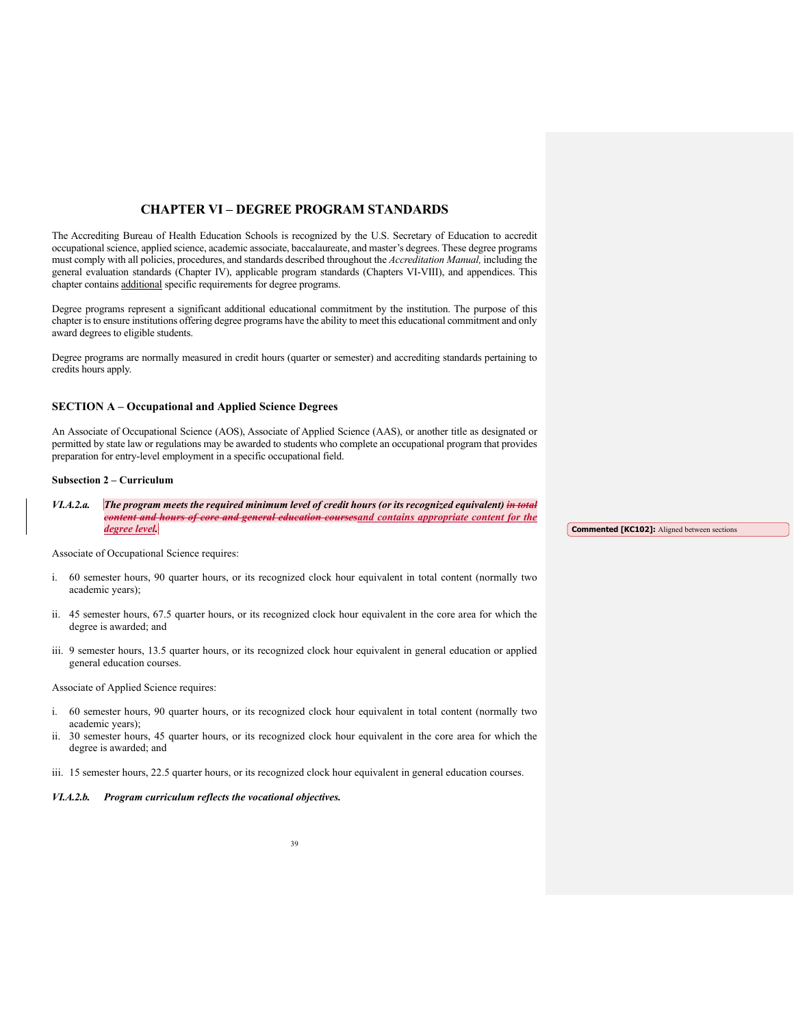# **CHAPTER VI – DEGREE PROGRAM STANDARDS**

The Accrediting Bureau of Health Education Schools is recognized by the U.S. Secretary of Education to accredit occupational science, applied science, academic associate, baccalaureate, and master's degrees. These degree programs must comply with all policies, procedures, and standards described throughout the *Accreditation Manual,* including the general evaluation standards (Chapter IV), applicable program standards (Chapters VI-VIII), and appendices. This chapter contains additional specific requirements for degree programs.

Degree programs represent a significant additional educational commitment by the institution. The purpose of this chapter is to ensure institutions offering degree programs have the ability to meet this educational commitment and only award degrees to eligible students.

Degree programs are normally measured in credit hours (quarter or semester) and accrediting standards pertaining to credits hours apply.

# **SECTION A – Occupational and Applied Science Degrees**

An Associate of Occupational Science (AOS), Associate of Applied Science (AAS), or another title as designated or permitted by state law or regulations may be awarded to students who complete an occupational program that provides preparation for entry-level employment in a specific occupational field.

# **Subsection 2 – Curriculum**

*VI.A.2.a. The program meets the required minimum level of credit hours (or its recognized equivalent) in total content and hours of core and general education coursesand contains appropriate content for the degree level.* 

**Commented [KC102]:** Aligned between sections

Associate of Occupational Science requires:

- i. 60 semester hours, 90 quarter hours, or its recognized clock hour equivalent in total content (normally two academic years);
- ii. 45 semester hours, 67.5 quarter hours, or its recognized clock hour equivalent in the core area for which the degree is awarded; and
- iii. 9 semester hours, 13.5 quarter hours, or its recognized clock hour equivalent in general education or applied general education courses.

Associate of Applied Science requires:

- i. 60 semester hours, 90 quarter hours, or its recognized clock hour equivalent in total content (normally two academic years);
- ii. 30 semester hours, 45 quarter hours, or its recognized clock hour equivalent in the core area for which the degree is awarded; and
- iii. 15 semester hours, 22.5 quarter hours, or its recognized clock hour equivalent in general education courses.

# *VI.A.2.b. Program curriculum reflects the vocational objectives.*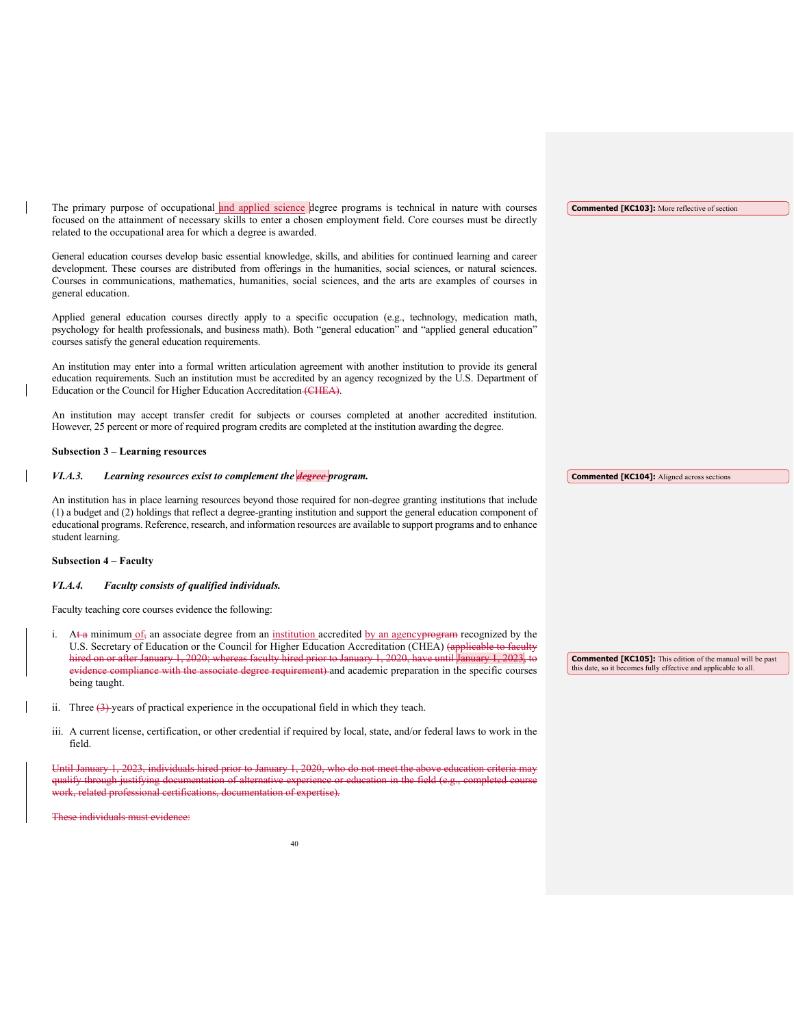The primary purpose of occupational and applied science degree programs is technical in nature with courses focused on the attainment of necessary skills to enter a chosen employment field. Core courses must be directly related to the occupational area for which a degree is awarded.

General education courses develop basic essential knowledge, skills, and abilities for continued learning and career development. These courses are distributed from offerings in the humanities, social sciences, or natural sciences. Courses in communications, mathematics, humanities, social sciences, and the arts are examples of courses in general education.

Applied general education courses directly apply to a specific occupation (e.g., technology, medication math, psychology for health professionals, and business math). Both "general education" and "applied general education" courses satisfy the general education requirements.

An institution may enter into a formal written articulation agreement with another institution to provide its general education requirements. Such an institution must be accredited by an agency recognized by the U.S. Department of Education or the Council for Higher Education Accreditation (CHEA).

An institution may accept transfer credit for subjects or courses completed at another accredited institution. However, 25 percent or more of required program credits are completed at the institution awarding the degree.

# **Subsection 3 – Learning resources**

*VI.A.3. Learning resources exist to complement the degree program.*

An institution has in place learning resources beyond those required for non-degree granting institutions that include (1) a budget and (2) holdings that reflect a degree-granting institution and support the general education component of educational programs. Reference, research, and information resources are available to support programs and to enhance student learning.

# **Subsection 4 – Faculty**

#### *VI.A.4. Faculty consists of qualified individuals.*

Faculty teaching core courses evidence the following:

- At a minimum  $of_7$  an associate degree from an institution accredited by an agency program recognized by the U.S. Secretary of Education or the Council for Higher Education Accreditation (CHEA) (applicable to faculty hired on or after January 1, 2020; whereas faculty hired prior to January 1, 2020, have until January 1, 2023, to evidence compliance with the associate degree requirement) and academic preparation in the specific courses being taught.
- ii. Three  $(3)$ -years of practical experience in the occupational field in which they teach.
- iii. A current license, certification, or other credential if required by local, state, and/or federal laws to work in the field.

 $i$ ndividuals hired prior to January 1, 2020, who do not meet the above education criteria may qualify through justifying documentation of alternative experience or education in the field (e.g., completed course work, related professional certifications, documentation of expertise).

individuals must evidence:

**Commented [KC103]:** More reflective of section

**Commented [KC104]:** Aligned across sections

**Commented [KC105]:** This edition of the manual will be past this date, so it becomes fully effective and applicable to all.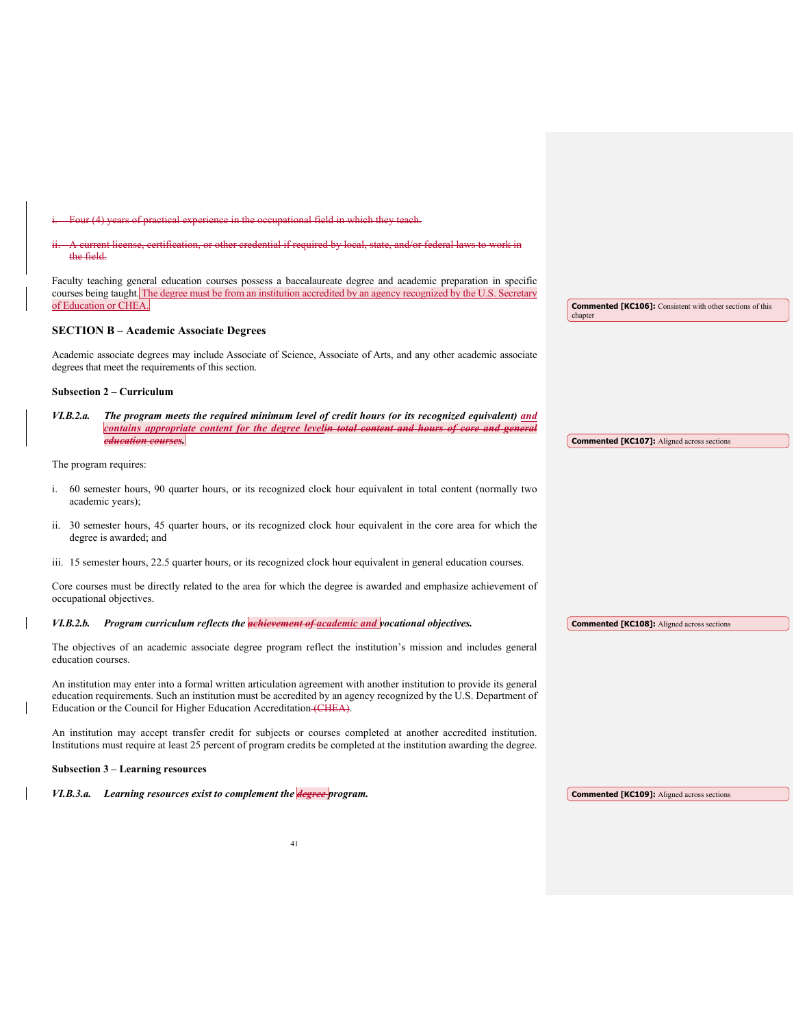other credential if required by local, other credential if required by local, the field. Faculty teaching general education courses possess a baccalaureate degree and academic preparation in specific courses being taught. The degree must be from an institution accredited by an agency recognized by the U.S. Secretary of Education or CHEA. **SECTION B – Academic Associate Degrees** Academic associate degrees may include Associate of Science, Associate of Arts, and any other academic associate degrees that meet the requirements of this section. **Subsection 2 – Curriculum** *VI.B.2.a. The program meets the required minimum level of credit hours (or its recognized equivalent) and contains appropriate content for the degree leveli<del>n total content and hours</del> education courses.*  The program requires: i. 60 semester hours, 90 quarter hours, or its recognized clock hour equivalent in total content (normally two academic years); ii. 30 semester hours, 45 quarter hours, or its recognized clock hour equivalent in the core area for which the degree is awarded; and iii. 15 semester hours, 22.5 quarter hours, or its recognized clock hour equivalent in general education courses. Core courses must be directly related to the area for which the degree is awarded and emphasize achievement of occupational objectives. *VI.B.2.b. Program curriculum reflects the achievement of academic and vocational objectives.*  The objectives of an academic associate degree program reflect the institution's mission and includes general education courses. An institution may enter into a formal written articulation agreement with another institution to provide its general education requirements. Such an institution must be accredited by an agency recognized by the U.S. Department of Education or the Council for Higher Education Accreditation (CHEA). An institution may accept transfer credit for subjects or courses completed at another accredited institution. Institutions must require at least 25 percent of program credits be completed at the institution awarding the degree. **Subsection 3 – Learning resources Commented [KC106]:** Consistent with other sections of this chapter **Commented [KC107]:** Aligned across sections **Commented [KC108]:** Aligned across sections

i. Four (4) years of practical experience in the occupational field in which they teach.

*VI.B.3.a. Learning resources exist to complement the degree program.*  **Commented [KC109]:** Aligned across sections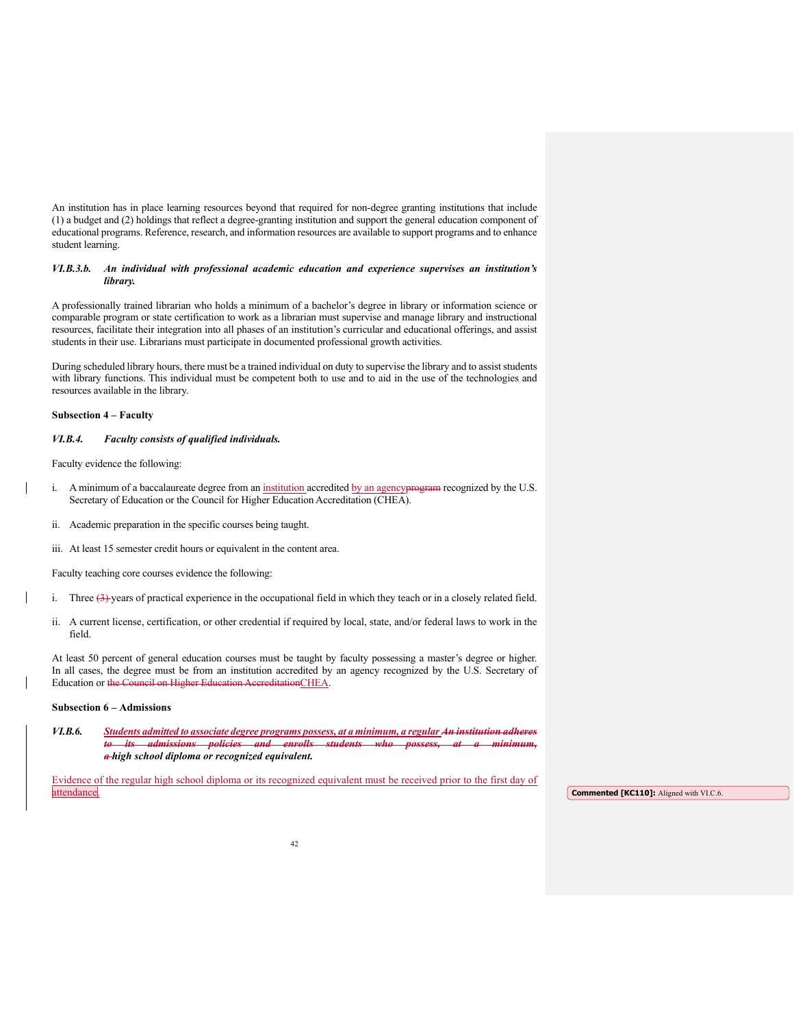An institution has in place learning resources beyond that required for non-degree granting institutions that include (1) a budget and (2) holdings that reflect a degree-granting institution and support the general education component of educational programs. Reference, research, and information resources are available to support programs and to enhance student learning.

# *VI.B.3.b. An individual with professional academic education and experience supervises an institution's library.*

A professionally trained librarian who holds a minimum of a bachelor's degree in library or information science or comparable program or state certification to work as a librarian must supervise and manage library and instructional resources, facilitate their integration into all phases of an institution's curricular and educational offerings, and assist students in their use. Librarians must participate in documented professional growth activities.

During scheduled library hours, there must be a trained individual on duty to supervise the library and to assist students with library functions. This individual must be competent both to use and to aid in the use of the technologies and resources available in the library.

### **Subsection 4 – Faculty**

#### *VI.B.4. Faculty consists of qualified individuals.*

Faculty evidence the following:

- i. A minimum of a baccalaureate degree from an institution accredited by an agency program recognized by the U.S. Secretary of Education or the Council for Higher Education Accreditation (CHEA).
- ii. Academic preparation in the specific courses being taught.
- iii. At least 15 semester credit hours or equivalent in the content area.

Faculty teaching core courses evidence the following:

- i. Three  $(3)$ -years of practical experience in the occupational field in which they teach or in a closely related field.
- ii. A current license, certification, or other credential if required by local, state, and/or federal laws to work in the field.

At least 50 percent of general education courses must be taught by faculty possessing a master's degree or higher. In all cases, the degree must be from an institution accredited by an agency recognized by the U.S. Secretary of Education or the Council on Higher Education AccreditationCHEA.

#### **Subsection 6 – Admissions**

*VI.B.6. Students admitted to associate degree programs possess, at a minimum, a regular An institution adheres to its admissions policies and enrolls students who possess, at a minimum, a high school diploma or recognized equivalent.* 

Evidence of the regular high school diploma or its recognized equivalent must be received prior to the first day of **attendance Commented [KC110]:** Aligned with VI.C.6.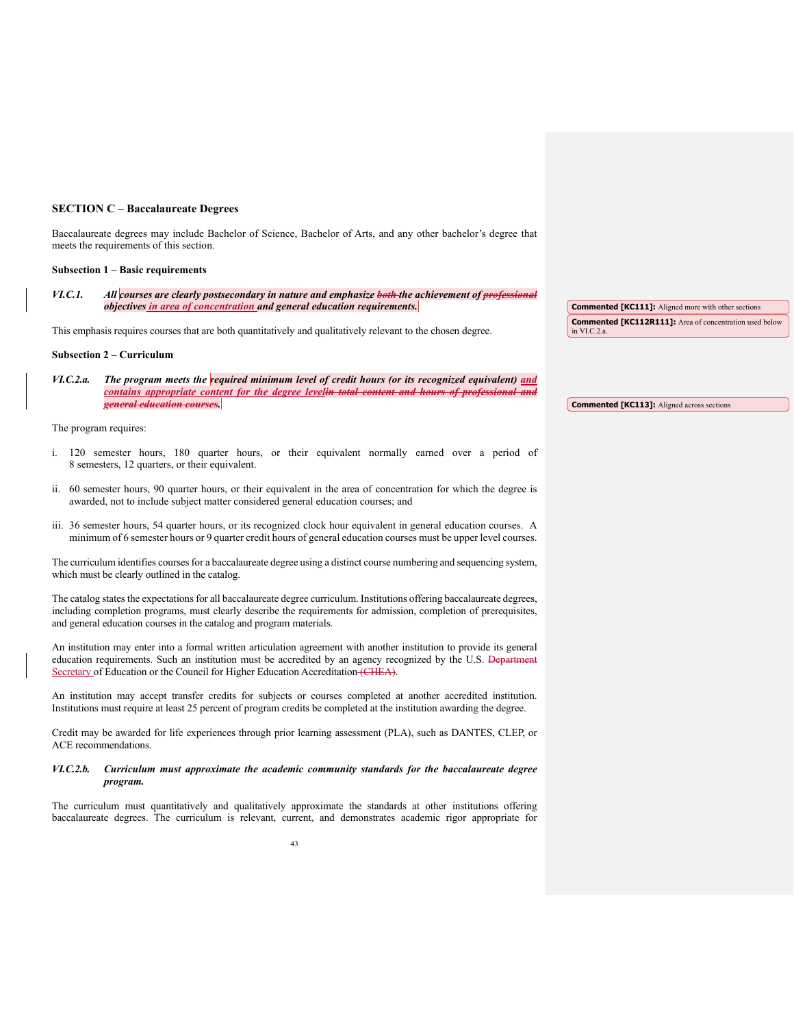# **SECTION C – Baccalaureate Degrees**

Baccalaureate degrees may include Bachelor of Science, Bachelor of Arts, and any other bachelor's degree that meets the requirements of this section.

#### **Subsection 1 – Basic requirements**

*VI.C.1. All courses are clearly postsecondary in nature and emphasize both the achievement of professional objectives in area of concentration and general education requirements.* 

This emphasis requires courses that are both quantitatively and qualitatively relevant to the chosen degree.

#### **Subsection 2 – Curriculum**

*VI.C.2.a. The program meets the required minimum level of credit hours (or its recognized equivalent) and contains appropriate content for the degree levelin total content and hours of professional and general education courses.* 

The program requires:

- i. 120 semester hours, 180 quarter hours, or their equivalent normally earned over a period of 8 semesters, 12 quarters, or their equivalent.
- ii. 60 semester hours, 90 quarter hours, or their equivalent in the area of concentration for which the degree is awarded, not to include subject matter considered general education courses; and
- iii. 36 semester hours, 54 quarter hours, or its recognized clock hour equivalent in general education courses. A minimum of 6 semester hours or 9 quarter credit hours of general education courses must be upper level courses.

The curriculum identifies courses for a baccalaureate degree using a distinct course numbering and sequencing system, which must be clearly outlined in the catalog.

The catalog states the expectations for all baccalaureate degree curriculum. Institutions offering baccalaureate degrees, including completion programs, must clearly describe the requirements for admission, completion of prerequisites, and general education courses in the catalog and program materials.

An institution may enter into a formal written articulation agreement with another institution to provide its general education requirements. Such an institution must be accredited by an agency recognized by the U.S. Departm Secretary of Education or the Council for Higher Education Accreditation (CHEA).

An institution may accept transfer credits for subjects or courses completed at another accredited institution. Institutions must require at least 25 percent of program credits be completed at the institution awarding the degree.

Credit may be awarded for life experiences through prior learning assessment (PLA), such as DANTES, CLEP, or ACE recommendations.

# *VI.C.2.b. Curriculum must approximate the academic community standards for the baccalaureate degree program.*

The curriculum must quantitatively and qualitatively approximate the standards at other institutions offering baccalaureate degrees. The curriculum is relevant, current, and demonstrates academic rigor appropriate for

**Commented [KC111]:** Aligned more with other sections **Commented [KC112R111]:** Area of concentration used below in VI.C.2.a.

**Commented [KC113]:** Aligned across sections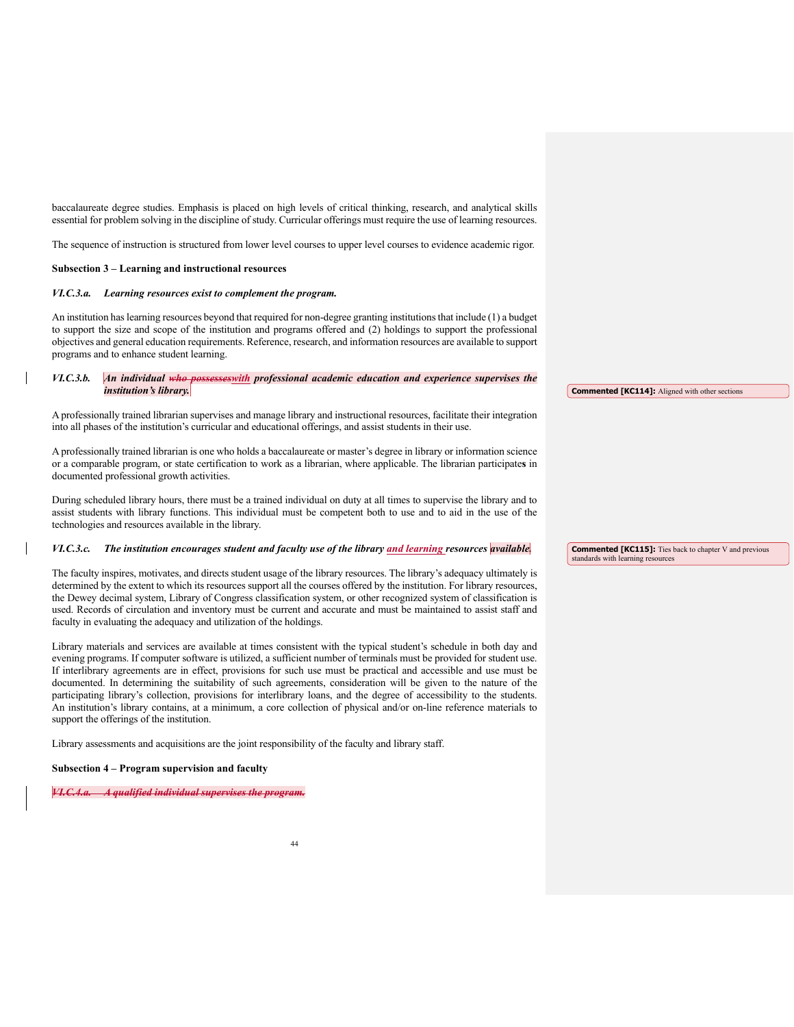baccalaureate degree studies. Emphasis is placed on high levels of critical thinking, research, and analytical skills essential for problem solving in the discipline of study. Curricular offerings must require the use of learning resources.

The sequence of instruction is structured from lower level courses to upper level courses to evidence academic rigor.

# **Subsection 3 – Learning and instructional resources**

#### *VI.C.3.a. Learning resources exist to complement the program.*

An institution has learning resources beyond that required for non-degree granting institutions that include (1) a budget to support the size and scope of the institution and programs offered and (2) holdings to support the professional objectives and general education requirements. Reference, research, and information resources are available to support programs and to enhance student learning.

# *VI.C.3.b. An individual who possesseswith professional academic education and experience supervises the institution's library.*

A professionally trained librarian supervises and manage library and instructional resources, facilitate their integration into all phases of the institution's curricular and educational offerings, and assist students in their use.

A professionally trained librarian is one who holds a baccalaureate or master's degree in library or information science or a comparable program, or state certification to work as a librarian, where applicable. The librarian participate**s** in documented professional growth activities.

During scheduled library hours, there must be a trained individual on duty at all times to supervise the library and to assist students with library functions. This individual must be competent both to use and to aid in the use of the technologies and resources available in the library.

# *VI.C.3.c. The institution encourages student and faculty use of the library and learning resources available.*

The faculty inspires, motivates, and directs student usage of the library resources. The library's adequacy ultimately is determined by the extent to which its resources support all the courses offered by the institution. For library resources, the Dewey decimal system, Library of Congress classification system, or other recognized system of classification is used. Records of circulation and inventory must be current and accurate and must be maintained to assist staff and faculty in evaluating the adequacy and utilization of the holdings.

Library materials and services are available at times consistent with the typical student's schedule in both day and evening programs. If computer software is utilized, a sufficient number of terminals must be provided for student use. If interlibrary agreements are in effect, provisions for such use must be practical and accessible and use must be documented. In determining the suitability of such agreements, consideration will be given to the nature of the participating library's collection, provisions for interlibrary loans, and the degree of accessibility to the students. An institution's library contains, at a minimum, a core collection of physical and/or on-line reference materials to support the offerings of the institution.

Library assessments and acquisitions are the joint responsibility of the faculty and library staff.

# **Subsection 4 – Program supervision and faculty**

*VI.C.4.a. A qualified individual supervises the program.*

**Commented [KC114]:** Aligned with other sections

**Commented [KC115]:** Ties back to chapter V and previous standards with learning resources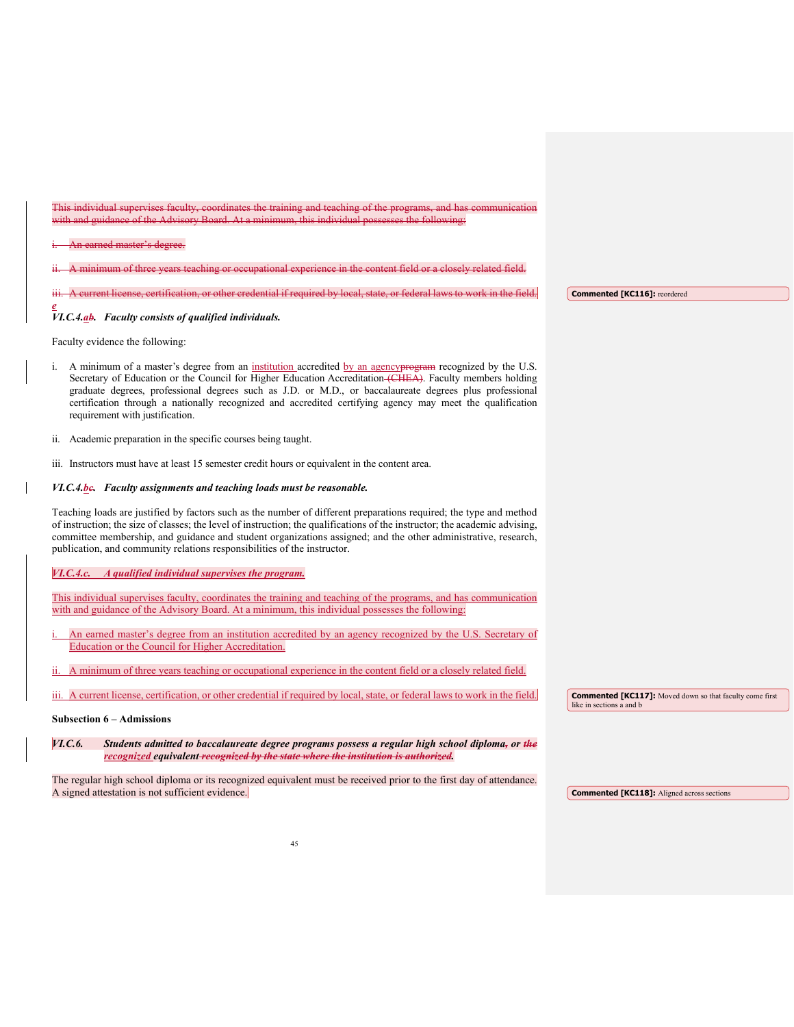| This individual supervises faculty, coordinates the training and teaching of the programs, and has communication<br>with and guidance of the Advisory Board. At a minimum, this individual possesses the following:                                                                                                                                                                                                                                                                            |                                                                                             |
|------------------------------------------------------------------------------------------------------------------------------------------------------------------------------------------------------------------------------------------------------------------------------------------------------------------------------------------------------------------------------------------------------------------------------------------------------------------------------------------------|---------------------------------------------------------------------------------------------|
| An earned master's degree.                                                                                                                                                                                                                                                                                                                                                                                                                                                                     |                                                                                             |
| A minimum of three years teaching or occupational experience in the content field or a closely related field.                                                                                                                                                                                                                                                                                                                                                                                  |                                                                                             |
| A current license, certification, or other credential if required by local, state, or federal laws to work in the field.                                                                                                                                                                                                                                                                                                                                                                       | <b>Commented [KC116]:</b> reordered                                                         |
| VI.C.4.ab. Faculty consists of qualified individuals.                                                                                                                                                                                                                                                                                                                                                                                                                                          |                                                                                             |
| Faculty evidence the following:                                                                                                                                                                                                                                                                                                                                                                                                                                                                |                                                                                             |
| i. A minimum of a master's degree from an institution accredited by an agency <del>program</del> recognized by the U.S.<br>Secretary of Education or the Council for Higher Education Accreditation (CHEA). Faculty members holding<br>graduate degrees, professional degrees such as J.D. or M.D., or baccalaureate degrees plus professional<br>certification through a nationally recognized and accredited certifying agency may meet the qualification<br>requirement with justification. |                                                                                             |
| ii. Academic preparation in the specific courses being taught.                                                                                                                                                                                                                                                                                                                                                                                                                                 |                                                                                             |
| iii. Instructors must have at least 15 semester credit hours or equivalent in the content area.                                                                                                                                                                                                                                                                                                                                                                                                |                                                                                             |
| VI.C.4.be. Faculty assignments and teaching loads must be reasonable.                                                                                                                                                                                                                                                                                                                                                                                                                          |                                                                                             |
| Teaching loads are justified by factors such as the number of different preparations required; the type and method<br>of instruction; the size of classes; the level of instruction; the qualifications of the instructor; the academic advising,<br>committee membership, and guidance and student organizations assigned; and the other administrative, research,<br>publication, and community relations responsibilities of the instructor.                                                |                                                                                             |
| VI.C.4.c. A qualified individual supervises the program.                                                                                                                                                                                                                                                                                                                                                                                                                                       |                                                                                             |
| This individual supervises faculty, coordinates the training and teaching of the programs, and has communication<br>with and guidance of the Advisory Board. At a minimum, this individual possesses the following:                                                                                                                                                                                                                                                                            |                                                                                             |
| An earned master's degree from an institution accredited by an agency recognized by the U.S. Secretary of<br>Education or the Council for Higher Accreditation.                                                                                                                                                                                                                                                                                                                                |                                                                                             |
| A minimum of three years teaching or occupational experience in the content field or a closely related field.                                                                                                                                                                                                                                                                                                                                                                                  |                                                                                             |
| iii. A current license, certification, or other credential if required by local, state, or federal laws to work in the field.                                                                                                                                                                                                                                                                                                                                                                  | <b>Commented [KC117]:</b> Moved down so that faculty come first<br>like in sections a and b |
| <b>Subsection 6 – Admissions</b>                                                                                                                                                                                                                                                                                                                                                                                                                                                               |                                                                                             |
| VI.C.6.<br>Students admitted to baccalaureate degree programs possess a regular high school diploma, or the<br>recognized equivalent-recognized by the state where the institution is authorized.                                                                                                                                                                                                                                                                                              |                                                                                             |
| The regular high school diploma or its recognized equivalent must be received prior to the first day of attendance.<br>A signed attestation is not sufficient evidence.                                                                                                                                                                                                                                                                                                                        |                                                                                             |
|                                                                                                                                                                                                                                                                                                                                                                                                                                                                                                | <b>Commented [KC118]:</b> Aligned across sections                                           |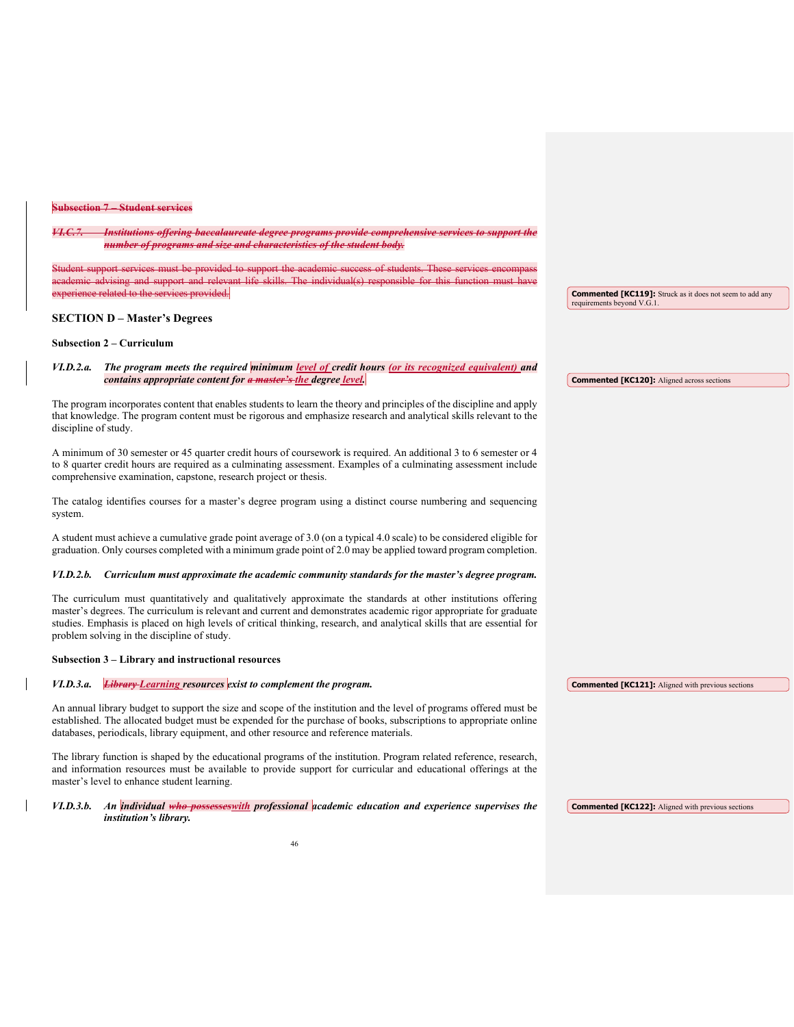### **Subsection 7 – Student services**

*VI.C.7. Institutions offering baccalaureate degree programs provide comprehensive services to support the number of programs and size and characteristics of the student body.* 

Student support services must be provided to support the academic success of students. These services encompass academic advising and support and relevant life skills. The individual(s) responsible for this function must have experience related to the services provided.

#### **SECTION D – Master's Degrees**

# **Subsection 2 – Curriculum**

*VI.D.2.a. The program meets the required minimum level of credit hours (or its recognized equivalent) and contains appropriate content for a master's the degree level.* 

The program incorporates content that enables students to learn the theory and principles of the discipline and apply that knowledge. The program content must be rigorous and emphasize research and analytical skills relevant to the discipline of study.

A minimum of 30 semester or 45 quarter credit hours of coursework is required. An additional 3 to 6 semester or 4 to 8 quarter credit hours are required as a culminating assessment. Examples of a culminating assessment include comprehensive examination, capstone, research project or thesis.

The catalog identifies courses for a master's degree program using a distinct course numbering and sequencing system.

A student must achieve a cumulative grade point average of 3.0 (on a typical 4.0 scale) to be considered eligible for graduation. Only courses completed with a minimum grade point of 2.0 may be applied toward program completion.

#### *VI.D.2.b. Curriculum must approximate the academic community standards for the master's degree program.*

The curriculum must quantitatively and qualitatively approximate the standards at other institutions offering master's degrees. The curriculum is relevant and current and demonstrates academic rigor appropriate for graduate studies. Emphasis is placed on high levels of critical thinking, research, and analytical skills that are essential for problem solving in the discipline of study.

#### **Subsection 3 – Library and instructional resources**

#### *VI.D.3.a. Library Learning resources exist to complement the program.*  **Commented [KC121]:** Aligned with previous sections

An annual library budget to support the size and scope of the institution and the level of programs offered must be established. The allocated budget must be expended for the purchase of books, subscriptions to appropriate online databases, periodicals, library equipment, and other resource and reference materials.

The library function is shaped by the educational programs of the institution. Program related reference, research, and information resources must be available to provide support for curricular and educational offerings at the master's level to enhance student learning.

*VI.D.3.b. An individual who possesseswith professional academic education and experience supervises the institution's library.*

**Commented [KC119]:** Struck as it does not seem to add any

**Commented [KC120]:** Aligned across sections

requirements beyond V.G.1.

**Commented [KC122]:** Aligned with previous sections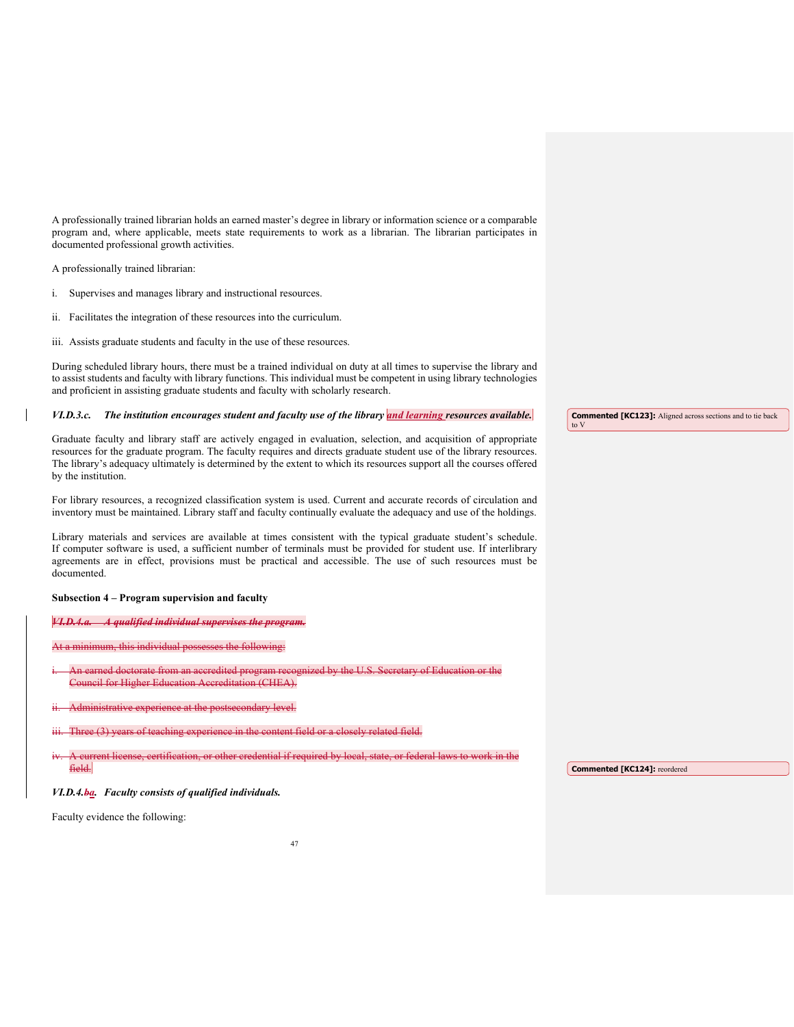A professionally trained librarian holds an earned master's degree in library or information science or a comparable program and, where applicable, meets state requirements to work as a librarian. The librarian participates in documented professional growth activities.

A professionally trained librarian:

- i. Supervises and manages library and instructional resources.
- ii. Facilitates the integration of these resources into the curriculum.
- iii. Assists graduate students and faculty in the use of these resources.

During scheduled library hours, there must be a trained individual on duty at all times to supervise the library and to assist students and faculty with library functions. This individual must be competent in using library technologies and proficient in assisting graduate students and faculty with scholarly research.

#### *VI.D.3.c. The institution encourages student and faculty use of the library and learning resources available.*

Graduate faculty and library staff are actively engaged in evaluation, selection, and acquisition of appropriate resources for the graduate program. The faculty requires and directs graduate student use of the library resources. The library's adequacy ultimately is determined by the extent to which its resources support all the courses offered by the institution.

For library resources, a recognized classification system is used. Current and accurate records of circulation and inventory must be maintained. Library staff and faculty continually evaluate the adequacy and use of the holdings.

Library materials and services are available at times consistent with the typical graduate student's schedule. If computer software is used, a sufficient number of terminals must be provided for student use. If interlibrary agreements are in effect, provisions must be practical and accessible. The use of such resources must be documented.

# **Subsection 4 – Program supervision and faculty**

*VI.D.4.a.* A qualified individual supervises the prog.

this individual possesses the following:

- n earned doctorate from an accredited program recognized by the U.S. Secretary of Education or the ncil for Higher Education Accreditation (CHEA).
- erience at the postsecondary level.
- Three (3) years of teaching experience in the content field or a closely related field.
- mse, certification, or other credential if required by local, state, or federal laws to work in the field.

*VI.D.4.ba. Faculty consists of qualified individuals.*

Faculty evidence the following:

**Commented [KC123]:** Aligned across sections and to tie back to V

**Commented [KC124]:** reordered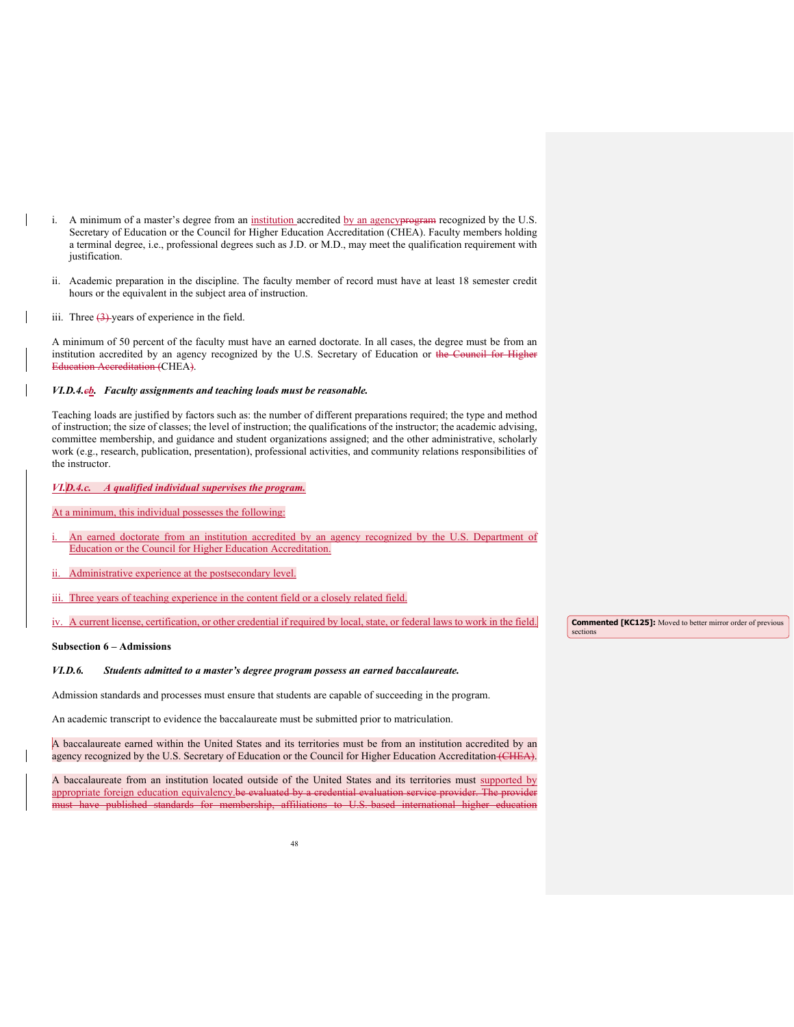- i. A minimum of a master's degree from an institution accredited by an agencyprogram recognized by the U.S. Secretary of Education or the Council for Higher Education Accreditation (CHEA). Faculty members holding a terminal degree, i.e., professional degrees such as J.D. or M.D., may meet the qualification requirement with justification.
- ii. Academic preparation in the discipline. The faculty member of record must have at least 18 semester credit hours or the equivalent in the subject area of instruction.
- iii. Three  $(3)$ -years of experience in the field.

A minimum of 50 percent of the faculty must have an earned doctorate. In all cases, the degree must be from an institution accredited by an agency recognized by the U.S. Secretary of Education or the Council for Higher Education Accreditation (CHEA).

# *VI.D.4.cb. Faculty assignments and teaching loads must be reasonable.*

Teaching loads are justified by factors such as: the number of different preparations required; the type and method of instruction; the size of classes; the level of instruction; the qualifications of the instructor; the academic advising, committee membership, and guidance and student organizations assigned; and the other administrative, scholarly work (e.g., research, publication, presentation), professional activities, and community relations responsibilities of the instructor.

# *VI.D.4.c. A qualified individual supervises the program.*

At a minimum, this individual possesses the following:

- An earned doctorate from an institution accredited by an agency recognized by the U.S. Department of Education or the Council for Higher Education Accreditation.
- Administrative experience at the postsecondary level.
- iii. Three years of teaching experience in the content field or a closely related field.
- iv. A current license, certification, or other credential if required by local, state, or federal laws to work in the field.

# **Subsection 6 – Admissions**

#### *VI.D.6. Students admitted to a master's degree program possess an earned baccalaureate.*

Admission standards and processes must ensure that students are capable of succeeding in the program.

An academic transcript to evidence the baccalaureate must be submitted prior to matriculation.

A baccalaureate earned within the United States and its territories must be from an institution accredited by an agency recognized by the U.S. Secretary of Education or the Council for Higher Education Accreditation (CHEA).

A baccalaureate from an institution located outside of the United States and its territories must supported by appropriate foreign education equivalency.be evaluated by a credential evaluation service provider. The provider must have published standards for membership, affiliations to U.S

**Commented [KC125]:** Moved to better mirror order of previous sections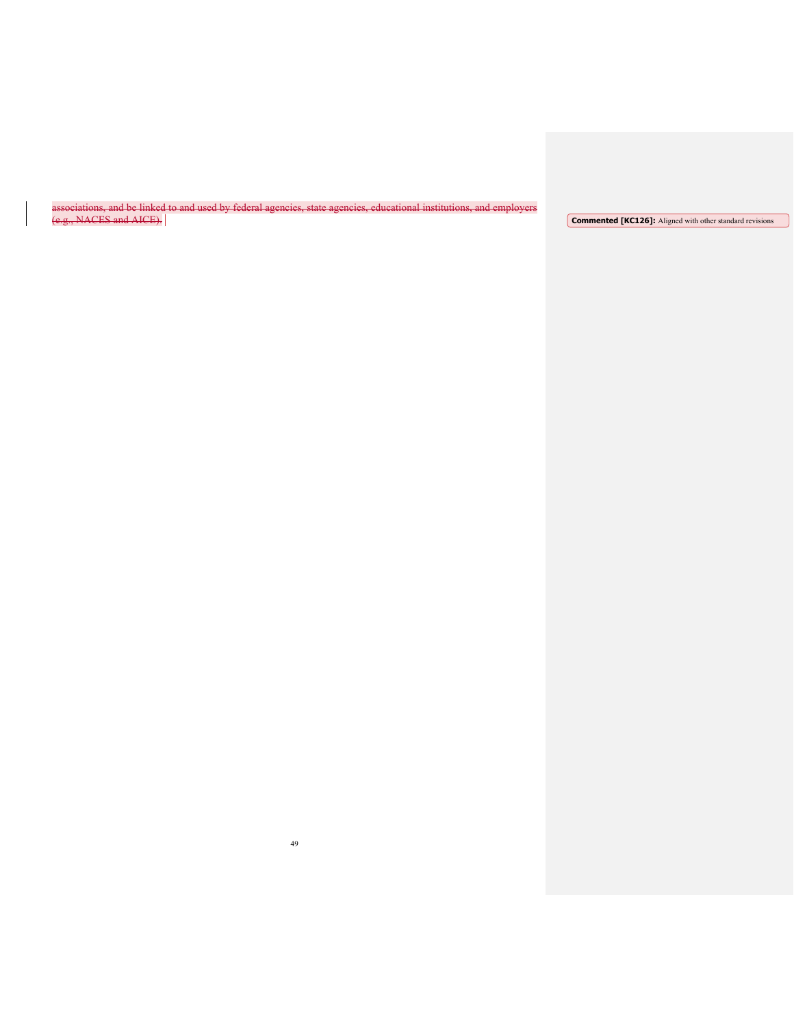associations, and be linked to and used by federal agencies, state agencies, educational institutions, and employers (e.g., NACES and AICE). **Commented [KC126]:** Aligned with other standard revisions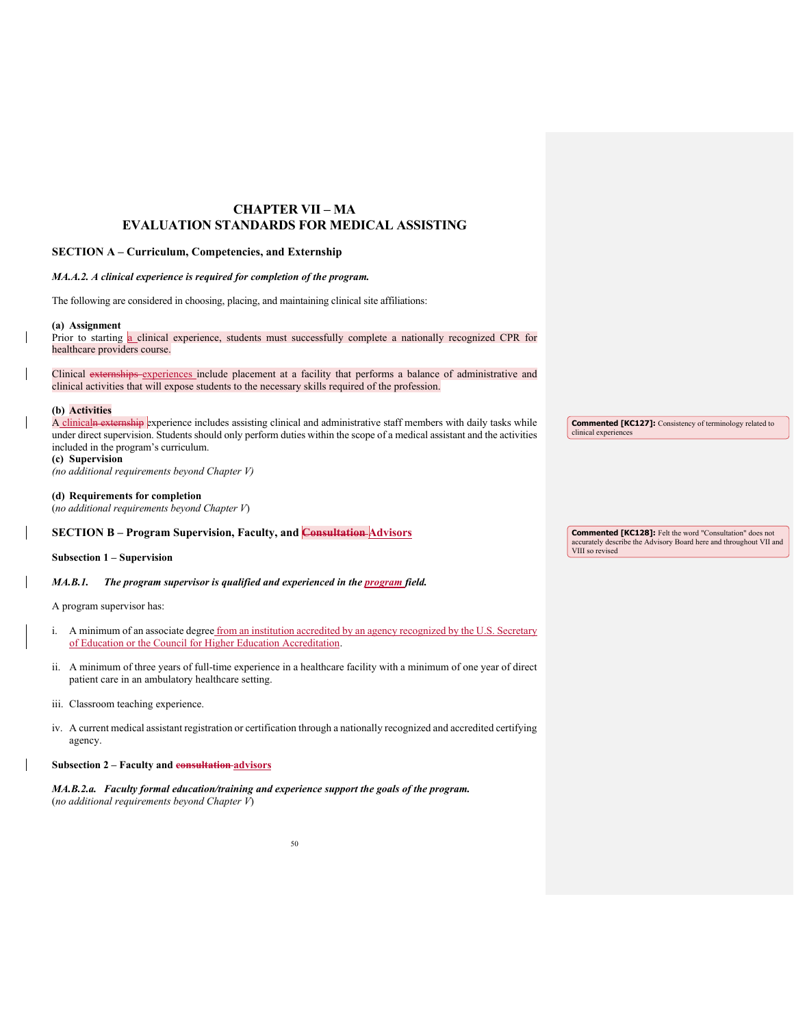# **CHAPTER VII – MA EVALUATION STANDARDS FOR MEDICAL ASSISTING**

# **SECTION A – Curriculum, Competencies, and Externship**

# *MA.A.2. A clinical experience is required for completion of the program.*

The following are considered in choosing, placing, and maintaining clinical site affiliations:

#### **(a) Assignment**

Prior to starting a clinical experience, students must successfully complete a nationally recognized CPR for healthcare providers course.

Clinical externships experiences include placement at a facility that performs a balance of administrative and clinical activities that will expose students to the necessary skills required of the profession.

#### **(b) Activities**

A clinicaln externship experience includes assisting clinical and administrative staff members with daily tasks while under direct supervision. Students should only perform duties within the scope of a medical assistant and the activities included in the program's curriculum. **(c) Supervision**

**Commented [KC127]:** Consistency of terminology related to clinical experiences

# **(d) Requirements for completion**

(*no additional requirements beyond Chapter V*)

*(no additional requirements beyond Chapter V)*

| <b>SECTION B – Program Supervision, Faculty, and Consultation Advisors</b> | <b>Commented [KC128]:</b> Felt the word "Consultation" does not    |
|----------------------------------------------------------------------------|--------------------------------------------------------------------|
|                                                                            | accurately describe the Advisory Board here and throughout VII and |
|                                                                            | VIII so revised                                                    |

**Subsection 1 – Supervision**

*MA.B.1. The program supervisor is qualified and experienced in the program field.* 

A program supervisor has:

- i. A minimum of an associate degree from an institution accredited by an agency recognized by the U.S. Secretary of Education or the Council for Higher Education Accreditation.
- ii. A minimum of three years of full-time experience in a healthcare facility with a minimum of one year of direct patient care in an ambulatory healthcare setting.
- iii. Classroom teaching experience.
- iv. A current medical assistant registration or certification through a nationally recognized and accredited certifying agency.

# **Subsection 2 – Faculty and consultation advisors**

*MA.B.2.a. Faculty formal education/training and experience support the goals of the program.*  (*no additional requirements beyond Chapter V*)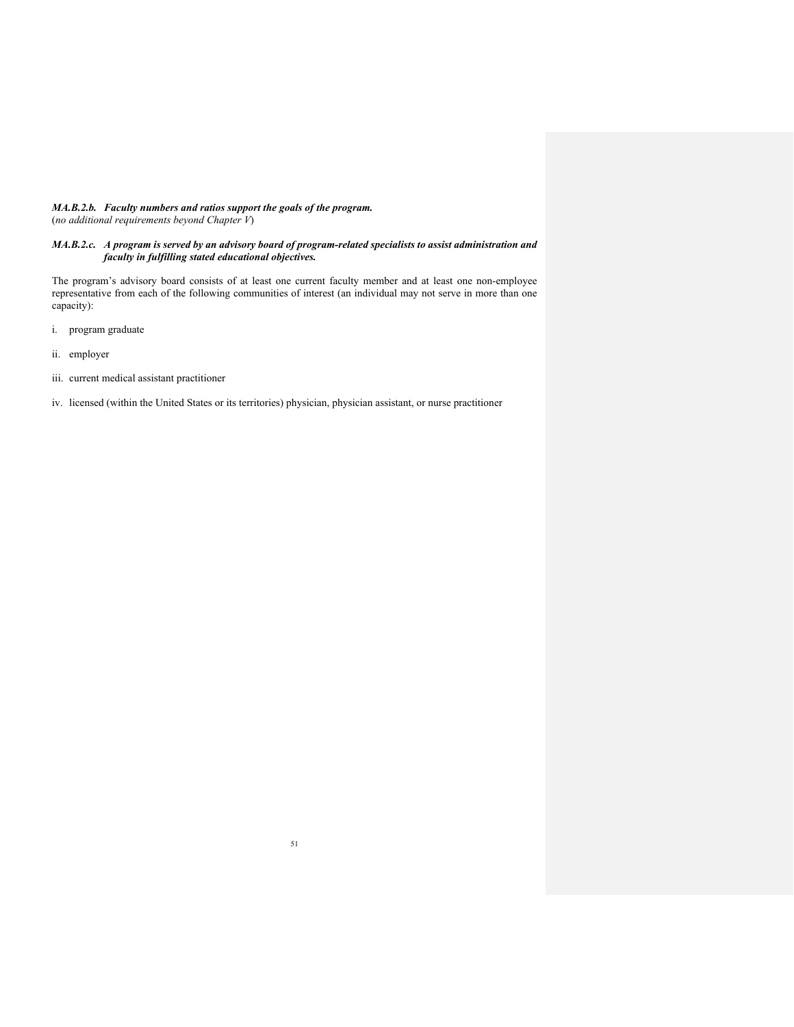# *MA.B.2.b. Faculty numbers and ratios support the goals of the program.* (*no additional requirements beyond Chapter V*)

# *MA.B.2.c. A program is served by an advisory board of program-related specialists to assist administration and faculty in fulfilling stated educational objectives.*

The program's advisory board consists of at least one current faculty member and at least one non-employee representative from each of the following communities of interest (an individual may not serve in more than one capacity):

- i. program graduate
- ii. employer
- iii. current medical assistant practitioner
- iv. licensed (within the United States or its territories) physician, physician assistant, or nurse practitioner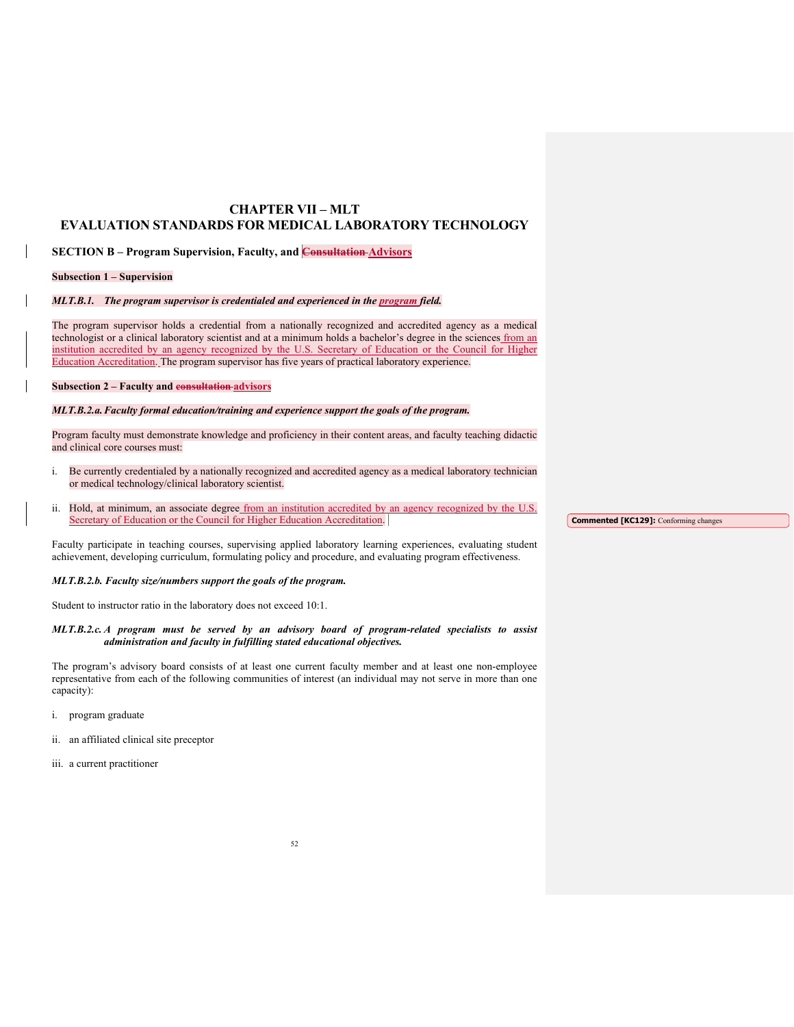# **CHAPTER VII – MLT EVALUATION STANDARDS FOR MEDICAL LABORATORY TECHNOLOGY**

**SECTION B – Program Supervision, Faculty, and Consultation Advisors** 

#### **Subsection 1 – Supervision**

*MLT.B.1. The program supervisor is credentialed and experienced in the program field.* 

The program supervisor holds a credential from a nationally recognized and accredited agency as a medical technologist or a clinical laboratory scientist and at a minimum holds a bachelor's degree in the sciences from an institution accredited by an agency recognized by the U.S. Secretary of Education or the Council for Higher Education Accreditation. The program supervisor has five years of practical laboratory experience.

# **Subsection 2 – Faculty and consultation advisors**

### *MLT.B.2.a. Faculty formal education/training and experience support the goals of the program.*

Program faculty must demonstrate knowledge and proficiency in their content areas, and faculty teaching didactic and clinical core courses must:

- i. Be currently credentialed by a nationally recognized and accredited agency as a medical laboratory technician or medical technology/clinical laboratory scientist.
- ii. Hold, at minimum, an associate degree from an institution accredited by an agency recognized by the U.S. Secretary of Education or the Council for Higher Education Accreditation.

Faculty participate in teaching courses, supervising applied laboratory learning experiences, evaluating student achievement, developing curriculum, formulating policy and procedure, and evaluating program effectiveness.

#### *MLT.B.2.b. Faculty size/numbers support the goals of the program.*

Student to instructor ratio in the laboratory does not exceed 10:1.

# *MLT.B.2.c. A program must be served by an advisory board of program-related specialists to assist administration and faculty in fulfilling stated educational objectives.*

The program's advisory board consists of at least one current faculty member and at least one non-employee representative from each of the following communities of interest (an individual may not serve in more than one capacity):

- i. program graduate
- ii. an affiliated clinical site preceptor
- iii. a current practitioner

**Commented [KC129]:** Conforming changes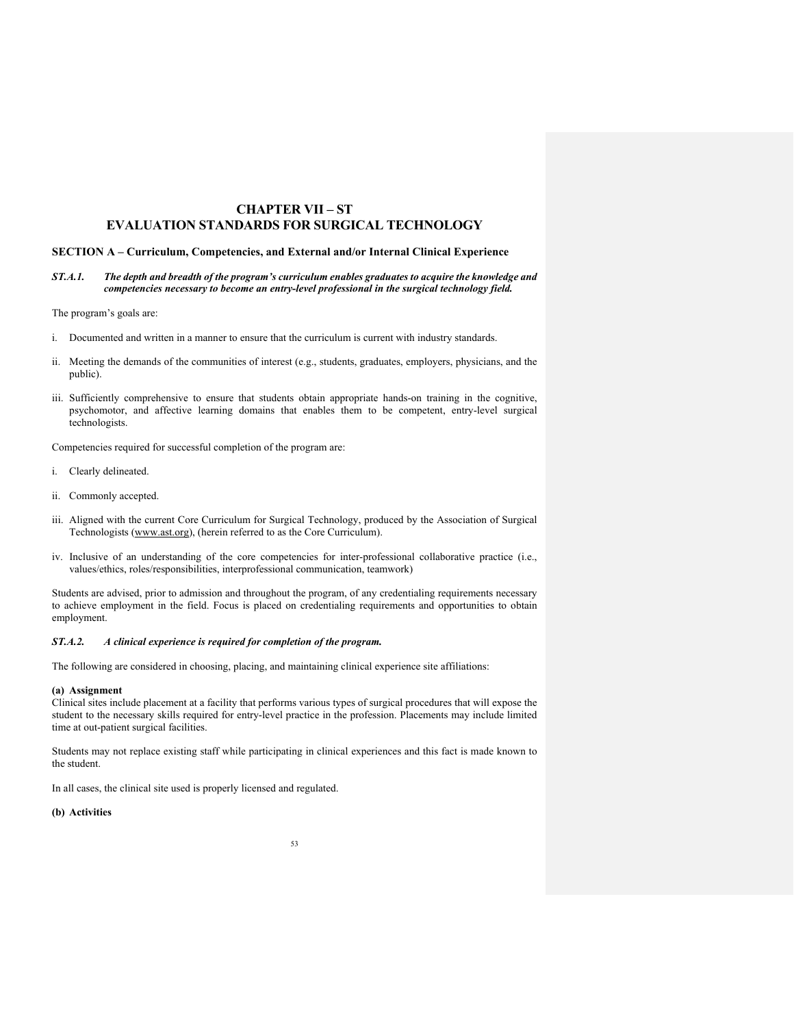# **CHAPTER VII – ST EVALUATION STANDARDS FOR SURGICAL TECHNOLOGY**

### **SECTION A – Curriculum, Competencies, and External and/or Internal Clinical Experience**

*ST.A.1. The depth and breadth of the program's curriculum enables graduates to acquire the knowledge and competencies necessary to become an entry-level professional in the surgical technology field.* 

The program's goals are:

- i. Documented and written in a manner to ensure that the curriculum is current with industry standards.
- ii. Meeting the demands of the communities of interest (e.g., students, graduates, employers, physicians, and the public).
- iii. Sufficiently comprehensive to ensure that students obtain appropriate hands-on training in the cognitive, psychomotor, and affective learning domains that enables them to be competent, entry-level surgical technologists.

Competencies required for successful completion of the program are:

- i. Clearly delineated.
- ii. Commonly accepted.
- iii. Aligned with the current Core Curriculum for Surgical Technology, produced by the Association of Surgical Technologists [\(www.ast.org\)](http://www.ast.org/), (herein referred to as the Core Curriculum).
- iv. Inclusive of an understanding of the core competencies for inter-professional collaborative practice (i.e., values/ethics, roles/responsibilities, interprofessional communication, teamwork)

Students are advised, prior to admission and throughout the program, of any credentialing requirements necessary to achieve employment in the field. Focus is placed on credentialing requirements and opportunities to obtain employment.

### *ST.A.2. A clinical experience is required for completion of the program.*

The following are considered in choosing, placing, and maintaining clinical experience site affiliations:

# **(a) Assignment**

Clinical sites include placement at a facility that performs various types of surgical procedures that will expose the student to the necessary skills required for entry-level practice in the profession. Placements may include limited time at out-patient surgical facilities.

Students may not replace existing staff while participating in clinical experiences and this fact is made known to the student.

In all cases, the clinical site used is properly licensed and regulated.

# **(b) Activities**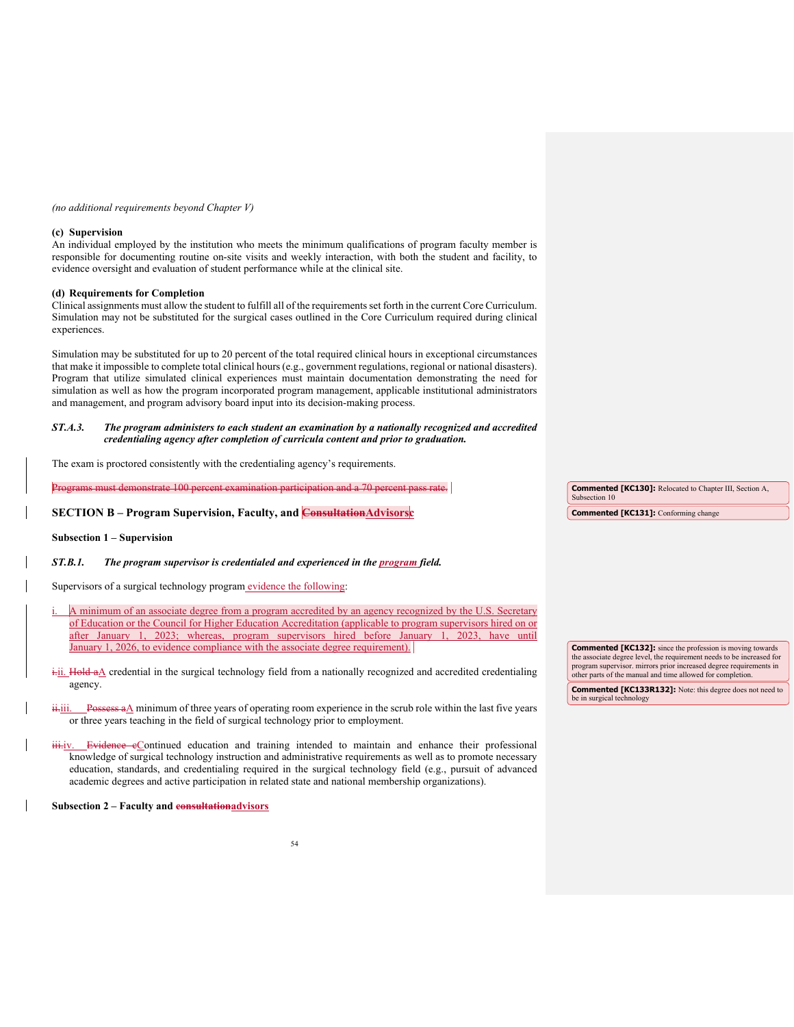### *(no additional requirements beyond Chapter V)*

#### **(c) Supervision**

An individual employed by the institution who meets the minimum qualifications of program faculty member is responsible for documenting routine on-site visits and weekly interaction, with both the student and facility, to evidence oversight and evaluation of student performance while at the clinical site.

#### **(d) Requirements for Completion**

Clinical assignments must allow the student to fulfill all of the requirements set forth in the current Core Curriculum. Simulation may not be substituted for the surgical cases outlined in the Core Curriculum required during clinical experiences.

Simulation may be substituted for up to 20 percent of the total required clinical hours in exceptional circumstances that make it impossible to complete total clinical hours (e.g., government regulations, regional or national disasters). Program that utilize simulated clinical experiences must maintain documentation demonstrating the need for simulation as well as how the program incorporated program management, applicable institutional administrators and management, and program advisory board input into its decision-making process.

*ST.A.3. The program administers to each student an examination by a nationally recognized and accredited credentialing agency after completion of curricula content and prior to graduation.*

The exam is proctored consistently with the credentialing agency's requirements.

 $\mu$ st demonstrate 100 percent examination participation and a 70 percent pass  $\mu$ **SECTION B – Program Supervision, Faculty, and Consultation Advisors Commented [KC130]:** Relocated to Chapter III, Section A, Subsection 10 **Commented [KC131]:** Conforming change

#### **Subsection 1 – Supervision**

*ST.B.1. The program supervisor is credentialed and experienced in the program field.*

Supervisors of a surgical technology program evidence the following:

- A minimum of an associate degree from a program accredited by an agency recognized by the U.S. Secretary of Education or the Council for Higher Education Accreditation (applicable to program supervisors hired on or after January 1, 2023; whereas, program supervisors hired before January 1, 2023, have until January 1, 2026, to evidence compliance with the associate degree requirement).
- $\frac{1}{1}$ . Hold a $\Delta$  credential in the surgical technology field from a nationally recognized and accredited credentialing agency.
- ii.iii. Possess aA minimum of three years of operating room experience in the scrub role within the last five years or three years teaching in the field of surgical technology prior to employment.
- Evidence eContinued education and training intended to maintain and enhance their professional knowledge of surgical technology instruction and administrative requirements as well as to promote necessary education, standards, and credentialing required in the surgical technology field (e.g., pursuit of advanced academic degrees and active participation in related state and national membership organizations).

**Subsection 2 – Faculty and consultationadvisors**

**Commented [KC132]:** since the profession is moving towards the associate degree level, the requirement needs to be increased for program supervisor. mirrors prior increased degree requirements in other parts of the manual and time allowed for completion.

**Commented [KC133R132]:** Note: this degree does not need to be in surgical technology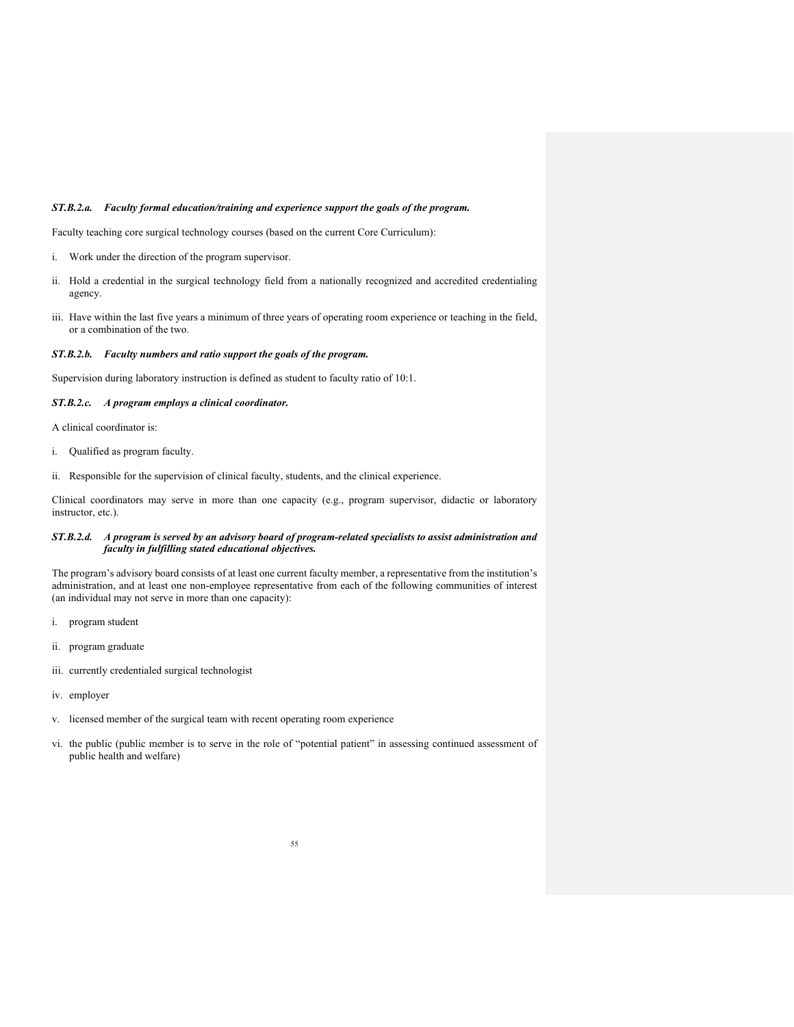### *ST.B.2.a. Faculty formal education/training and experience support the goals of the program.*

Faculty teaching core surgical technology courses (based on the current Core Curriculum):

- i. Work under the direction of the program supervisor.
- ii. Hold a credential in the surgical technology field from a nationally recognized and accredited credentialing agency.
- iii. Have within the last five years a minimum of three years of operating room experience or teaching in the field, or a combination of the two.

# *ST.B.2.b. Faculty numbers and ratio support the goals of the program.*

Supervision during laboratory instruction is defined as student to faculty ratio of 10:1.

#### *ST.B.2.c. A program employs a clinical coordinator.*

A clinical coordinator is:

- i. Qualified as program faculty.
- ii. Responsible for the supervision of clinical faculty, students, and the clinical experience.

Clinical coordinators may serve in more than one capacity (e.g., program supervisor, didactic or laboratory instructor, etc.).

# *ST.B.2.d. A program is served by an advisory board of program-related specialists to assist administration and faculty in fulfilling stated educational objectives.*

The program's advisory board consists of at least one current faculty member, a representative from the institution's administration, and at least one non-employee representative from each of the following communities of interest (an individual may not serve in more than one capacity):

- i. program student
- ii. program graduate
- iii. currently credentialed surgical technologist
- iv. employer
- v. licensed member of the surgical team with recent operating room experience
- vi. the public (public member is to serve in the role of "potential patient" in assessing continued assessment of public health and welfare)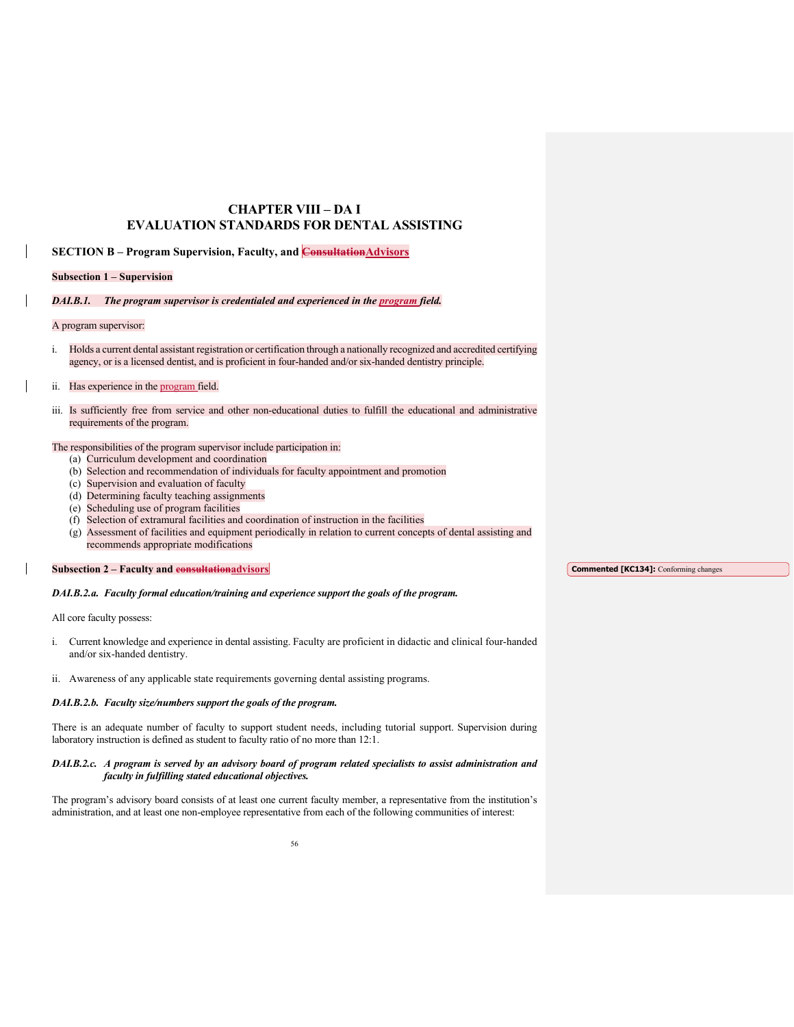# **CHAPTER VIII – DA I EVALUATION STANDARDS FOR DENTAL ASSISTING**

**SECTION B – Program Supervision, Faculty, and ConsultationAdvisors**

### **Subsection 1 – Supervision**

# *DAI.B.1. The program supervisor is credentialed and experienced in the program field.*

#### A program supervisor:

i. Holds a current dental assistant registration or certification through a nationally recognized and accredited certifying agency, or is a licensed dentist, and is proficient in four-handed and/or six-handed dentistry principle.

# ii. Has experience in the program field.

iii. Is sufficiently free from service and other non-educational duties to fulfill the educational and administrative requirements of the program.

# The responsibilities of the program supervisor include participation in:

- (a) Curriculum development and coordination
- (b) Selection and recommendation of individuals for faculty appointment and promotion
- (c) Supervision and evaluation of faculty
- (d) Determining faculty teaching assignments
- (e) Scheduling use of program facilities
- (f) Selection of extramural facilities and coordination of instruction in the facilities
- (g) Assessment of facilities and equipment periodically in relation to current concepts of dental assisting and recommends appropriate modifications

# **Subsection 2 – Faculty and consultationadvisors**

# *DAI.B.2.a. Faculty formal education/training and experience support the goals of the program.*

All core faculty possess:

- i. Current knowledge and experience in dental assisting. Faculty are proficient in didactic and clinical four-handed and/or six-handed dentistry.
- ii. Awareness of any applicable state requirements governing dental assisting programs.

# *DAI.B.2.b. Faculty size/numbers support the goals of the program.*

There is an adequate number of faculty to support student needs, including tutorial support. Supervision during laboratory instruction is defined as student to faculty ratio of no more than 12:1.

# *DAI.B.2.c. A program is served by an advisory board of program related specialists to assist administration and faculty in fulfilling stated educational objectives.*

The program's advisory board consists of at least one current faculty member, a representative from the institution's administration, and at least one non-employee representative from each of the following communities of interest:

**Commented [KC134]:** Conforming changes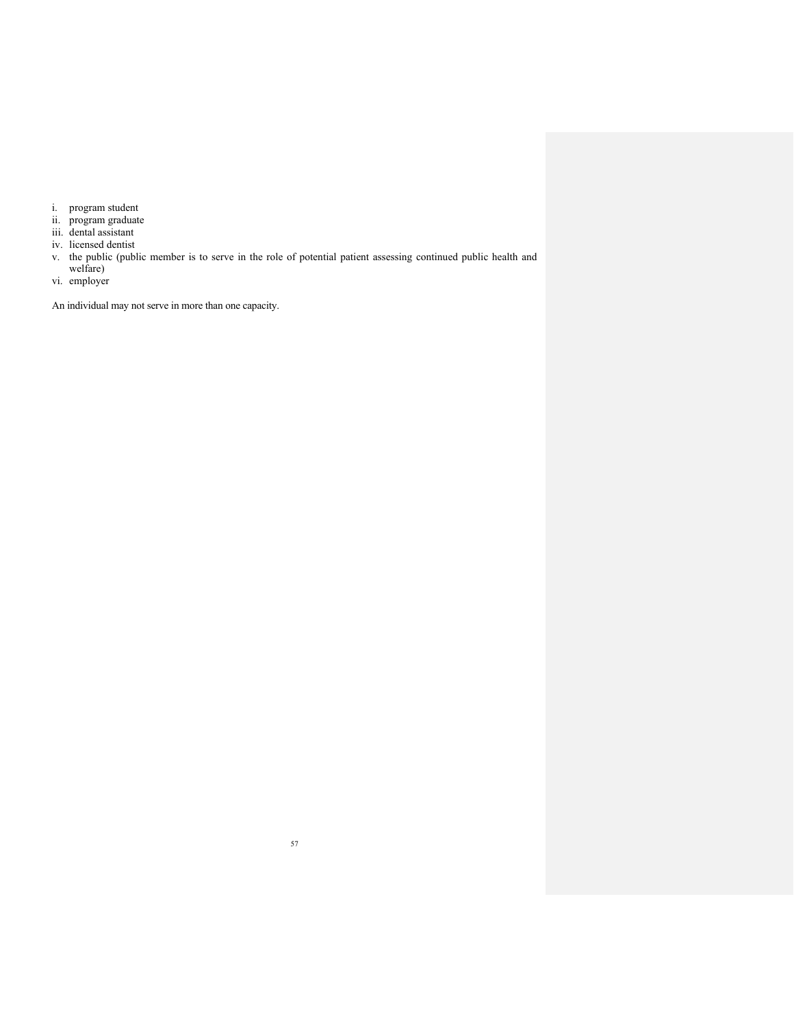- i. program student
- ii. program graduate
- iii. dental assistant
- iv. licensed dentist
- v. the public (public member is to serve in the role of potential patient assessing continued public health and
- welfare) vi. employer

An individual may not serve in more than one capacity.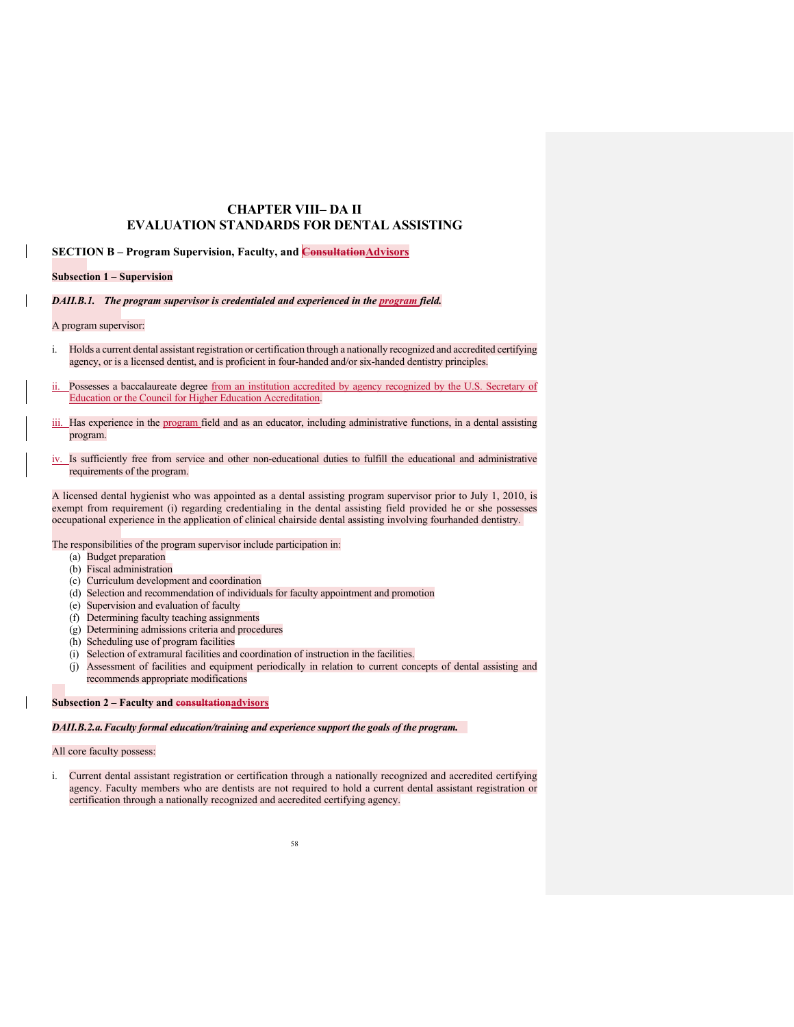# **CHAPTER VIII– DA II EVALUATION STANDARDS FOR DENTAL ASSISTING**

**SECTION B – Program Supervision, Faculty, and ConsultationAdvisors**

**Subsection 1 – Supervision**

*DAII.B.1. The program supervisor is credentialed and experienced in the program field.*

A program supervisor:

- i. Holds a current dental assistant registration or certification through a nationally recognized and accredited certifying agency, or is a licensed dentist, and is proficient in four-handed and/or six-handed dentistry principles.
- ii. Possesses a baccalaureate degree from an institution accredited by agency recognized by the U.S. Secretary of Education or the Council for Higher Education Accreditation.
- iii. Has experience in the program field and as an educator, including administrative functions, in a dental assisting program.
- iv. Is sufficiently free from service and other non-educational duties to fulfill the educational and administrative requirements of the program.

A licensed dental hygienist who was appointed as a dental assisting program supervisor prior to July 1, 2010, is exempt from requirement (i) regarding credentialing in the dental assisting field provided he or she possesses occupational experience in the application of clinical chairside dental assisting involving fourhanded dentistry.

The responsibilities of the program supervisor include participation in:

- (a) Budget preparation
- (b) Fiscal administration
- (c) Curriculum development and coordination
- (d) Selection and recommendation of individuals for faculty appointment and promotion
- (e) Supervision and evaluation of faculty
- (f) Determining faculty teaching assignments
- (g) Determining admissions criteria and procedures
- (h) Scheduling use of program facilities
- (i) Selection of extramural facilities and coordination of instruction in the facilities.
- (j) Assessment of facilities and equipment periodically in relation to current concepts of dental assisting and recommends appropriate modifications

#### **Subsection 2 – Faculty and consultationadvisors**

*DAII.B.2.a.Faculty formal education/training and experience support the goals of the program.* 

# All core faculty possess:

i. Current dental assistant registration or certification through a nationally recognized and accredited certifying agency. Faculty members who are dentists are not required to hold a current dental assistant registration or certification through a nationally recognized and accredited certifying agency.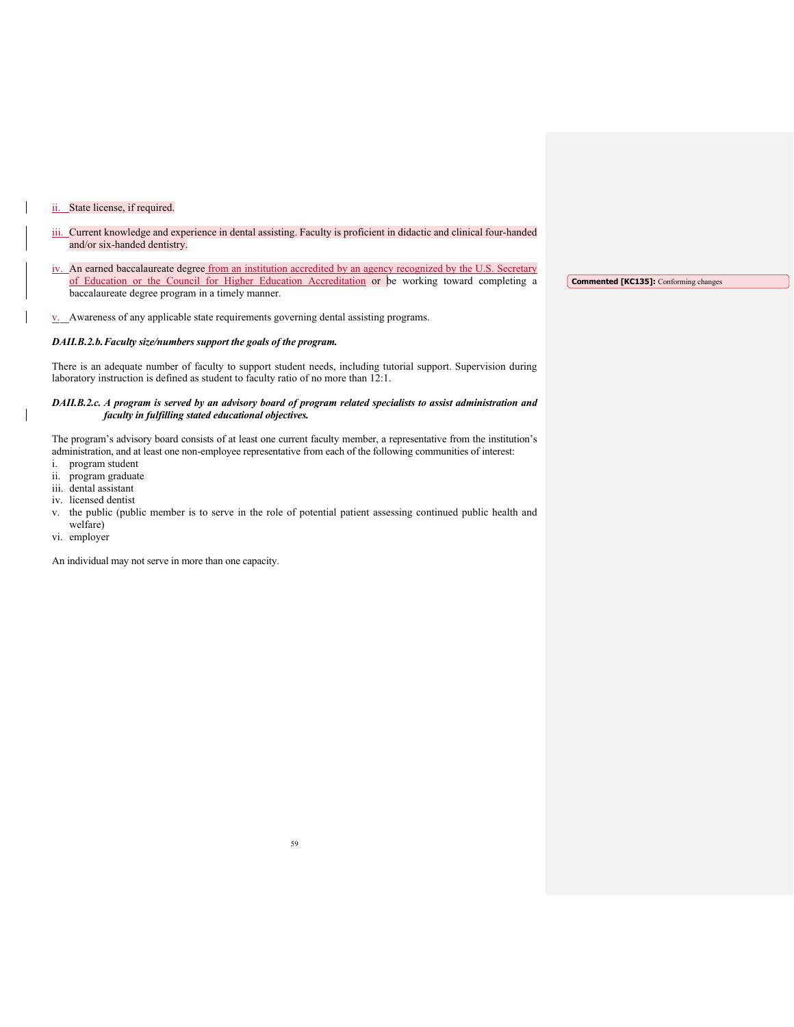# ii. State license, if required.

- iii. Current knowledge and experience in dental assisting. Faculty is proficient in didactic and clinical four-handed and/or six-handed dentistry.
- iv. An earned baccalaureate degree from an institution accredited by an agency recognized by the U.S. Secretary of Education or the Council for Higher Education Accreditation or be working toward completing a baccalaureate degree program in a timely manner. **Commented [KC135]:** Conforming changes

v. Awareness of any applicable state requirements governing dental assisting programs.

### *DAII.B.2.b.Faculty size/numbers support the goals of the program.*

There is an adequate number of faculty to support student needs, including tutorial support. Supervision during laboratory instruction is defined as student to faculty ratio of no more than 12:1.

# *DAII.B.2.c. A program is served by an advisory board of program related specialists to assist administration and faculty in fulfilling stated educational objectives.*

The program's advisory board consists of at least one current faculty member, a representative from the institution's administration, and at least one non-employee representative from each of the following communities of interest:

- i. program student
- ii. program graduate
- iii. dental assistant
- iv. licensed dentist
- v. the public (public member is to serve in the role of potential patient assessing continued public health and welfare)
- vi. employer

An individual may not serve in more than one capacity.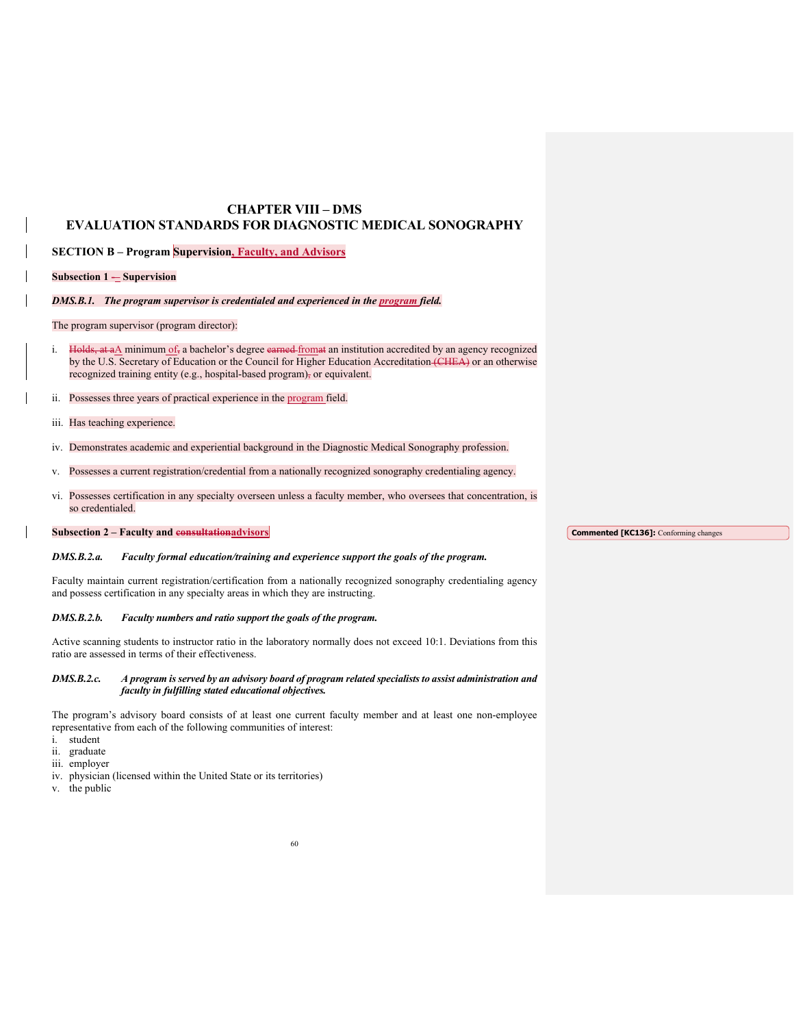# **CHAPTER VIII – DMS EVALUATION STANDARDS FOR DIAGNOSTIC MEDICAL SONOGRAPHY**

**SECTION B – Program Supervision, Faculty, and Advisors**

**Subsection 1 – Supervision** 

### *DMS.B.1. The program supervisor is credentialed and experienced in the program field.*

The program supervisor (program director):

i. Holds, at  $a\Delta$  minimum of, a bachelor's degree earned from at an institution accredited by an agency recognized by the U.S. Secretary of Education or the Council for Higher Education Accreditation (CHEA) or an otherwise recognized training entity (e.g., hospital-based program), or equivalent.

ii. Possesses three years of practical experience in the program field.

- iii. Has teaching experience.
- iv. Demonstrates academic and experiential background in the Diagnostic Medical Sonography profession.
- v. Possesses a current registration/credential from a nationally recognized sonography credentialing agency.
- vi. Possesses certification in any specialty overseen unless a faculty member, who oversees that concentration, is so credentialed.

# **Subsection 2 – Faculty and consultationadvisors**

**Commented [KC136]:** Conforming changes

# *DMS.B.2.a. Faculty formal education/training and experience support the goals of the program.*

Faculty maintain current registration/certification from a nationally recognized sonography credentialing agency and possess certification in any specialty areas in which they are instructing.

# *DMS.B.2.b. Faculty numbers and ratio support the goals of the program.*

Active scanning students to instructor ratio in the laboratory normally does not exceed 10:1. Deviations from this ratio are assessed in terms of their effectiveness.

# *DMS.B.2.c. A program is served by an advisory board of program related specialists to assist administration and faculty in fulfilling stated educational objectives.*

The program's advisory board consists of at least one current faculty member and at least one non-employee representative from each of the following communities of interest:

- i. student
- ii. graduate
- iii. employer
- iv. physician (licensed within the United State or its territories)
- v. the public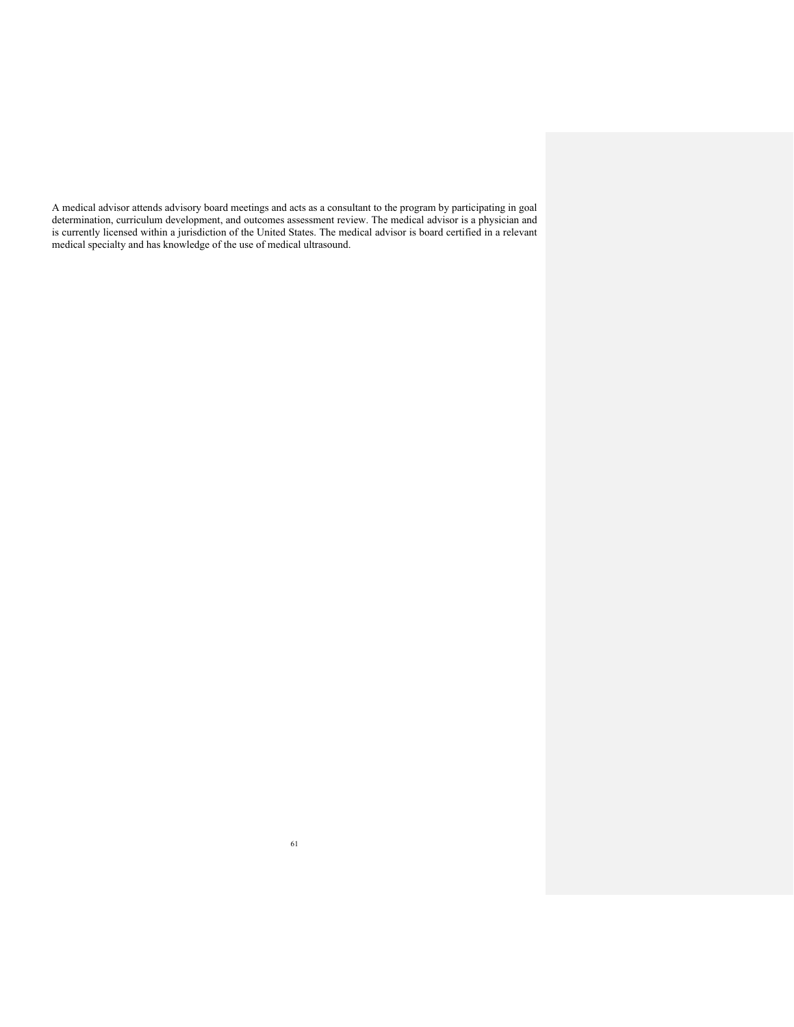A medical advisor attends advisory board meetings and acts as a consultant to the program by participating in goal determination, curriculum development, and outcomes assessment review. The medical advisor is a physician and is currently licensed within a jurisdiction of the United States. The medical advisor is board certified in a relevant medical specialty and has knowledge of the use of medical ultrasound.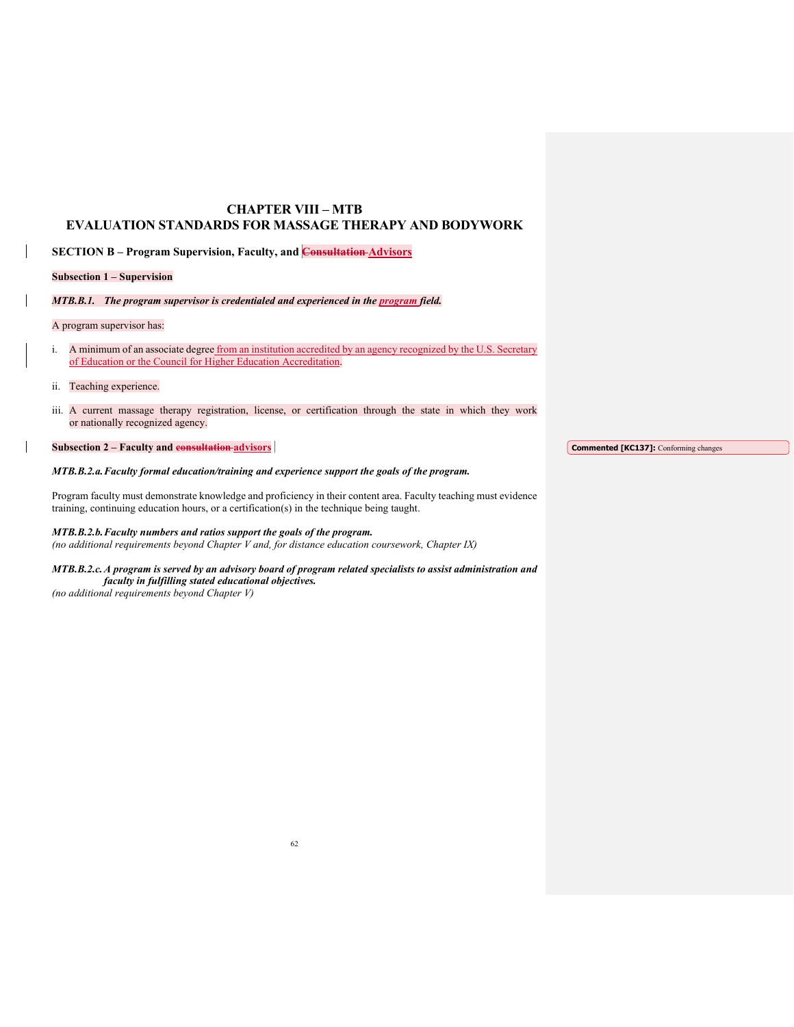# **CHAPTER VIII – MTB EVALUATION STANDARDS FOR MASSAGE THERAPY AND BODYWORK**

**SECTION B – Program Supervision, Faculty, and Consultation Advisors** 

# **Subsection 1 – Supervision**

*MTB.B.1. The program supervisor is credentialed and experienced in the program field.* 

### A program supervisor has:

- i. A minimum of an associate degree from an institution accredited by an agency recognized by the U.S. Secretary of Education or the Council for Higher Education Accreditation.
- ii. Teaching experience.
- iii. A current massage therapy registration, license, or certification through the state in which they work or nationally recognized agency.

# **Subsection 2 – Faculty and consultation advisors**

# *MTB.B.2.a. Faculty formal education/training and experience support the goals of the program.*

Program faculty must demonstrate knowledge and proficiency in their content area. Faculty teaching must evidence training, continuing education hours, or a certification(s) in the technique being taught.

# *MTB.B.2.b. Faculty numbers and ratios support the goals of the program.*

*(no additional requirements beyond Chapter V and, for distance education coursework, Chapter IX)* 

# *MTB.B.2.c. A program is served by an advisory board of program related specialists to assist administration and faculty in fulfilling stated educational objectives.*

*(no additional requirements beyond Chapter V)*

**Commented [KC137]:** Conforming changes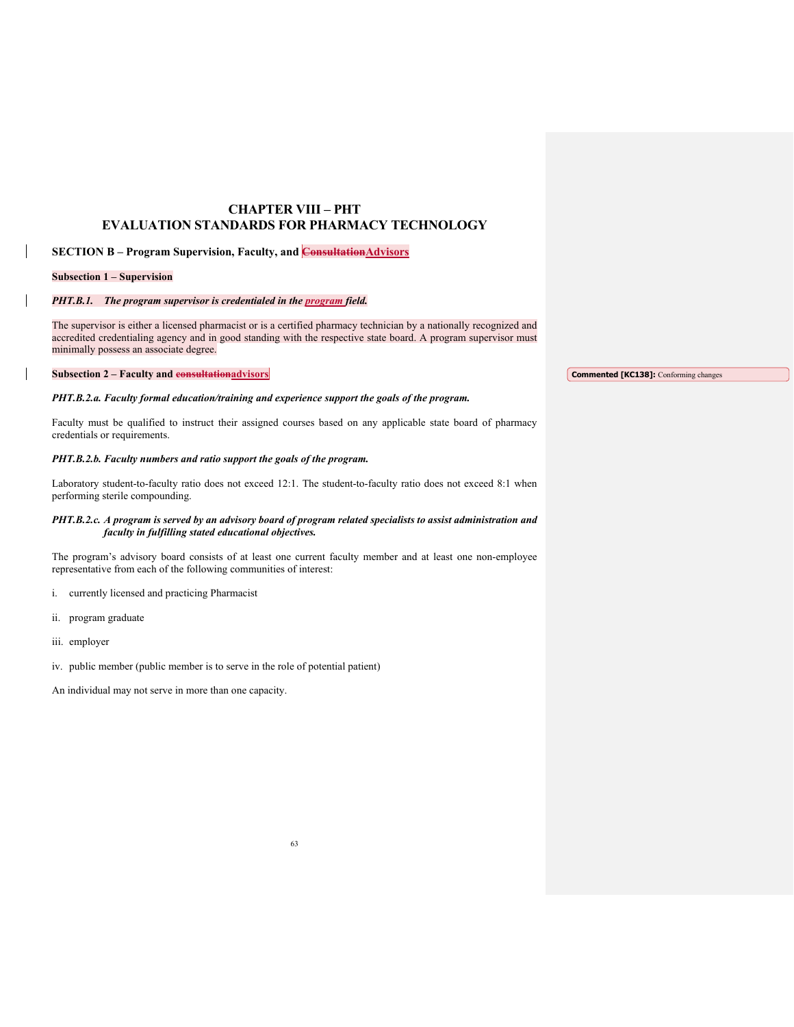# **CHAPTER VIII – PHT EVALUATION STANDARDS FOR PHARMACY TECHNOLOGY**

# **SECTION B - Program Supervision, Faculty, and Consultation Advisors**

# **Subsection 1 – Supervision**

# *PHT.B.1. The program supervisor is credentialed in the program field.*

The supervisor is either a licensed pharmacist or is a certified pharmacy technician by a nationally recognized and accredited credentialing agency and in good standing with the respective state board. A program supervisor must minimally possess an associate degree.

**Subsection 2 – Faculty and consultationadvisors**

**Commented [KC138]:** Conforming changes

# *PHT.B.2.a. Faculty formal education/training and experience support the goals of the program.*

Faculty must be qualified to instruct their assigned courses based on any applicable state board of pharmacy credentials or requirements.

# *PHT.B.2.b. Faculty numbers and ratio support the goals of the program.*

Laboratory student-to-faculty ratio does not exceed 12:1. The student-to-faculty ratio does not exceed 8:1 when performing sterile compounding.

# *PHT.B.2.c. A program is served by an advisory board of program related specialists to assist administration and faculty in fulfilling stated educational objectives.*

The program's advisory board consists of at least one current faculty member and at least one non-employee representative from each of the following communities of interest:

- i. currently licensed and practicing Pharmacist
- ii. program graduate
- iii. employer
- iv. public member (public member is to serve in the role of potential patient)

An individual may not serve in more than one capacity.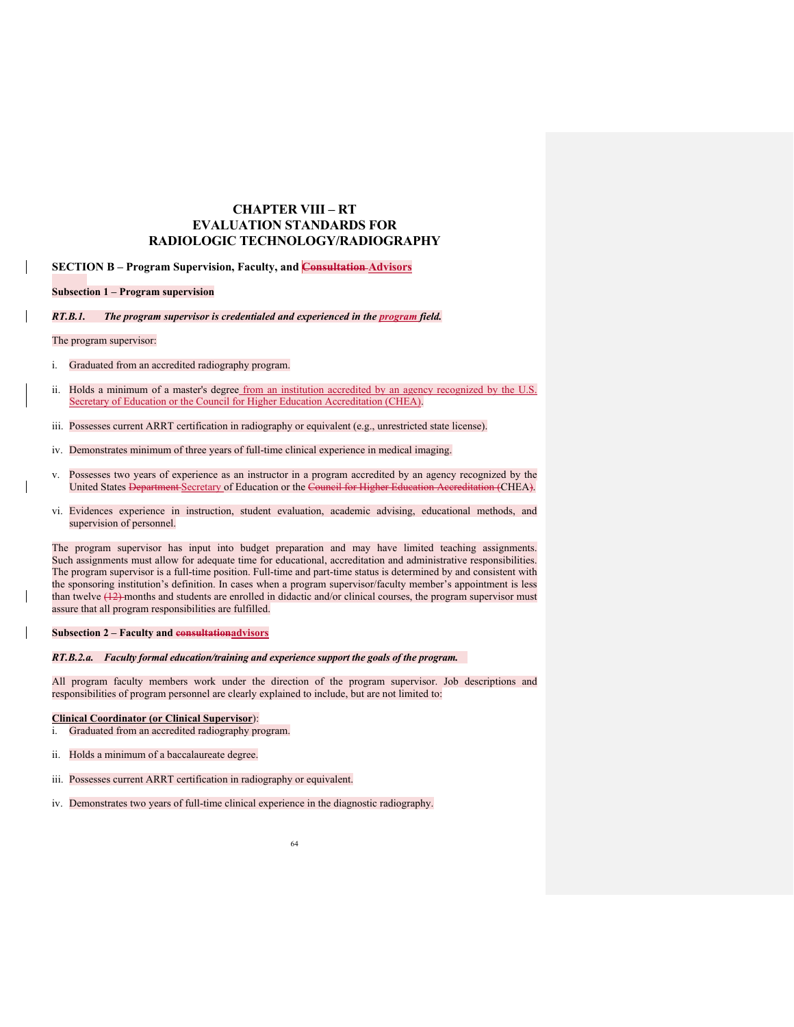# **CHAPTER VIII – RT EVALUATION STANDARDS FOR RADIOLOGIC TECHNOLOGY/RADIOGRAPHY**

**SECTION B – Program Supervision, Faculty, and Consultation Advisors**

# **Subsection 1 – Program supervision**

*RT.B.1. The program supervisor is credentialed and experienced in the program field.*

# The program supervisor:

- i. Graduated from an accredited radiography program.
- ii. Holds a minimum of a master's degree from an institution accredited by an agency recognized by the U.S. Secretary of Education or the Council for Higher Education Accreditation (CHEA).
- iii. Possesses current ARRT certification in radiography or equivalent (e.g., unrestricted state license).
- iv. Demonstrates minimum of three years of full-time clinical experience in medical imaging.
- Possesses two years of experience as an instructor in a program accredited by an agency recognized by the United States Department-Secretary of Education or the Council for Higher Education Accreditation (CHEA). United States <del>Department Secretary</del> of Education or the Council for Higher Education
- vi. Evidences experience in instruction, student evaluation, academic advising, educational methods, and supervision of personnel.

The program supervisor has input into budget preparation and may have limited teaching assignments. Such assignments must allow for adequate time for educational, accreditation and administrative responsibilities. The program supervisor is a full-time position. Full-time and part-time status is determined by and consistent with the sponsoring institution's definition. In cases when a program supervisor/faculty member's appointment is less than twelve (12) months and students are enrolled in didactic and/or clinical courses, the program supervisor must assure that all program responsibilities are fulfilled.

# **Subsection 2 – Faculty and consultationadvisors**

# *RT.B.2.a. Faculty formal education/training and experience support the goals of the program.*

All program faculty members work under the direction of the program supervisor. Job descriptions and responsibilities of program personnel are clearly explained to include, but are not limited to:

# **Clinical Coordinator (or Clinical Supervisor**):

- i. Graduated from an accredited radiography program.
- ii. Holds a minimum of a baccalaureate degree.
- iii. Possesses current ARRT certification in radiography or equivalent.
- iv. Demonstrates two years of full-time clinical experience in the diagnostic radiography.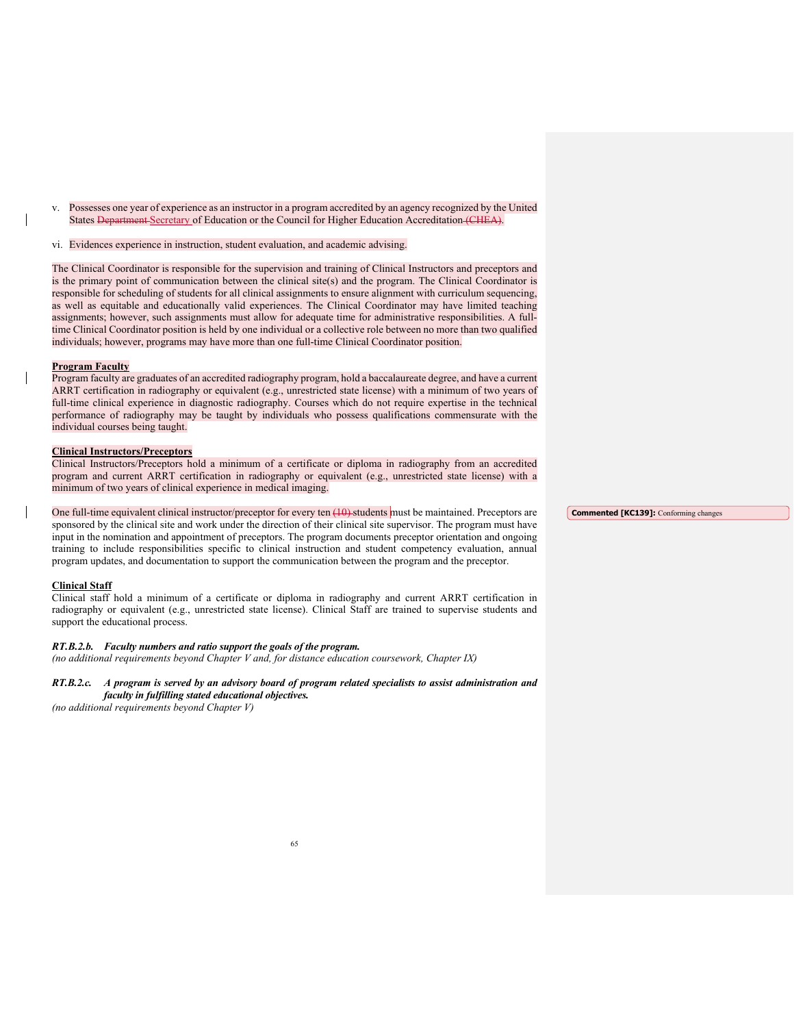- v. Possesses one year of experience as an instructor in a program accredited by an agency recognized by the United States Department Secretary of Education or the Council for Higher Education Accreditation (CHEA).
- vi. Evidences experience in instruction, student evaluation, and academic advising.

The Clinical Coordinator is responsible for the supervision and training of Clinical Instructors and preceptors and is the primary point of communication between the clinical site(s) and the program. The Clinical Coordinator is responsible for scheduling of students for all clinical assignments to ensure alignment with curriculum sequencing, as well as equitable and educationally valid experiences. The Clinical Coordinator may have limited teaching assignments; however, such assignments must allow for adequate time for administrative responsibilities. A fulltime Clinical Coordinator position is held by one individual or a collective role between no more than two qualified individuals; however, programs may have more than one full-time Clinical Coordinator position.

### **Program Faculty**

Program faculty are graduates of an accredited radiography program, hold a baccalaureate degree, and have a current ARRT certification in radiography or equivalent (e.g., unrestricted state license) with a minimum of two years of full-time clinical experience in diagnostic radiography. Courses which do not require expertise in the technical performance of radiography may be taught by individuals who possess qualifications commensurate with the individual courses being taught.

#### **Clinical Instructors/Preceptors**

Clinical Instructors/Preceptors hold a minimum of a certificate or diploma in radiography from an accredited program and current ARRT certification in radiography or equivalent (e.g., unrestricted state license) with a minimum of two years of clinical experience in medical imaging.

# One full-time equivalent clinical instructor/preceptor for every ten (10) students must be maintained. Preceptors are

sponsored by the clinical site and work under the direction of their clinical site supervisor. The program must have input in the nomination and appointment of preceptors. The program documents preceptor orientation and ongoing training to include responsibilities specific to clinical instruction and student competency evaluation, annual program updates, and documentation to support the communication between the program and the preceptor.

# **Clinical Staff**

Clinical staff hold a minimum of a certificate or diploma in radiography and current ARRT certification in radiography or equivalent (e.g., unrestricted state license). Clinical Staff are trained to supervise students and support the educational process.

#### *RT.B.2.b. Faculty numbers and ratio support the goals of the program.*

*(no additional requirements beyond Chapter V and, for distance education coursework, Chapter IX)* 

# *RT.B.2.c. A program is served by an advisory board of program related specialists to assist administration and faculty in fulfilling stated educational objectives.*

*(no additional requirements beyond Chapter V)*

**Commented [KC139]:** Conforming changes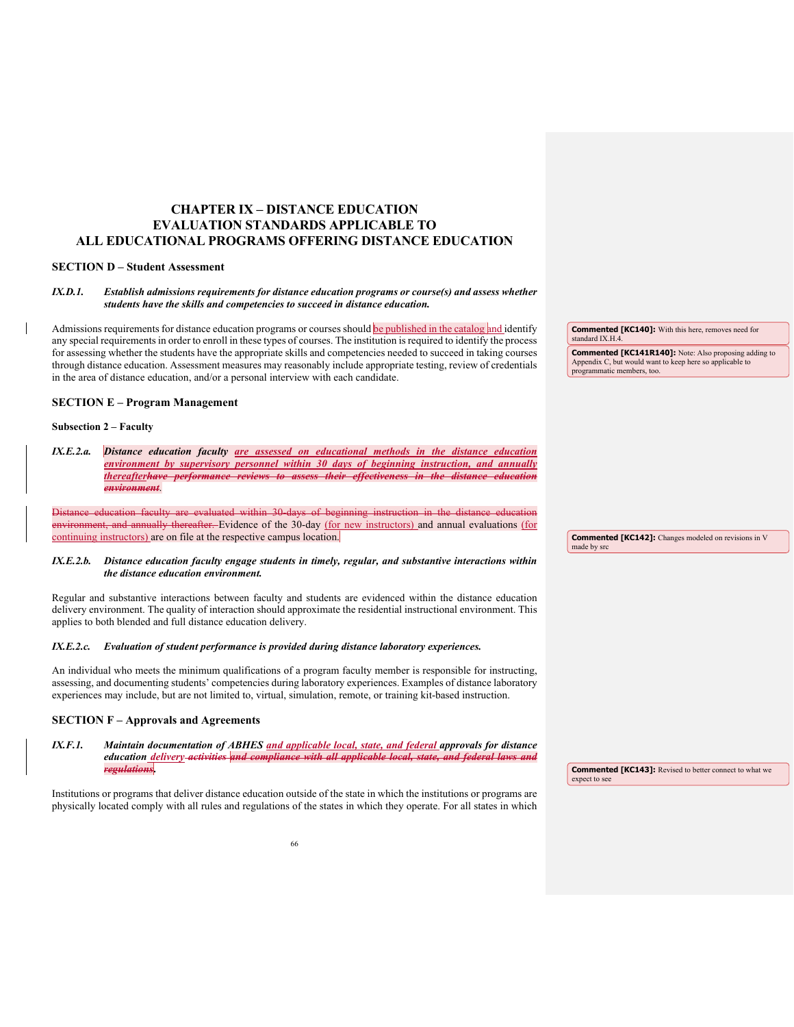# **CHAPTER IX – DISTANCE EDUCATION EVALUATION STANDARDS APPLICABLE TO ALL EDUCATIONAL PROGRAMS OFFERING DISTANCE EDUCATION**

# **SECTION D – Student Assessment**

# *IX.D.1. Establish admissions requirements for distance education programs or course(s) and assess whether students have the skills and competencies to succeed in distance education.*

Admissions requirements for distance education programs or courses should be published in the catalog and identify any special requirements in order to enroll in these types of courses. The institution is required to identify the process for assessing whether the students have the appropriate skills and competencies needed to succeed in taking courses through distance education. Assessment measures may reasonably include appropriate testing, review of credentials in the area of distance education, and/or a personal interview with each candidate.

| <b>SECTION E - Program Management</b> |  |
|---------------------------------------|--|
|---------------------------------------|--|

# **Subsection 2 – Faculty**

*IX.E.2.a. Distance education faculty are assessed on educational methods in the distance education environment by supervisory personnel within 30 days of beginning instruction, and annually thereafterhave performance reviews to assess their effectiveness in the distance education environment*.

Distance education faculty are evaluated within 30-days of beginning instruction in the distance education environment, and annually thereafter. Evidence of the 30-day (for new instructors) and annual evaluations (for continuing instructors) are on file at the respective campus location.

### *IX.E.2.b. Distance education faculty engage students in timely, regular, and substantive interactions within the distance education environment.*

Regular and substantive interactions between faculty and students are evidenced within the distance education delivery environment. The quality of interaction should approximate the residential instructional environment. This applies to both blended and full distance education delivery.

#### *IX.E.2.c. Evaluation of student performance is provided during distance laboratory experiences.*

An individual who meets the minimum qualifications of a program faculty member is responsible for instructing, assessing, and documenting students' competencies during laboratory experiences. Examples of distance laboratory experiences may include, but are not limited to, virtual, simulation, remote, or training kit-based instruction.

# **SECTION F – Approvals and Agreements**

#### *IX.F.1. Maintain documentation of ABHES and applicable local, state, and federal approvals for distance education delivery activities and compliance with all applicable local, state, and federal laws and regulations***.**

Institutions or programs that deliver distance education outside of the state in which the institutions or programs are physically located comply with all rules and regulations of the states in which they operate. For all states in which **Commented [KC140]:** With this here, removes need for standard IX.H.4.

**Commented [KC141R140]:** Note: Also proposing adding to Appendix C, but would want to keep here so applicable to programmatic members, too.

**Commented [KC142]:** Changes modeled on revisions in V made by src

**Commented [KC143]:** Revised to better connect to what we expect to see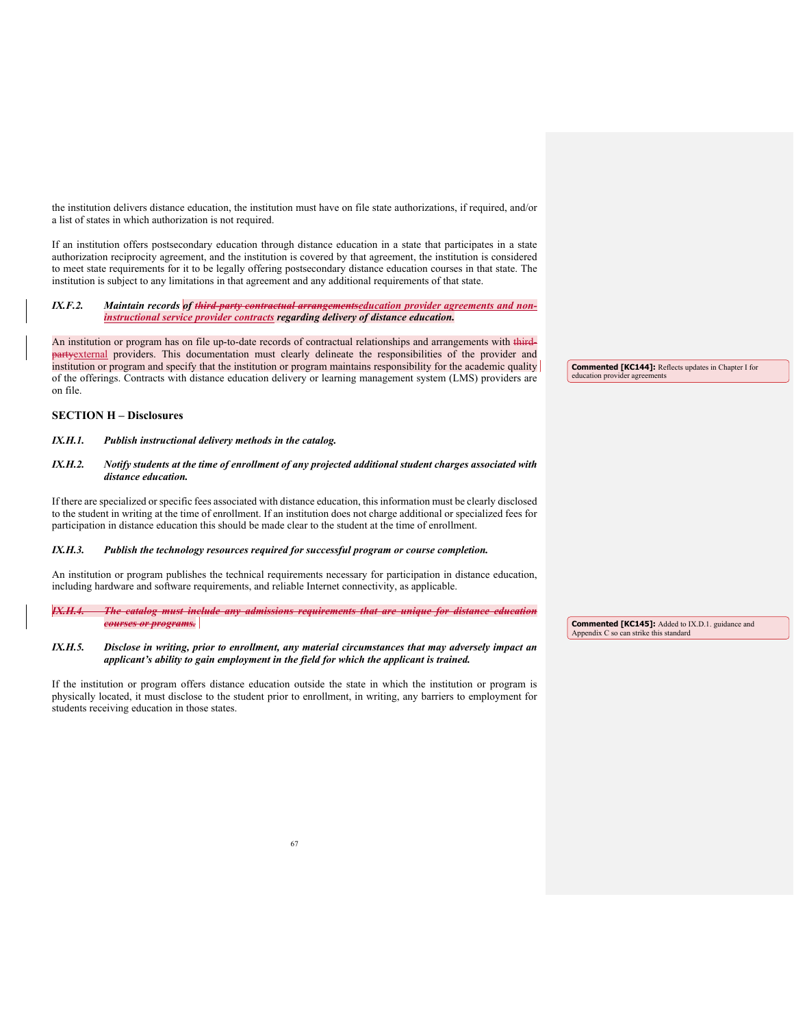the institution delivers distance education, the institution must have on file state authorizations, if required, and/or a list of states in which authorization is not required.

If an institution offers postsecondary education through distance education in a state that participates in a state authorization reciprocity agreement, and the institution is covered by that agreement, the institution is considered to meet state requirements for it to be legally offering postsecondary distance education courses in that state. The institution is subject to any limitations in that agreement and any additional requirements of that state.

*IX.F.2. Maintain records of third-party contractual arrangementseducation provider agreements and noninstructional service provider contracts regarding delivery of distance education.* 

An institution or program has on file up-to-date records of contractual relationships and arrangements with third-**Hivarty** external providers. This documentation must clearly delineate the responsibilities of the provider and institution or program and specify that the institution or program maintains responsibility for the academic quality of the offerings. Contracts with distance education delivery or learning management system (LMS) providers are on file.

# **SECTION H – Disclosures**

# *IX.H.1. Publish instructional delivery methods in the catalog.*

# *IX.H.2. Notify students at the time of enrollment of any projected additional student charges associated with distance education.*

If there are specialized or specific fees associated with distance education, this information must be clearly disclosed to the student in writing at the time of enrollment. If an institution does not charge additional or specialized fees for participation in distance education this should be made clear to the student at the time of enrollment.

#### *IX.H.3. Publish the technology resources required for successful program or course completion.*

An institution or program publishes the technical requirements necessary for participation in distance education, including hardware and software requirements, and reliable Internet connectivity, as applicable.

*IX.H.4. The catalog must include any admissions requirements that are unique for distance education courses or programs.* 

# *IX.H.5. Disclose in writing, prior to enrollment, any material circumstances that may adversely impact an applicant's ability to gain employment in the field for which the applicant is trained.*

If the institution or program offers distance education outside the state in which the institution or program is physically located, it must disclose to the student prior to enrollment, in writing, any barriers to employment for students receiving education in those states.

**Commented [KC144]:** Reflects updates in Chapter I for education provider agreements

**Commented [KC145]:** Added to IX.D.1. guidance and Appendix C so can strike this standard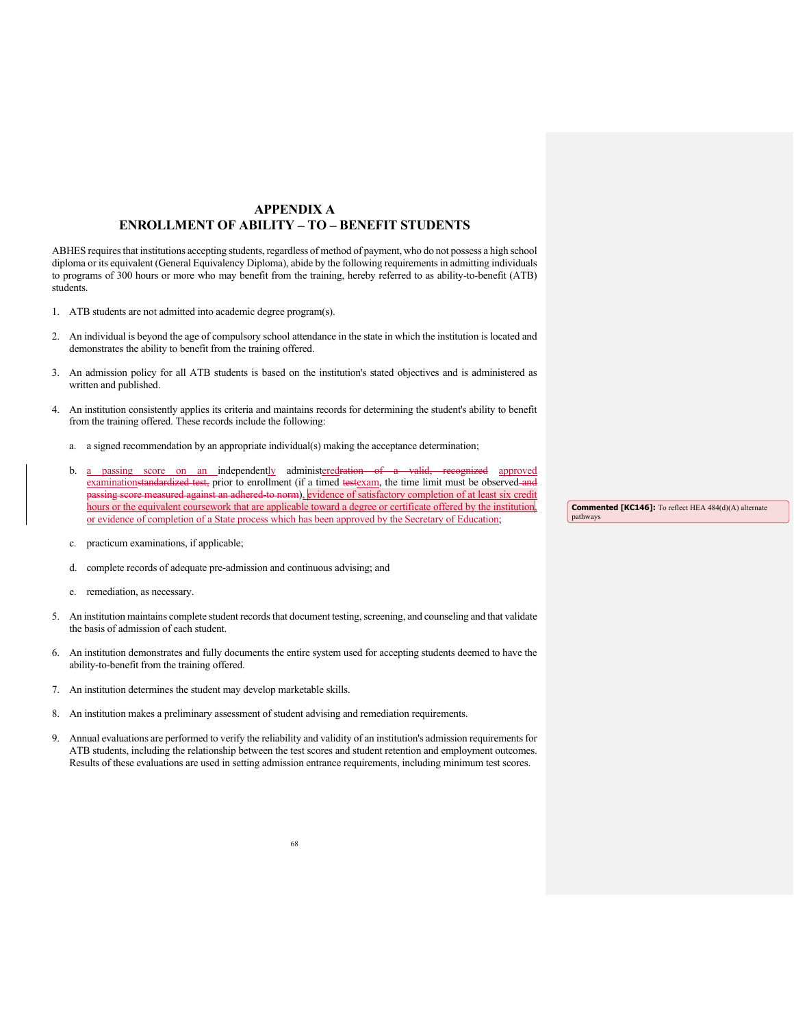# **APPENDIX A ENROLLMENT OF ABILITY – TO – BENEFIT STUDENTS**

ABHES requires that institutions accepting students, regardless of method of payment, who do not possess a high school diploma or its equivalent (General Equivalency Diploma), abide by the following requirements in admitting individuals to programs of 300 hours or more who may benefit from the training, hereby referred to as ability-to-benefit (ATB) students.

- 1. ATB students are not admitted into academic degree program(s).
- 2. An individual is beyond the age of compulsory school attendance in the state in which the institution is located and demonstrates the ability to benefit from the training offered.
- 3. An admission policy for all ATB students is based on the institution's stated objectives and is administered as written and published.
- 4. An institution consistently applies its criteria and maintains records for determining the student's ability to benefit from the training offered. These records include the following:
	- a. a signed recommendation by an appropriate individual(s) making the acceptance determination;
	- b. a passing score on an independently administeredration of a valid, recognized approved examinationstandardized test, prior to enrollment (if a timed testexam, the time limit must be observed and <del>no measured against an adhered to norm</del>), evidence of satisfactory completion of at least six credit hours or the equivalent coursework that are applicable toward a degree or certificate offered by the institution or evidence of completion of a State process which has been approved by the Secretary of Education;
	- c. practicum examinations, if applicable;
	- d. complete records of adequate pre-admission and continuous advising; and
	- e. remediation, as necessary.
- 5. An institution maintains complete student records that document testing, screening, and counseling and that validate the basis of admission of each student.
- 6. An institution demonstrates and fully documents the entire system used for accepting students deemed to have the ability-to-benefit from the training offered.
- 7. An institution determines the student may develop marketable skills.
- 8. An institution makes a preliminary assessment of student advising and remediation requirements.
- 9. Annual evaluations are performed to verify the reliability and validity of an institution's admission requirementsfor ATB students, including the relationship between the test scores and student retention and employment outcomes. Results of these evaluations are used in setting admission entrance requirements, including minimum test scores.

**Commented [KC146]:** To reflect HEA 484(d)(A) alternate pathways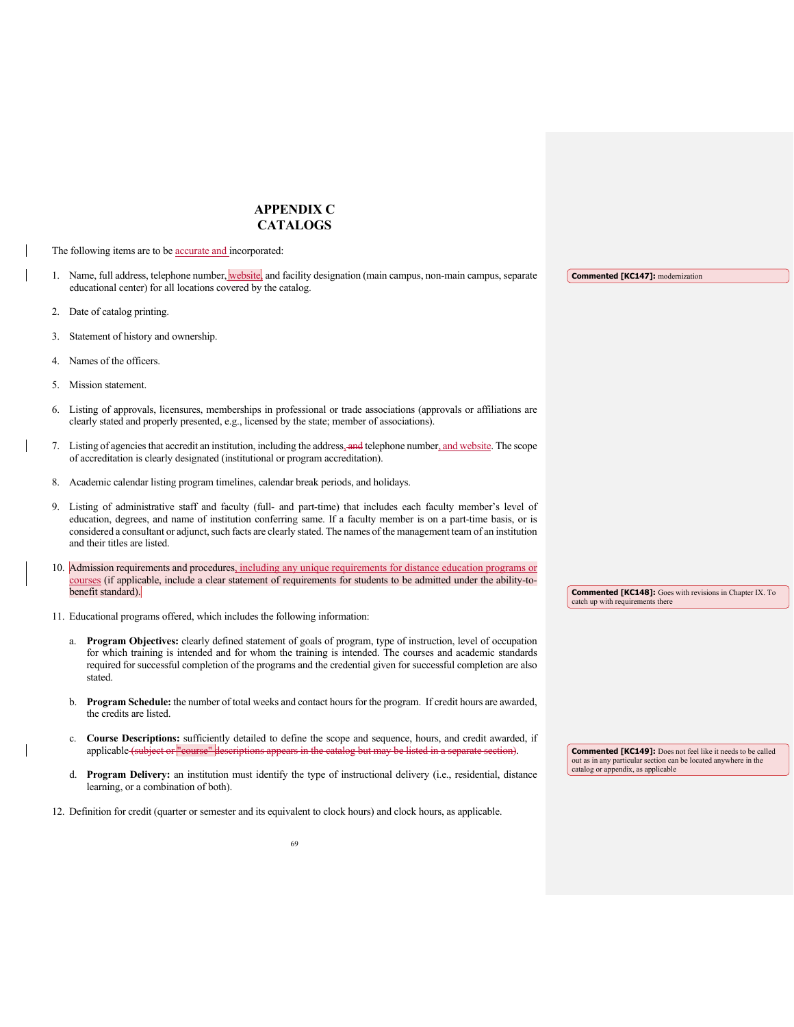# **APPENDIX C CATALOGS**

The following items are to be **accurate and** incorporated:

- 1. Name, full address, telephone number, website, and facility designation (main campus, non-main campus, separate educational center) for all locations covered by the catalog.
- 2. Date of catalog printing.
- 3. Statement of history and ownership.
- 4. Names of the officers.
- 5. Mission statement.
- 6. Listing of approvals, licensures, memberships in professional or trade associations (approvals or affiliations are clearly stated and properly presented, e.g., licensed by the state; member of associations).
- 7. Listing of agencies that accredit an institution, including the address, and telephone number, and website. The scope of accreditation is clearly designated (institutional or program accreditation).
- 8. Academic calendar listing program timelines, calendar break periods, and holidays.
- 9. Listing of administrative staff and faculty (full- and part-time) that includes each faculty member's level of education, degrees, and name of institution conferring same. If a faculty member is on a part-time basis, or is considered a consultant or adjunct, such facts are clearly stated. The names of the management team of an institution and their titles are listed.
- 10. Admission requirements and procedures, including any unique requirements for distance education programs or courses (if applicable, include a clear statement of requirements for students to be admitted under the ability-tobenefit standard).
- **Commented [KC148]:** Goes with revisions in Chapter IX. To catch up with requirements there

- 11. Educational programs offered, which includes the following information:
	- a. **Program Objectives:** clearly defined statement of goals of program, type of instruction, level of occupation for which training is intended and for whom the training is intended. The courses and academic standards required for successful completion of the programs and the credential given for successful completion are also stated.
	- b. **Program Schedule:** the number of total weeks and contact hours for the program. If credit hours are awarded, the credits are listed.
	- c. **Course Descriptions:** sufficiently detailed to define the scope and sequence, hours, and credit awarded, if applicable (subject or "course" descriptions appears in the catalog but may be listed in a
	- d. **Program Delivery:** an institution must identify the type of instructional delivery (i.e., residential, distance learning, or a combination of both).
- 12. Definition for credit (quarter or semester and its equivalent to clock hours) and clock hours, as applicable.

**Commented [KC149]:** Does not feel like it needs to be called out as in any particular section can be located anywhere in the catalog or appendix, as applicable

**Commented [KC147]:** modernization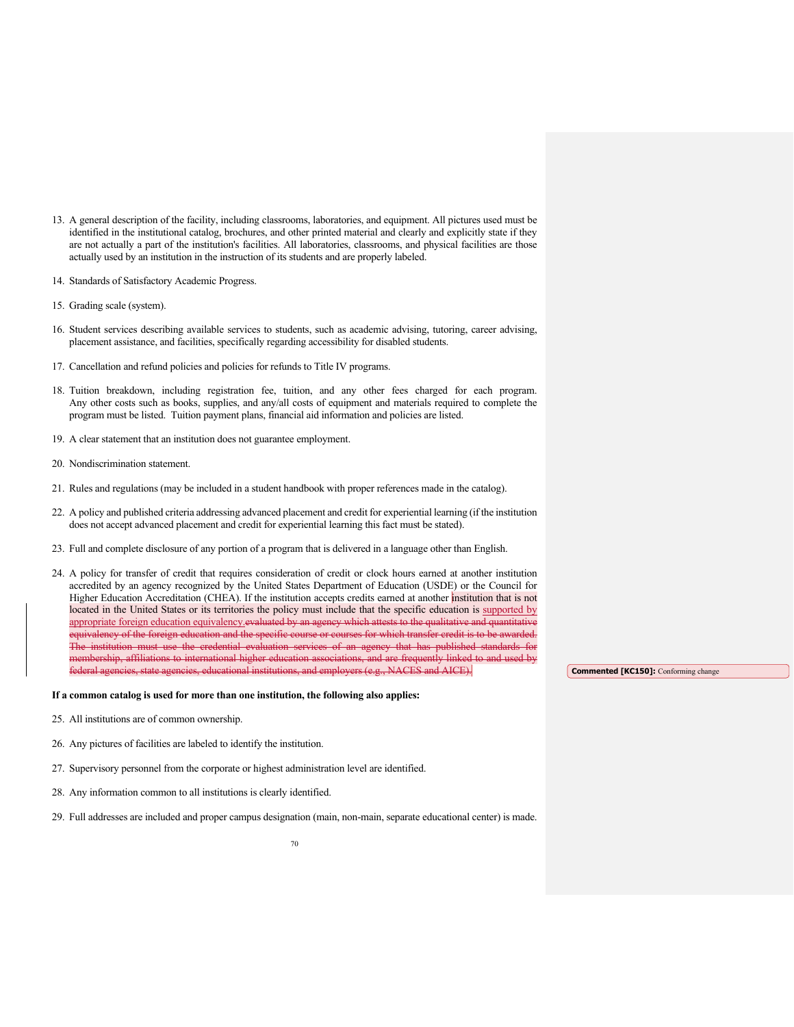- 13. A general description of the facility, including classrooms, laboratories, and equipment. All pictures used must be identified in the institutional catalog, brochures, and other printed material and clearly and explicitly state if they are not actually a part of the institution's facilities. All laboratories, classrooms, and physical facilities are those actually used by an institution in the instruction of its students and are properly labeled.
- 14. Standards of Satisfactory Academic Progress.
- 15. Grading scale (system).
- 16. Student services describing available services to students, such as academic advising, tutoring, career advising, placement assistance, and facilities, specifically regarding accessibility for disabled students.
- 17. Cancellation and refund policies and policies for refunds to Title IV programs.
- 18. Tuition breakdown, including registration fee, tuition, and any other fees charged for each program. Any other costs such as books, supplies, and any/all costs of equipment and materials required to complete the program must be listed. Tuition payment plans, financial aid information and policies are listed.
- 19. A clear statement that an institution does not guarantee employment.
- 20. Nondiscrimination statement.
- 21. Rules and regulations (may be included in a student handbook with proper references made in the catalog).
- 22. A policy and published criteria addressing advanced placement and credit for experiential learning (if the institution does not accept advanced placement and credit for experiential learning this fact must be stated).
- 23. Full and complete disclosure of any portion of a program that is delivered in a language other than English.
- 24. A policy for transfer of credit that requires consideration of credit or clock hours earned at another institution accredited by an agency recognized by the United States Department of Education (USDE) or the Council for Higher Education Accreditation (CHEA). If the institution accepts credits earned at another institution that is not located in the United States or its territories the policy must include that the specific education is supported by appropriate foreign education equivalency.evaluated by an agency which attests to the qualitative and qua equivalency of the foreign education and the specific course or courses for which transfer credit is to be awarded. The institution must use the credential evaluation services of an agency that has published standards for<br>membership, affiliations to international higher education associations, and are frequently linked to and used by mbership, affiliations to international higher education asso federal agencies, state agencies, educational institutions, and employers (e.g., NACES and AICE).

#### **If a common catalog is used for more than one institution, the following also applies:**

- 25. All institutions are of common ownership.
- 26. Any pictures of facilities are labeled to identify the institution.
- 27. Supervisory personnel from the corporate or highest administration level are identified.
- 28. Any information common to all institutions is clearly identified.
- 29. Full addresses are included and proper campus designation (main, non-main, separate educational center) is made.

**Commented [KC150]:** Conforming change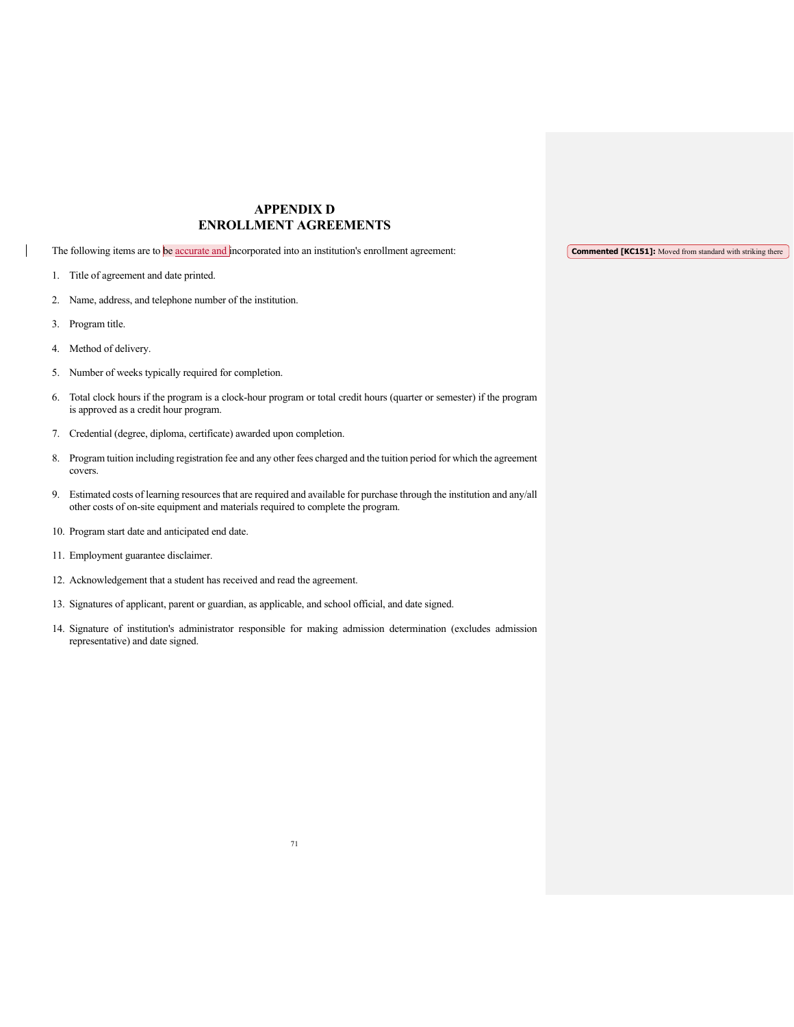# **APPENDIX D ENROLLMENT AGREEMENTS**

The following items are to be accurate and incorporated into an institution's enrollment agreement:

- 1. Title of agreement and date printed.
- 2. Name, address, and telephone number of the institution.
- 3. Program title.
- 4. Method of delivery.
- 5. Number of weeks typically required for completion.
- 6. Total clock hours if the program is a clock-hour program or total credit hours (quarter or semester) if the program is approved as a credit hour program.
- 7. Credential (degree, diploma, certificate) awarded upon completion.
- 8. Program tuition including registration fee and any other fees charged and the tuition period for which the agreement covers.
- 9. Estimated costs of learning resources that are required and available for purchase through the institution and any/all other costs of on-site equipment and materials required to complete the program.
- 10. Program start date and anticipated end date.
- 11. Employment guarantee disclaimer.
- 12. Acknowledgement that a student has received and read the agreement.
- 13. Signatures of applicant, parent or guardian, as applicable, and school official, and date signed.
- 14. Signature of institution's administrator responsible for making admission determination (excludes admission representative) and date signed.

**Commented [KC151]:** Moved from standard with striking there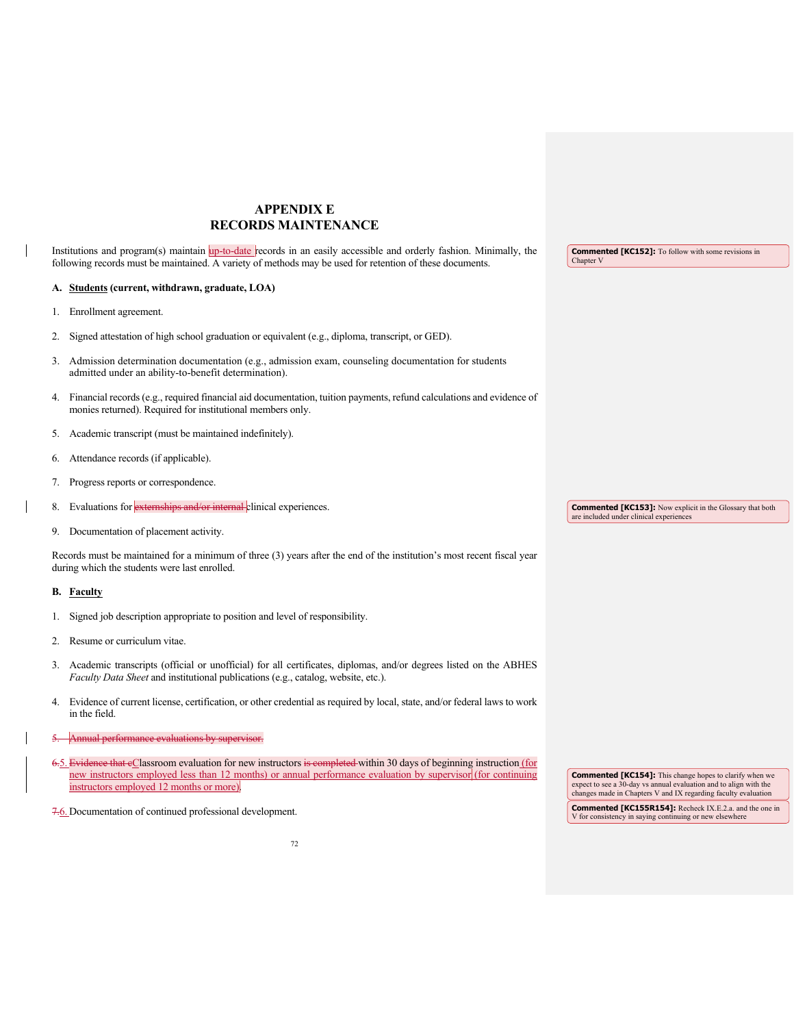## **APPENDIX E RECORDS MAINTENANCE**

Institutions and program(s) maintain up-to-date records in an easily accessible and orderly fashion. Minimally, the following records must be maintained. A variety of methods may be used for retention of these documents. **Commented [KC152]:** To follow with some revisions in Chapter V

## **A. Students (current, withdrawn, graduate, LOA)**

- 1. Enrollment agreement.
- 2. Signed attestation of high school graduation or equivalent (e.g., diploma, transcript, or GED).
- 3. Admission determination documentation (e.g., admission exam, counseling documentation for students admitted under an ability-to-benefit determination).
- 4. Financial records (e.g., required financial aid documentation, tuition payments, refund calculations and evidence of monies returned). Required for institutional members only.
- 5. Academic transcript (must be maintained indefinitely).
- 6. Attendance records (if applicable).
- 7. Progress reports or correspondence.
- 8. Evaluations for externships and/or internal clinical experiences
- 9. Documentation of placement activity.

Records must be maintained for a minimum of three (3) years after the end of the institution's most recent fiscal year during which the students were last enrolled.

## **B. Faculty**

- 1. Signed job description appropriate to position and level of responsibility.
- 2. Resume or curriculum vitae.
- 3. Academic transcripts (official or unofficial) for all certificates, diplomas, and/or degrees listed on the ABHES *Faculty Data Sheet* and institutional publications (e.g., catalog, website, etc.).
- 4. Evidence of current license, certification, or other credential as required by local, state, and/or federal laws to work in the field.
- ual performance evaluations by supervisor.
- 6.5. Evidence that eClassroom evaluation for new instructors is completed within 30 days of beginning instruction (for new instructors employed less than 12 months) or annual performance evaluation by supervisor (for continuing instructors employed 12 months or more).
- 7.6. Documentation of continued professional development.

**Commented [KC154]:** This change hopes to clarify when we expect to see a 30-day vs annual evaluation and to align with the changes made in Chapters V and IX regarding faculty evaluation

**Commented [KC155R154]:** Recheck IX.E.2.a. and the one in V for consistency in saying continuing or new elsewhere

**Commented [KC153]:** Now explicit in the Glossary that both are included under clinical experiences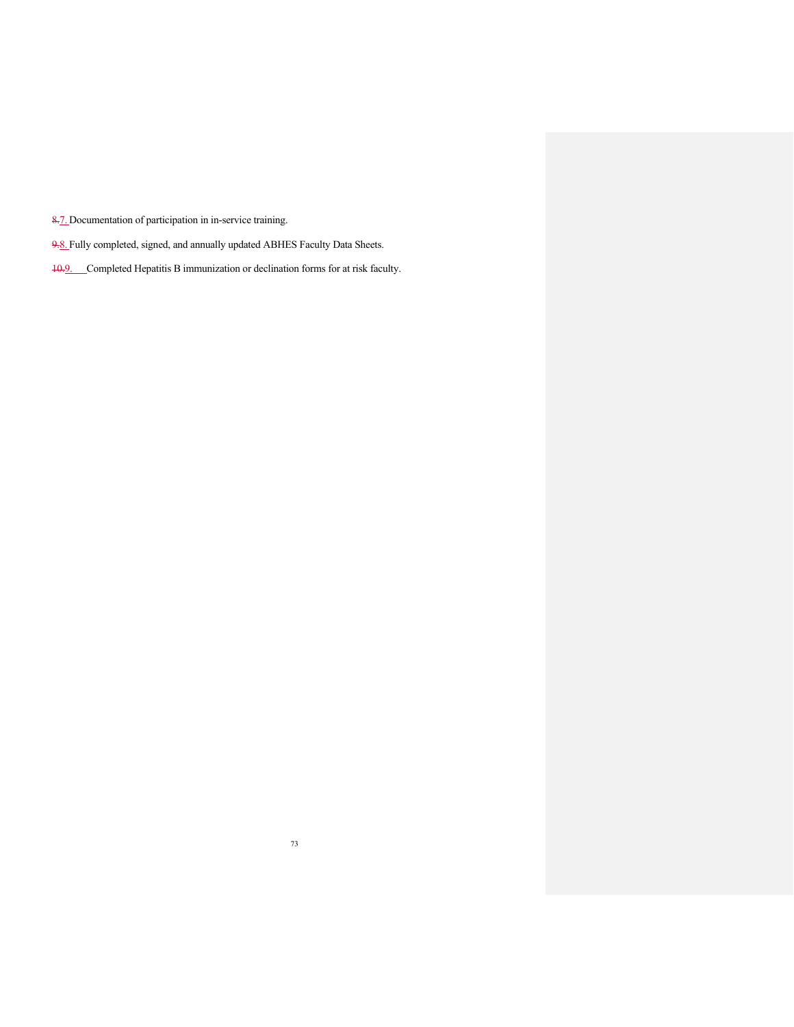8.7. Documentation of participation in in-service training.

- 9.8. Fully completed, signed, and annually updated ABHES Faculty Data Sheets.
- 10.9. Completed Hepatitis B immunization or declination forms for at risk faculty.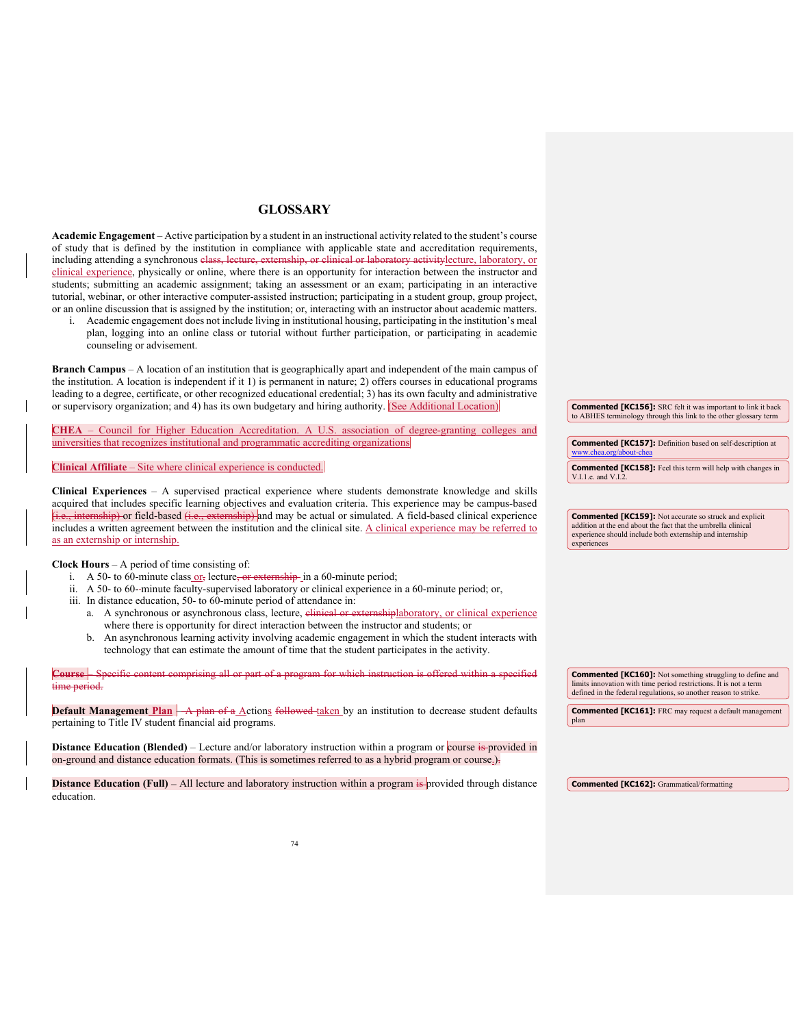## **GLOSSARY**

**Academic Engagement** – Active participation by a student in an instructional activity related to the student's course of study that is defined by the institution in compliance with applicable state and accreditation requirements, including attending a synchronous class, lecture, externship, or clinical or laboratory activitylecture, laboratory, or clinical experience, physically or online, where there is an opportunity for interaction between the instructor and students; submitting an academic assignment; taking an assessment or an exam; participating in an interactive tutorial, webinar, or other interactive computer-assisted instruction; participating in a student group, group project, or an online discussion that is assigned by the institution; or, interacting with an instructor about academic matters.

i. Academic engagement does not include living in institutional housing, participating in the institution's meal plan, logging into an online class or tutorial without further participation, or participating in academic counseling or advisement.

**Branch Campus** – A location of an institution that is geographically apart and independent of the main campus of the institution. A location is independent if it 1) is permanent in nature; 2) offers courses in educational programs leading to a degree, certificate, or other recognized educational credential; 3) has its own faculty and administrative or supervisory organization; and 4) has its own budgetary and hiring authority. (See Additional Location)

– Council for Higher Education Accreditation. A U.S. association of degree-granting colleges and universities that recognizes institutional and programmatic accrediting organizations

**Clinical Affiliate** – Site where clinical experience is conducted.

**Clinical Experiences** – A supervised practical experience where students demonstrate knowledge and skills acquired that includes specific learning objectives and evaluation criteria. This experience may be campus-based hternship) or field-based (i.e., externship) and may be actual or simulated. A field-based clinical experience includes a written agreement between the institution and the clinical site. A clinical experience may be referred to as an externship or internship.

**Clock Hours** – A period of time consisting of:

- i. A 50- to 60-minute class  $or_7$  lecture, or externship-in a 60-minute period;
- ii. A 50- to 60--minute faculty-supervised laboratory or clinical experience in a 60-minute period; or,
- iii. In distance education, 50- to 60-minute period of attendance in:
	- a. A synchronous or asynchronous class, lecture, elinical or externshiplaboratory, or clinical experience where there is opportunity for direct interaction between the instructor and students; or
	- b. An asynchronous learning activity involving academic engagement in which the student interacts with technology that can estimate the amount of time that the student participates in the activity.

| inecific content comprising all or part of a program for which instruction is offered within a specified<br>time period.                                                                                                           | <b>Commented [KC160]:</b> Not something struggling to define and<br>limits innovation with time period restrictions. It is not a term<br>defined in the federal regulations, so another reason to strike. |
|------------------------------------------------------------------------------------------------------------------------------------------------------------------------------------------------------------------------------------|-----------------------------------------------------------------------------------------------------------------------------------------------------------------------------------------------------------|
| <b>Default Management Plan</b> A plan of a Actions followed taken by an institution to decrease student defaults<br>pertaining to Title IV student financial aid programs.                                                         | <b>Commented [KC161]:</b> FRC may request a default management<br>plan                                                                                                                                    |
| <b>Distance Education (Blended)</b> – Lecture and/or laboratory instruction within a program or course is provided in<br>on-ground and distance education formats. (This is sometimes referred to as a hybrid program or course.). |                                                                                                                                                                                                           |

**Distance Education (Full)** – All lecture and laboratory instruction within a program is provided through distance education.

**Commented [KC156]:** SRC felt it was important to link it back to ABHES terminology through this link to the other glossary term

**Commented [KC157]:** Definition based on self-description at [www.chea.org/about-chea](http://www.chea.org/about-chea) **Commented [KC158]:** Feel this term will help with changes in V.I.1.e. and V.I.2.

**Commented [KC159]:** Not accurate so struck and explicit addition at the end about the fact that the umbrella clinical experience should include both externship and internship experiences

**Commented [KC162]:** Grammatical/formatting